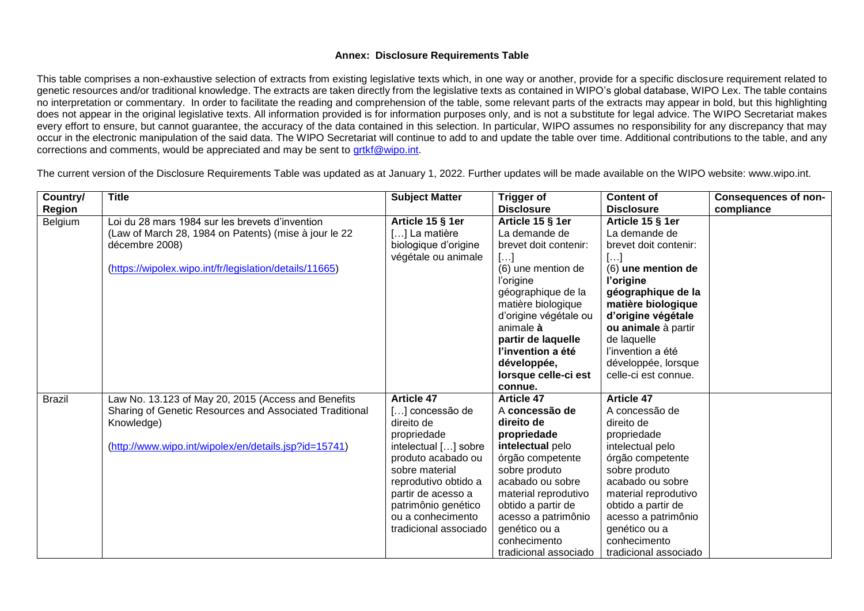## **Annex: Disclosure Requirements Table**

This table comprises a non-exhaustive selection of extracts from existing legislative texts which, in one way or another, provide for a specific disclosure requirement related to genetic resources and/or traditional knowledge. The extracts are taken directly from the legislative texts as contained in WIPO's global database, WIPO Lex. The table contains no interpretation or commentary. In order to facilitate the reading and comprehension of the table, some relevant parts of the extracts may appear in bold, but this highlighting does not appear in the original legislative texts. All information provided is for information purposes only, and is not a substitute for legal advice. The WIPO Secretariat makes every effort to ensure, but cannot guarantee, the accuracy of the data contained in this selection. In particular, WIPO assumes no responsibility for any discrepancy that may occur in the electronic manipulation of the said data. The WIPO Secretariat will continue to add to and update the table over time. Additional contributions to the table, and any corrections and comments, would be appreciated and may be sent to [grtkf@wipo.int.](mailto:grtkf@wipo.int)

The current version of the Disclosure Requirements Table was updated as at January 1, 2022. Further updates will be made available on the WIPO website: www.wipo.int.

| Country/      | <b>Title</b>                                                                                                                                                                          | <b>Subject Matter</b>                                                                                                                                                                                                                                | <b>Trigger of</b>                                                                                                                                                                                                                                                                          | <b>Content of</b>                                                                                                                                                                                                                                                                                  | <b>Consequences of non-</b> |
|---------------|---------------------------------------------------------------------------------------------------------------------------------------------------------------------------------------|------------------------------------------------------------------------------------------------------------------------------------------------------------------------------------------------------------------------------------------------------|--------------------------------------------------------------------------------------------------------------------------------------------------------------------------------------------------------------------------------------------------------------------------------------------|----------------------------------------------------------------------------------------------------------------------------------------------------------------------------------------------------------------------------------------------------------------------------------------------------|-----------------------------|
| Region        |                                                                                                                                                                                       |                                                                                                                                                                                                                                                      | <b>Disclosure</b>                                                                                                                                                                                                                                                                          | <b>Disclosure</b>                                                                                                                                                                                                                                                                                  | compliance                  |
| Belgium       | Loi du 28 mars 1984 sur les brevets d'invention<br>(Law of March 28, 1984 on Patents) (mise à jour le 22<br>décembre 2008)<br>(https://wipolex.wipo.int/fr/legislation/details/11665) | Article 15 § 1er<br>[] La matière<br>biologique d'origine<br>végétale ou animale                                                                                                                                                                     | Article 15 § 1er<br>La demande de<br>brevet doit contenir:<br>$[\ldots]$<br>(6) une mention de<br>l'origine<br>géographique de la<br>matière biologique<br>d'origine végétale ou<br>animale à<br>partir de laquelle<br>l'invention a été<br>développée,<br>lorsque celle-ci est<br>connue. | Article 15 § 1er<br>La demande de<br>brevet doit contenir:<br>$\left[\ldots\right]$<br>(6) une mention de<br>l'origine<br>géographique de la<br>matière biologique<br>d'origine végétale<br>ou animale à partir<br>de laquelle<br>l'invention a été<br>développée, lorsque<br>celle-ci est connue. |                             |
| <b>Brazil</b> | Law No. 13.123 of May 20, 2015 (Access and Benefits<br>Sharing of Genetic Resources and Associated Traditional<br>Knowledge)<br>(http://www.wipo.int/wipolex/en/details.jsp?id=15741) | <b>Article 47</b><br>[] concessão de<br>direito de<br>propriedade<br>intelectual [] sobre<br>produto acabado ou<br>sobre material<br>reprodutivo obtido a<br>partir de acesso a<br>patrimônio genético<br>ou a conhecimento<br>tradicional associado | <b>Article 47</b><br>A concessão de<br>direito de<br>propriedade<br>intelectual pelo<br>órgão competente<br>sobre produto<br>acabado ou sobre<br>material reprodutivo<br>obtido a partir de<br>acesso a patrimônio<br>genético ou a<br>conhecimento<br>tradicional associado               | <b>Article 47</b><br>A concessão de<br>direito de<br>propriedade<br>intelectual pelo<br>órgão competente<br>sobre produto<br>acabado ou sobre<br>material reprodutivo<br>obtido a partir de<br>acesso a patrimônio<br>genético ou a<br>conhecimento<br>tradicional associado                       |                             |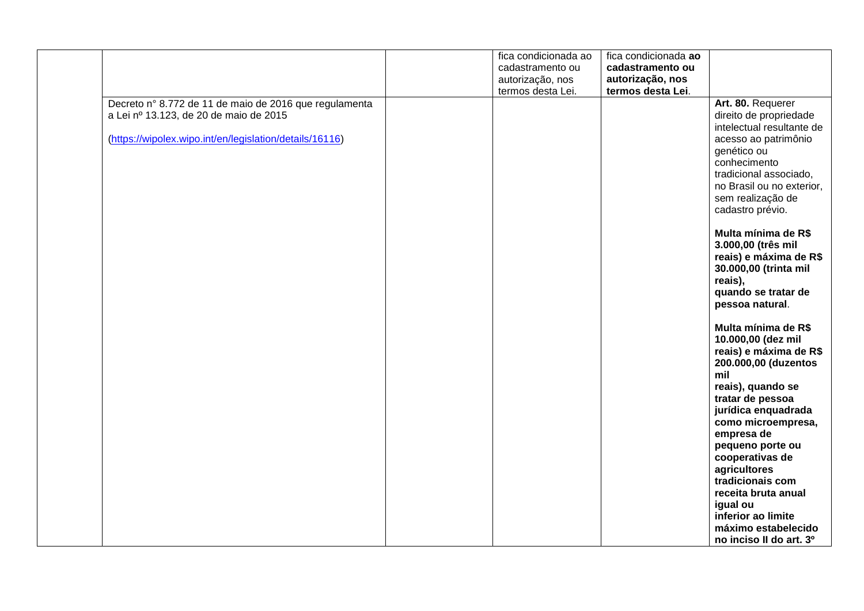|                                                         | fica condicionada ao | fica condicionada ao |                           |
|---------------------------------------------------------|----------------------|----------------------|---------------------------|
|                                                         | cadastramento ou     | cadastramento ou     |                           |
|                                                         | autorização, nos     | autorização, nos     |                           |
|                                                         | termos desta Lei.    | termos desta Lei.    |                           |
| Decreto nº 8.772 de 11 de maio de 2016 que regulamenta  |                      |                      | Art. 80. Requerer         |
| a Lei nº 13.123, de 20 de maio de 2015                  |                      |                      | direito de propriedade    |
|                                                         |                      |                      |                           |
|                                                         |                      |                      | intelectual resultante de |
| (https://wipolex.wipo.int/en/legislation/details/16116) |                      |                      | acesso ao patrimônio      |
|                                                         |                      |                      | genético ou               |
|                                                         |                      |                      | conhecimento              |
|                                                         |                      |                      | tradicional associado,    |
|                                                         |                      |                      | no Brasil ou no exterior, |
|                                                         |                      |                      | sem realização de         |
|                                                         |                      |                      | cadastro prévio.          |
|                                                         |                      |                      |                           |
|                                                         |                      |                      | Multa mínima de R\$       |
|                                                         |                      |                      | 3.000,00 (três mil        |
|                                                         |                      |                      | reais) e máxima de R\$    |
|                                                         |                      |                      | 30.000,00 (trinta mil     |
|                                                         |                      |                      | reais),                   |
|                                                         |                      |                      | quando se tratar de       |
|                                                         |                      |                      | pessoa natural.           |
|                                                         |                      |                      | Multa mínima de R\$       |
|                                                         |                      |                      | 10.000,00 (dez mil        |
|                                                         |                      |                      | reais) e máxima de R\$    |
|                                                         |                      |                      | 200.000,00 (duzentos      |
|                                                         |                      |                      | mil                       |
|                                                         |                      |                      | reais), quando se         |
|                                                         |                      |                      | tratar de pessoa          |
|                                                         |                      |                      | jurídica enquadrada       |
|                                                         |                      |                      | como microempresa,        |
|                                                         |                      |                      | empresa de                |
|                                                         |                      |                      | pequeno porte ou          |
|                                                         |                      |                      | cooperativas de           |
|                                                         |                      |                      | agricultores              |
|                                                         |                      |                      | tradicionais com          |
|                                                         |                      |                      | receita bruta anual       |
|                                                         |                      |                      | igual ou                  |
|                                                         |                      |                      | inferior ao limite        |
|                                                         |                      |                      | máximo estabelecido       |
|                                                         |                      |                      | no inciso II do art. 3º   |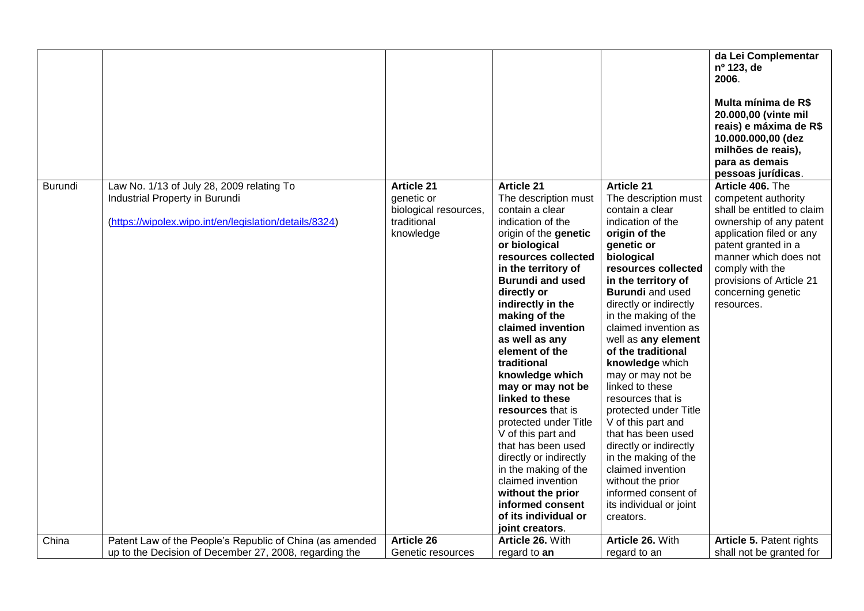|         |                                                                                                                                       |                                                                                      |                                                                                                                                                                                                                                                                                                                                                                                                                                                                                                                                                                                                                                                   |                                                                                                                                                                                                                                                                                                                                                                                                                                                                                                                                                                                                                                                | da Lei Complementar<br>nº 123, de<br>2006.<br>Multa mínima de R\$<br>20.000,00 (vinte mil<br>reais) e máxima de R\$<br>10.000.000,00 (dez<br>milhões de reais),<br>para as demais<br>pessoas jurídicas.                                                         |
|---------|---------------------------------------------------------------------------------------------------------------------------------------|--------------------------------------------------------------------------------------|---------------------------------------------------------------------------------------------------------------------------------------------------------------------------------------------------------------------------------------------------------------------------------------------------------------------------------------------------------------------------------------------------------------------------------------------------------------------------------------------------------------------------------------------------------------------------------------------------------------------------------------------------|------------------------------------------------------------------------------------------------------------------------------------------------------------------------------------------------------------------------------------------------------------------------------------------------------------------------------------------------------------------------------------------------------------------------------------------------------------------------------------------------------------------------------------------------------------------------------------------------------------------------------------------------|-----------------------------------------------------------------------------------------------------------------------------------------------------------------------------------------------------------------------------------------------------------------|
| Burundi | Law No. 1/13 of July 28, 2009 relating To<br>Industrial Property in Burundi<br>(https://wipolex.wipo.int/en/legislation/details/8324) | <b>Article 21</b><br>genetic or<br>biological resources,<br>traditional<br>knowledge | <b>Article 21</b><br>The description must<br>contain a clear<br>indication of the<br>origin of the genetic<br>or biological<br>resources collected<br>in the territory of<br><b>Burundi and used</b><br>directly or<br>indirectly in the<br>making of the<br>claimed invention<br>as well as any<br>element of the<br>traditional<br>knowledge which<br>may or may not be<br>linked to these<br>resources that is<br>protected under Title<br>V of this part and<br>that has been used<br>directly or indirectly<br>in the making of the<br>claimed invention<br>without the prior<br>informed consent<br>of its individual or<br>joint creators. | <b>Article 21</b><br>The description must<br>contain a clear<br>indication of the<br>origin of the<br>genetic or<br>biological<br>resources collected<br>in the territory of<br><b>Burundi</b> and used<br>directly or indirectly<br>in the making of the<br>claimed invention as<br>well as any element<br>of the traditional<br>knowledge which<br>may or may not be<br>linked to these<br>resources that is<br>protected under Title<br>V of this part and<br>that has been used<br>directly or indirectly<br>in the making of the<br>claimed invention<br>without the prior<br>informed consent of<br>its individual or joint<br>creators. | Article 406. The<br>competent authority<br>shall be entitled to claim<br>ownership of any patent<br>application filed or any<br>patent granted in a<br>manner which does not<br>comply with the<br>provisions of Article 21<br>concerning genetic<br>resources. |
| China   | Patent Law of the People's Republic of China (as amended                                                                              | <b>Article 26</b>                                                                    | Article 26. With                                                                                                                                                                                                                                                                                                                                                                                                                                                                                                                                                                                                                                  | Article 26. With                                                                                                                                                                                                                                                                                                                                                                                                                                                                                                                                                                                                                               | Article 5. Patent rights                                                                                                                                                                                                                                        |
|         | up to the Decision of December 27, 2008, regarding the                                                                                | Genetic resources                                                                    | regard to an                                                                                                                                                                                                                                                                                                                                                                                                                                                                                                                                                                                                                                      | regard to an                                                                                                                                                                                                                                                                                                                                                                                                                                                                                                                                                                                                                                   | shall not be granted for                                                                                                                                                                                                                                        |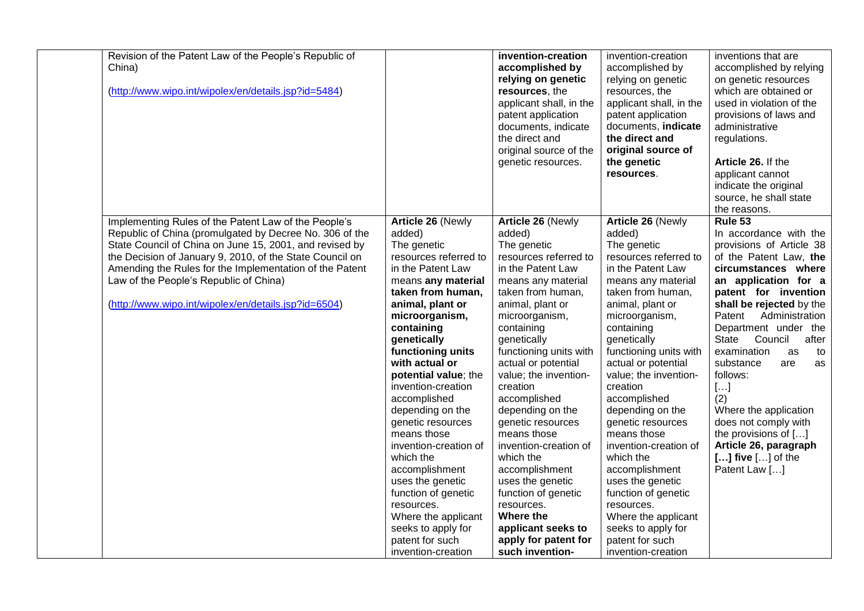| Revision of the Patent Law of the People's Republic of<br>China)<br>(http://www.wipo.int/wipolex/en/details.jsp?id=5484)                                                                                                                                                                                                                                                                            |                                                                                                                                                                                                                                                                                                                                                                                                                                                                                                                                                                            | invention-creation<br>accomplished by<br>relying on genetic<br>resources, the<br>applicant shall, in the<br>patent application<br>documents, indicate<br>the direct and<br>original source of the<br>genetic resources.                                                                                                                                                                                                                                                                                                                                                    | invention-creation<br>accomplished by<br>relying on genetic<br>resources, the<br>applicant shall, in the<br>patent application<br>documents, indicate<br>the direct and<br>original source of<br>the genetic<br>resources.                                                                                                                                                                                                                                                                                                                                                         | inventions that are<br>accomplished by relying<br>on genetic resources<br>which are obtained or<br>used in violation of the<br>provisions of laws and<br>administrative<br>regulations.<br>Article 26. If the<br>applicant cannot<br>indicate the original<br>source, he shall state<br>the reasons.                                                                                                                                                                                                    |
|-----------------------------------------------------------------------------------------------------------------------------------------------------------------------------------------------------------------------------------------------------------------------------------------------------------------------------------------------------------------------------------------------------|----------------------------------------------------------------------------------------------------------------------------------------------------------------------------------------------------------------------------------------------------------------------------------------------------------------------------------------------------------------------------------------------------------------------------------------------------------------------------------------------------------------------------------------------------------------------------|----------------------------------------------------------------------------------------------------------------------------------------------------------------------------------------------------------------------------------------------------------------------------------------------------------------------------------------------------------------------------------------------------------------------------------------------------------------------------------------------------------------------------------------------------------------------------|------------------------------------------------------------------------------------------------------------------------------------------------------------------------------------------------------------------------------------------------------------------------------------------------------------------------------------------------------------------------------------------------------------------------------------------------------------------------------------------------------------------------------------------------------------------------------------|---------------------------------------------------------------------------------------------------------------------------------------------------------------------------------------------------------------------------------------------------------------------------------------------------------------------------------------------------------------------------------------------------------------------------------------------------------------------------------------------------------|
| Implementing Rules of the Patent Law of the People's<br>Republic of China (promulgated by Decree No. 306 of the<br>State Council of China on June 15, 2001, and revised by<br>the Decision of January 9, 2010, of the State Council on<br>Amending the Rules for the Implementation of the Patent<br>Law of the People's Republic of China)<br>(http://www.wipo.int/wipolex/en/details.jsp?id=6504) | Article 26 (Newly<br>added)<br>The genetic<br>resources referred to<br>in the Patent Law<br>means any material<br>taken from human,<br>animal, plant or<br>microorganism,<br>containing<br>genetically<br>functioning units<br>with actual or<br>potential value; the<br>invention-creation<br>accomplished<br>depending on the<br>genetic resources<br>means those<br>invention-creation of<br>which the<br>accomplishment<br>uses the genetic<br>function of genetic<br>resources.<br>Where the applicant<br>seeks to apply for<br>patent for such<br>invention-creation | <b>Article 26 (Newly</b><br>added)<br>The genetic<br>resources referred to<br>in the Patent Law<br>means any material<br>taken from human,<br>animal, plant or<br>microorganism,<br>containing<br>genetically<br>functioning units with<br>actual or potential<br>value; the invention-<br>creation<br>accomplished<br>depending on the<br>genetic resources<br>means those<br>invention-creation of<br>which the<br>accomplishment<br>uses the genetic<br>function of genetic<br>resources.<br>Where the<br>applicant seeks to<br>apply for patent for<br>such invention- | <b>Article 26 (Newly</b><br>added)<br>The genetic<br>resources referred to<br>in the Patent Law<br>means any material<br>taken from human,<br>animal, plant or<br>microorganism,<br>containing<br>genetically<br>functioning units with<br>actual or potential<br>value; the invention-<br>creation<br>accomplished<br>depending on the<br>genetic resources<br>means those<br>invention-creation of<br>which the<br>accomplishment<br>uses the genetic<br>function of genetic<br>resources.<br>Where the applicant<br>seeks to apply for<br>patent for such<br>invention-creation | Rule 53<br>In accordance with the<br>provisions of Article 38<br>of the Patent Law, the<br>circumstances where<br>an application for a<br>patent for invention<br>shall be rejected by the<br>Patent<br>Administration<br>Department under the<br>State<br>Council<br>after<br>examination<br>as<br>to<br>substance<br>are<br>as<br>follows:<br>$[]$<br>(2)<br>Where the application<br>does not comply with<br>the provisions of []<br>Article 26, paragraph<br>$[]$ five $[]$ of the<br>Patent Law [] |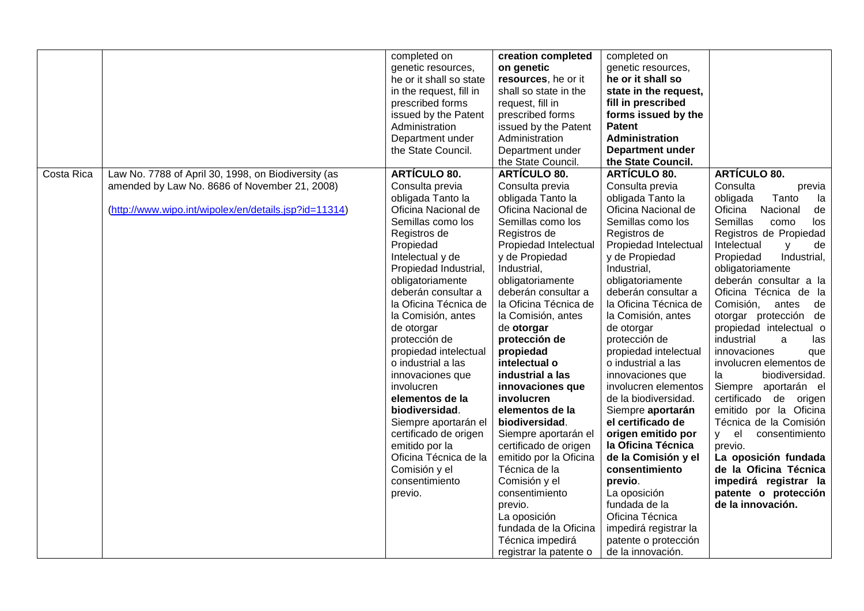|            |                                                       | completed on            | creation completed     | completed on            |                                   |
|------------|-------------------------------------------------------|-------------------------|------------------------|-------------------------|-----------------------------------|
|            |                                                       | genetic resources,      | on genetic             | genetic resources,      |                                   |
|            |                                                       | he or it shall so state | resources, he or it    | he or it shall so       |                                   |
|            |                                                       | in the request, fill in | shall so state in the  | state in the request,   |                                   |
|            |                                                       | prescribed forms        | request, fill in       | fill in prescribed      |                                   |
|            |                                                       | issued by the Patent    | prescribed forms       | forms issued by the     |                                   |
|            |                                                       | Administration          | issued by the Patent   | <b>Patent</b>           |                                   |
|            |                                                       | Department under        | Administration         | Administration          |                                   |
|            |                                                       | the State Council.      | Department under       | <b>Department under</b> |                                   |
|            |                                                       |                         |                        | the State Council.      |                                   |
|            |                                                       |                         | the State Council.     |                         |                                   |
| Costa Rica | Law No. 7788 of April 30, 1998, on Biodiversity (as   | <b>ARTÍCULO 80.</b>     | <b>ARTÍCULO 80.</b>    | <b>ARTÍCULO 80.</b>     | <b>ARTÍCULO 80.</b>               |
|            | amended by Law No. 8686 of November 21, 2008)         | Consulta previa         | Consulta previa        | Consulta previa         | Consulta<br>previa                |
|            |                                                       | obligada Tanto la       | obligada Tanto la      | obligada Tanto la       | obligada<br>Tanto<br>la           |
|            | (http://www.wipo.int/wipolex/en/details.jsp?id=11314) | Oficina Nacional de     | Oficina Nacional de    | Oficina Nacional de     | Oficina<br>de<br>Nacional         |
|            |                                                       | Semillas como los       | Semillas como los      | Semillas como los       | <b>Semillas</b><br>como<br>los    |
|            |                                                       | Registros de            | Registros de           | Registros de            | Registros de Propiedad            |
|            |                                                       | Propiedad               | Propiedad Intelectual  | Propiedad Intelectual   | Intelectual<br>de<br>$\mathsf{V}$ |
|            |                                                       | Intelectual y de        | y de Propiedad         | y de Propiedad          | Propiedad<br>Industrial,          |
|            |                                                       | Propiedad Industrial,   | Industrial,            | Industrial,             | obligatoriamente                  |
|            |                                                       | obligatoriamente        | obligatoriamente       | obligatoriamente        | deberán consultar a la            |
|            |                                                       | deberán consultar a     | deberán consultar a    | deberán consultar a     | Oficina Técnica de la             |
|            |                                                       | la Oficina Técnica de   | la Oficina Técnica de  | la Oficina Técnica de   | Comisión,<br>antes<br>de          |
|            |                                                       | la Comisión, antes      | la Comisión, antes     | la Comisión, antes      | otorgar protección de             |
|            |                                                       | de otorgar              | de otorgar             | de otorgar              | propiedad intelectual o           |
|            |                                                       | protección de           | protección de          | protección de           | industrial<br>a<br>las            |
|            |                                                       | propiedad intelectual   | propiedad              | propiedad intelectual   | innovaciones<br>que               |
|            |                                                       | o industrial a las      | intelectual o          | o industrial a las      | involucren elementos de           |
|            |                                                       | innovaciones que        | industrial a las       | innovaciones que        | biodiversidad.<br>la              |
|            |                                                       | involucren              | innovaciones que       | involucren elementos    | Siempre aportarán el              |
|            |                                                       | elementos de la         | involucren             | de la biodiversidad.    | certificado de origen             |
|            |                                                       | biodiversidad.          | elementos de la        | Siempre aportarán       | emitido por la Oficina            |
|            |                                                       | Siempre aportarán el    | biodiversidad.         | el certificado de       | Técnica de la Comisión            |
|            |                                                       | certificado de origen   | Siempre aportarán el   | origen emitido por      | y el<br>consentimiento            |
|            |                                                       | emitido por la          | certificado de origen  | la Oficina Técnica      | previo.                           |
|            |                                                       | Oficina Técnica de la   | emitido por la Oficina | de la Comisión y el     | La oposición fundada              |
|            |                                                       | Comisión y el           | Técnica de la          | consentimiento          | de la Oficina Técnica             |
|            |                                                       | consentimiento          | Comisión y el          | previo.                 | impedirá registrar la             |
|            |                                                       | previo.                 | consentimiento         | La oposición            | patente o protección              |
|            |                                                       |                         | previo.                | fundada de la           | de la innovación.                 |
|            |                                                       |                         | La oposición           | Oficina Técnica         |                                   |
|            |                                                       |                         | fundada de la Oficina  | impedirá registrar la   |                                   |
|            |                                                       |                         | Técnica impedirá       | patente o protección    |                                   |
|            |                                                       |                         |                        |                         |                                   |
|            |                                                       |                         | registrar la patente o | de la innovación.       |                                   |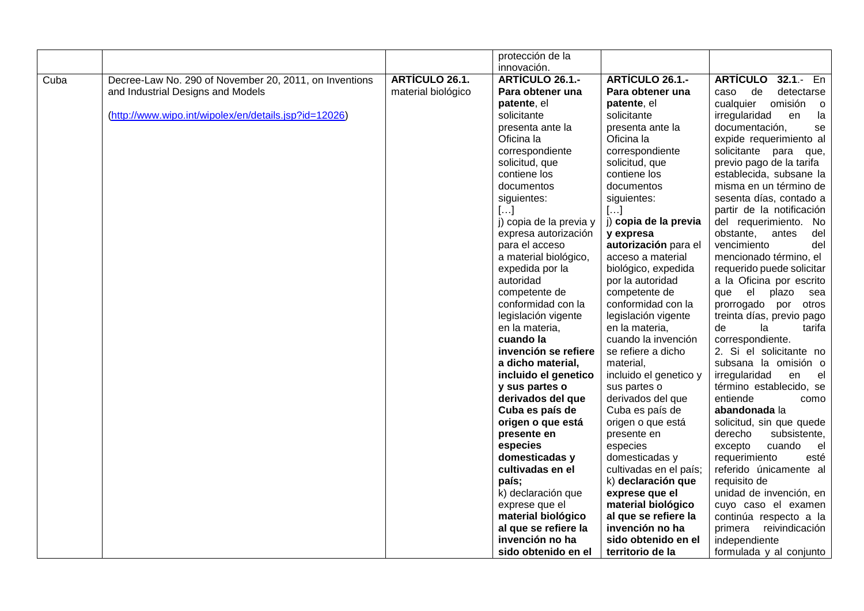|      |                                                        |                       | protección de la            |                                       |                                                 |
|------|--------------------------------------------------------|-----------------------|-----------------------------|---------------------------------------|-------------------------------------------------|
|      |                                                        |                       | innovación.                 |                                       |                                                 |
| Cuba | Decree-Law No. 290 of November 20, 2011, on Inventions | <b>ARTÍCULO 26.1.</b> | ARTÍCULO 26.1.-             | <b>ARTÍCULO 26.1.-</b>                | <b>ARTÍCULO</b><br>$32.1 - En$                  |
|      | and Industrial Designs and Models                      | material biológico    | Para obtener una            | Para obtener una                      | detectarse<br>de<br>caso                        |
|      |                                                        |                       | patente, el                 | patente, el                           | omisión<br>cualquier<br>$\overline{\mathbf{0}}$ |
|      | (http://www.wipo.int/wipolex/en/details.jsp?id=12026)  |                       | solicitante                 | solicitante                           | irregularidad<br>en<br>la                       |
|      |                                                        |                       | presenta ante la            | presenta ante la                      | documentación,<br>se                            |
|      |                                                        |                       | Oficina la                  | Oficina la                            | expide requerimiento al                         |
|      |                                                        |                       | correspondiente             | correspondiente                       | solicitante para que,                           |
|      |                                                        |                       | solicitud, que              | solicitud, que                        | previo pago de la tarifa                        |
|      |                                                        |                       | contiene los                | contiene los                          | establecida, subsane la                         |
|      |                                                        |                       | documentos                  | documentos                            | misma en un término de                          |
|      |                                                        |                       | siguientes:                 | siguientes:                           | sesenta días, contado a                         |
|      |                                                        |                       | $[]$                        | []                                    | partir de la notificación                       |
|      |                                                        |                       | j) copia de la previa y     | j) copia de la previa                 | del requerimiento. No                           |
|      |                                                        |                       | expresa autorización        | y expresa                             | obstante,<br>del<br>antes                       |
|      |                                                        |                       | para el acceso              | autorización para el                  | vencimiento<br>del                              |
|      |                                                        |                       | a material biológico,       | acceso a material                     | mencionado término, el                          |
|      |                                                        |                       | expedida por la             | biológico, expedida                   | requerido puede solicitar                       |
|      |                                                        |                       | autoridad                   | por la autoridad                      | a la Oficina por escrito                        |
|      |                                                        |                       | competente de               | competente de                         | el<br>que<br>plazo<br>sea                       |
|      |                                                        |                       | conformidad con la          | conformidad con la                    | prorrogado por<br>otros                         |
|      |                                                        |                       | legislación vigente         | legislación vigente                   | treinta días, previo pago                       |
|      |                                                        |                       | en la materia,<br>cuando la | en la materia,<br>cuando la invención | tarifa<br>de<br>la<br>correspondiente.          |
|      |                                                        |                       | invención se refiere        | se refiere a dicho                    | 2. Si el solicitante no                         |
|      |                                                        |                       | a dicho material,           | material,                             | subsana la omisión o                            |
|      |                                                        |                       | incluido el genetico        | incluido el genetico y                | irregularidad<br>en<br>el                       |
|      |                                                        |                       | y sus partes o              | sus partes o                          | término establecido, se                         |
|      |                                                        |                       | derivados del que           | derivados del que                     | entiende<br>como                                |
|      |                                                        |                       | Cuba es país de             | Cuba es país de                       | abandonada la                                   |
|      |                                                        |                       | origen o que está           | origen o que está                     | solicitud, sin que quede                        |
|      |                                                        |                       | presente en                 | presente en                           | subsistente,<br>derecho                         |
|      |                                                        |                       | especies                    | especies                              | cuando<br>excepto<br>el                         |
|      |                                                        |                       | domesticadas y              | domesticadas y                        | requerimiento<br>esté                           |
|      |                                                        |                       | cultivadas en el            | cultivadas en el país;                | referido únicamente al                          |
|      |                                                        |                       | país;                       | k) declaración que                    | requisito de                                    |
|      |                                                        |                       | k) declaración que          | exprese que el                        | unidad de invención, en                         |
|      |                                                        |                       | exprese que el              | material biológico                    | cuyo caso el examen                             |
|      |                                                        |                       | material biológico          | al que se refiere la                  | continúa respecto a la                          |
|      |                                                        |                       | al que se refiere la        | invención no ha                       | primera<br>reivindicación                       |
|      |                                                        |                       | invención no ha             | sido obtenido en el                   | independiente                                   |
|      |                                                        |                       | sido obtenido en el         | territorio de la                      | formulada y al conjunto                         |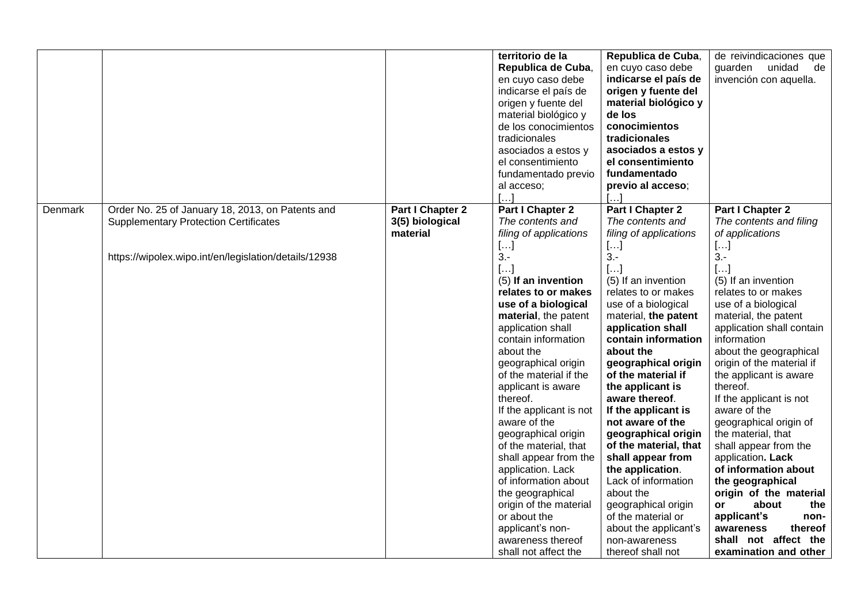|         |                                                                                                                                                           |                                                 | territorio de la<br>Republica de Cuba,<br>en cuyo caso debe<br>indicarse el país de<br>origen y fuente del<br>material biológico y<br>de los conocimientos<br>tradicionales<br>asociados a estos y<br>el consentimiento<br>fundamentado previo<br>al acceso;                                                                                                                                                                                                                                                                                                                                                                     | Republica de Cuba,<br>en cuyo caso debe<br>indicarse el país de<br>origen y fuente del<br>material biológico y<br>de los<br>conocimientos<br>tradicionales<br>asociados a estos y<br>el consentimiento<br>fundamentado<br>previo al acceso;                                                                                                                                                                                                                                                                                                                                                                        | de reivindicaciones que<br>guarden<br>unidad<br>de<br>invención con aquella.                                                                                                                                                                                                                                                                                                                                                                                                                                                                                                                                                                                     |
|---------|-----------------------------------------------------------------------------------------------------------------------------------------------------------|-------------------------------------------------|----------------------------------------------------------------------------------------------------------------------------------------------------------------------------------------------------------------------------------------------------------------------------------------------------------------------------------------------------------------------------------------------------------------------------------------------------------------------------------------------------------------------------------------------------------------------------------------------------------------------------------|--------------------------------------------------------------------------------------------------------------------------------------------------------------------------------------------------------------------------------------------------------------------------------------------------------------------------------------------------------------------------------------------------------------------------------------------------------------------------------------------------------------------------------------------------------------------------------------------------------------------|------------------------------------------------------------------------------------------------------------------------------------------------------------------------------------------------------------------------------------------------------------------------------------------------------------------------------------------------------------------------------------------------------------------------------------------------------------------------------------------------------------------------------------------------------------------------------------------------------------------------------------------------------------------|
| Denmark | Order No. 25 of January 18, 2013, on Patents and<br><b>Supplementary Protection Certificates</b><br>https://wipolex.wipo.int/en/legislation/details/12938 | Part I Chapter 2<br>3(5) biological<br>material | Part I Chapter 2<br>The contents and<br>filing of applications<br>$[]$<br>$3 -$<br>$[]$<br>(5) If an invention<br>relates to or makes<br>use of a biological<br>material, the patent<br>application shall<br>contain information<br>about the<br>geographical origin<br>of the material if the<br>applicant is aware<br>thereof.<br>If the applicant is not<br>aware of the<br>geographical origin<br>of the material, that<br>shall appear from the<br>application. Lack<br>of information about<br>the geographical<br>origin of the material<br>or about the<br>applicant's non-<br>awareness thereof<br>shall not affect the | Part I Chapter 2<br>The contents and<br>filing of applications<br>[]<br>$3 -$<br>$[]$<br>(5) If an invention<br>relates to or makes<br>use of a biological<br>material, the patent<br>application shall<br>contain information<br>about the<br>geographical origin<br>of the material if<br>the applicant is<br>aware thereof.<br>If the applicant is<br>not aware of the<br>geographical origin<br>of the material, that<br>shall appear from<br>the application.<br>Lack of information<br>about the<br>geographical origin<br>of the material or<br>about the applicant's<br>non-awareness<br>thereof shall not | Part I Chapter 2<br>The contents and filing<br>of applications<br>[]<br>$3 -$<br>$[]$<br>(5) If an invention<br>relates to or makes<br>use of a biological<br>material, the patent<br>application shall contain<br>information<br>about the geographical<br>origin of the material if<br>the applicant is aware<br>thereof.<br>If the applicant is not<br>aware of the<br>geographical origin of<br>the material, that<br>shall appear from the<br>application. Lack<br>of information about<br>the geographical<br>origin of the material<br>about<br>the<br>or<br>applicant's<br>non-<br>awareness<br>thereof<br>shall not affect the<br>examination and other |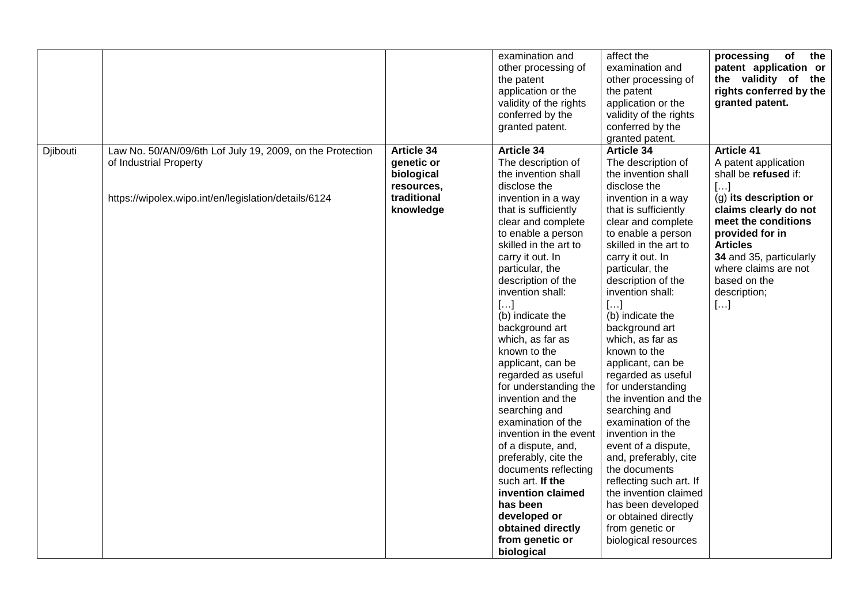|          |                                                                                                                                             |                                                                                  | examination and<br>other processing of<br>the patent<br>application or the<br>validity of the rights<br>conferred by the<br>granted patent.                                                                                                                                                                                                                                                                                                                                                                                                                                                                                                                                                                                     | affect the<br>examination and<br>other processing of<br>the patent<br>application or the<br>validity of the rights<br>conferred by the<br>granted patent.                                                                                                                                                                                                                                                                                                                                                                                                                                                                                                                                                                              | of<br>the<br>processing<br>patent application or<br>the validity of the<br>rights conferred by the<br>granted patent.                                                                                                                                                                                 |
|----------|---------------------------------------------------------------------------------------------------------------------------------------------|----------------------------------------------------------------------------------|---------------------------------------------------------------------------------------------------------------------------------------------------------------------------------------------------------------------------------------------------------------------------------------------------------------------------------------------------------------------------------------------------------------------------------------------------------------------------------------------------------------------------------------------------------------------------------------------------------------------------------------------------------------------------------------------------------------------------------|----------------------------------------------------------------------------------------------------------------------------------------------------------------------------------------------------------------------------------------------------------------------------------------------------------------------------------------------------------------------------------------------------------------------------------------------------------------------------------------------------------------------------------------------------------------------------------------------------------------------------------------------------------------------------------------------------------------------------------------|-------------------------------------------------------------------------------------------------------------------------------------------------------------------------------------------------------------------------------------------------------------------------------------------------------|
| Djibouti | Law No. 50/AN/09/6th Lof July 19, 2009, on the Protection<br>of Industrial Property<br>https://wipolex.wipo.int/en/legislation/details/6124 | Article 34<br>genetic or<br>biological<br>resources,<br>traditional<br>knowledge | <b>Article 34</b><br>The description of<br>the invention shall<br>disclose the<br>invention in a way<br>that is sufficiently<br>clear and complete<br>to enable a person<br>skilled in the art to<br>carry it out. In<br>particular, the<br>description of the<br>invention shall:<br>$[]$<br>(b) indicate the<br>background art<br>which, as far as<br>known to the<br>applicant, can be<br>regarded as useful<br>for understanding the<br>invention and the<br>searching and<br>examination of the<br>invention in the event<br>of a dispute, and,<br>preferably, cite the<br>documents reflecting<br>such art. If the<br>invention claimed<br>has been<br>developed or<br>obtained directly<br>from genetic or<br>biological | <b>Article 34</b><br>The description of<br>the invention shall<br>disclose the<br>invention in a way<br>that is sufficiently<br>clear and complete<br>to enable a person<br>skilled in the art to<br>carry it out. In<br>particular, the<br>description of the<br>invention shall:<br>$[]$<br>(b) indicate the<br>background art<br>which, as far as<br>known to the<br>applicant, can be<br>regarded as useful<br>for understanding<br>the invention and the<br>searching and<br>examination of the<br>invention in the<br>event of a dispute,<br>and, preferably, cite<br>the documents<br>reflecting such art. If<br>the invention claimed<br>has been developed<br>or obtained directly<br>from genetic or<br>biological resources | <b>Article 41</b><br>A patent application<br>shall be refused if:<br>$[]$<br>(g) its description or<br>claims clearly do not<br>meet the conditions<br>provided for in<br><b>Articles</b><br>34 and 35, particularly<br>where claims are not<br>based on the<br>description;<br>$\left[\ldots\right]$ |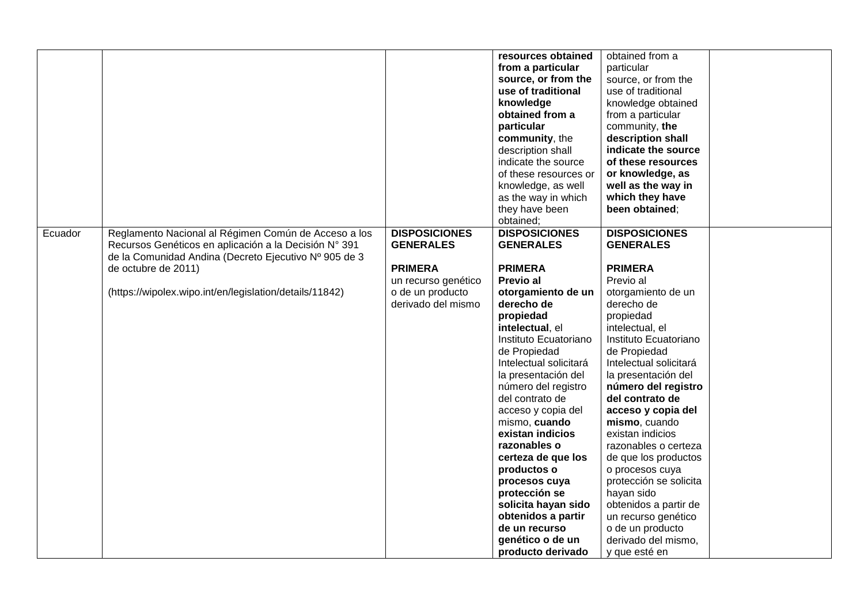|         |                                                         |                      | resources obtained     | obtained from a        |  |
|---------|---------------------------------------------------------|----------------------|------------------------|------------------------|--|
|         |                                                         |                      | from a particular      | particular             |  |
|         |                                                         |                      | source, or from the    | source, or from the    |  |
|         |                                                         |                      | use of traditional     | use of traditional     |  |
|         |                                                         |                      | knowledge              | knowledge obtained     |  |
|         |                                                         |                      | obtained from a        | from a particular      |  |
|         |                                                         |                      | particular             | community, the         |  |
|         |                                                         |                      | community, the         | description shall      |  |
|         |                                                         |                      | description shall      | indicate the source    |  |
|         |                                                         |                      | indicate the source    | of these resources     |  |
|         |                                                         |                      | of these resources or  | or knowledge, as       |  |
|         |                                                         |                      | knowledge, as well     | well as the way in     |  |
|         |                                                         |                      | as the way in which    | which they have        |  |
|         |                                                         |                      | they have been         | been obtained;         |  |
|         |                                                         |                      | obtained;              |                        |  |
| Ecuador | Reglamento Nacional al Régimen Común de Acceso a los    | <b>DISPOSICIONES</b> | <b>DISPOSICIONES</b>   | <b>DISPOSICIONES</b>   |  |
|         | Recursos Genéticos en aplicación a la Decisión Nº 391   | <b>GENERALES</b>     | <b>GENERALES</b>       | <b>GENERALES</b>       |  |
|         | de la Comunidad Andina (Decreto Ejecutivo Nº 905 de 3   |                      |                        |                        |  |
|         | de octubre de 2011)                                     | <b>PRIMERA</b>       | <b>PRIMERA</b>         | <b>PRIMERA</b>         |  |
|         |                                                         | un recurso genético  | Previo al              | Previo al              |  |
|         | (https://wipolex.wipo.int/en/legislation/details/11842) | o de un producto     | otorgamiento de un     | otorgamiento de un     |  |
|         |                                                         | derivado del mismo   | derecho de             | derecho de             |  |
|         |                                                         |                      | propiedad              | propiedad              |  |
|         |                                                         |                      | intelectual, el        | intelectual, el        |  |
|         |                                                         |                      | Instituto Ecuatoriano  | Instituto Ecuatoriano  |  |
|         |                                                         |                      | de Propiedad           | de Propiedad           |  |
|         |                                                         |                      | Intelectual solicitará | Intelectual solicitará |  |
|         |                                                         |                      | la presentación del    | la presentación del    |  |
|         |                                                         |                      | número del registro    | número del registro    |  |
|         |                                                         |                      | del contrato de        | del contrato de        |  |
|         |                                                         |                      | acceso y copia del     | acceso y copia del     |  |
|         |                                                         |                      | mismo, cuando          | mismo, cuando          |  |
|         |                                                         |                      | existan indicios       | existan indicios       |  |
|         |                                                         |                      | razonables o           | razonables o certeza   |  |
|         |                                                         |                      | certeza de que los     | de que los productos   |  |
|         |                                                         |                      | productos o            | o procesos cuya        |  |
|         |                                                         |                      | procesos cuya          | protección se solicita |  |
|         |                                                         |                      | protección se          | hayan sido             |  |
|         |                                                         |                      | solicita hayan sido    | obtenidos a partir de  |  |
|         |                                                         |                      | obtenidos a partir     | un recurso genético    |  |
|         |                                                         |                      | de un recurso          | o de un producto       |  |
|         |                                                         |                      | genético o de un       | derivado del mismo,    |  |
|         |                                                         |                      | producto derivado      | y que esté en          |  |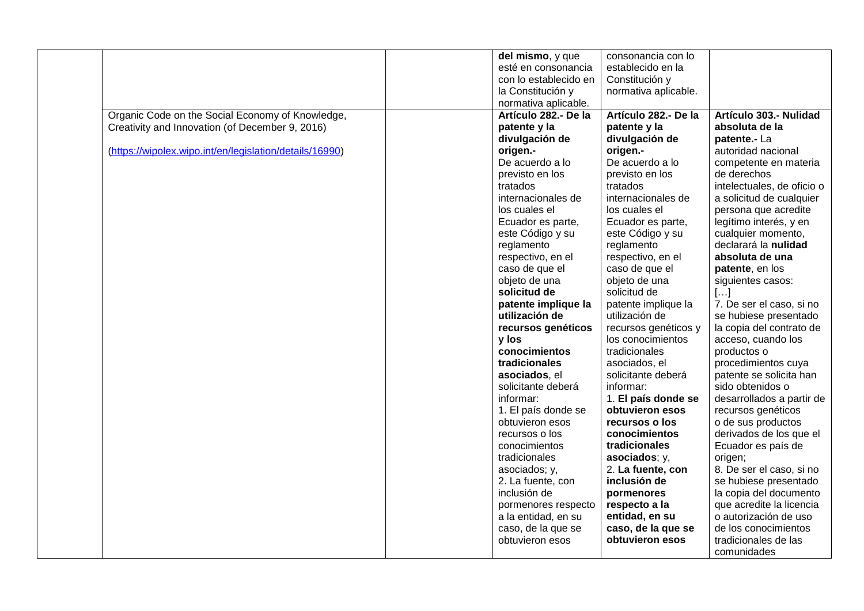|                                                         | del mismo, y que      | consonancia con lo    |                            |
|---------------------------------------------------------|-----------------------|-----------------------|----------------------------|
|                                                         | esté en consonancia   | establecido en la     |                            |
|                                                         | con lo establecido en | Constitución y        |                            |
|                                                         | la Constitución y     | normativa aplicable.  |                            |
|                                                         | normativa aplicable.  |                       |                            |
| Organic Code on the Social Economy of Knowledge,        | Artículo 282 .- De la | Artículo 282 .- De la | Artículo 303.- Nulidad     |
| Creativity and Innovation (of December 9, 2016)         | patente y la          | patente y la          | absoluta de la             |
|                                                         | divulgación de        | divulgación de        | patente .- La              |
| (https://wipolex.wipo.int/en/legislation/details/16990) | origen.-              | origen.-              | autoridad nacional         |
|                                                         | De acuerdo a lo       | De acuerdo a lo       | competente en materia      |
|                                                         | previsto en los       | previsto en los       | de derechos                |
|                                                         | tratados              | tratados              | intelectuales, de oficio o |
|                                                         | internacionales de    | internacionales de    | a solicitud de cualquier   |
|                                                         | los cuales el         | los cuales el         | persona que acredite       |
|                                                         | Ecuador es parte,     | Ecuador es parte,     | legítimo interés, y en     |
|                                                         | este Código y su      | este Código y su      | cualquier momento,         |
|                                                         | reglamento            | reglamento            | declarará la nulidad       |
|                                                         | respectivo, en el     | respectivo, en el     | absoluta de una            |
|                                                         | caso de que el        | caso de que el        | patente, en los            |
|                                                         | objeto de una         | objeto de una         | siguientes casos:          |
|                                                         | solicitud de          | solicitud de          | []                         |
|                                                         | patente implique la   | patente implique la   | 7. De ser el caso, si no   |
|                                                         | utilización de        | utilización de        | se hubiese presentado      |
|                                                         | recursos genéticos    | recursos genéticos y  | la copia del contrato de   |
|                                                         | y los                 | los conocimientos     | acceso, cuando los         |
|                                                         | conocimientos         | tradicionales         | productos o                |
|                                                         | tradicionales         | asociados, el         | procedimientos cuya        |
|                                                         | asociados, el         | solicitante deberá    | patente se solicita han    |
|                                                         | solicitante deberá    | informar:             | sido obtenidos o           |
|                                                         | informar:             | 1. El país donde se   | desarrollados a partir de  |
|                                                         | 1. El país donde se   | obtuvieron esos       | recursos genéticos         |
|                                                         | obtuvieron esos       | recursos o los        | o de sus productos         |
|                                                         | recursos o los        | conocimientos         | derivados de los que el    |
|                                                         | conocimientos         | tradicionales         | Ecuador es país de         |
|                                                         | tradicionales         | asociados; y,         | origen;                    |
|                                                         | asociados; y,         | 2. La fuente, con     | 8. De ser el caso, si no   |
|                                                         | 2. La fuente, con     | inclusión de          | se hubiese presentado      |
|                                                         | inclusión de          | pormenores            | la copia del documento     |
|                                                         | pormenores respecto   | respecto a la         | que acredite la licencia   |
|                                                         | a la entidad, en su   | entidad, en su        | o autorización de uso      |
|                                                         | caso, de la que se    | caso, de la que se    | de los conocimientos       |
|                                                         | obtuvieron esos       | obtuvieron esos       | tradicionales de las       |
|                                                         |                       |                       | comunidades                |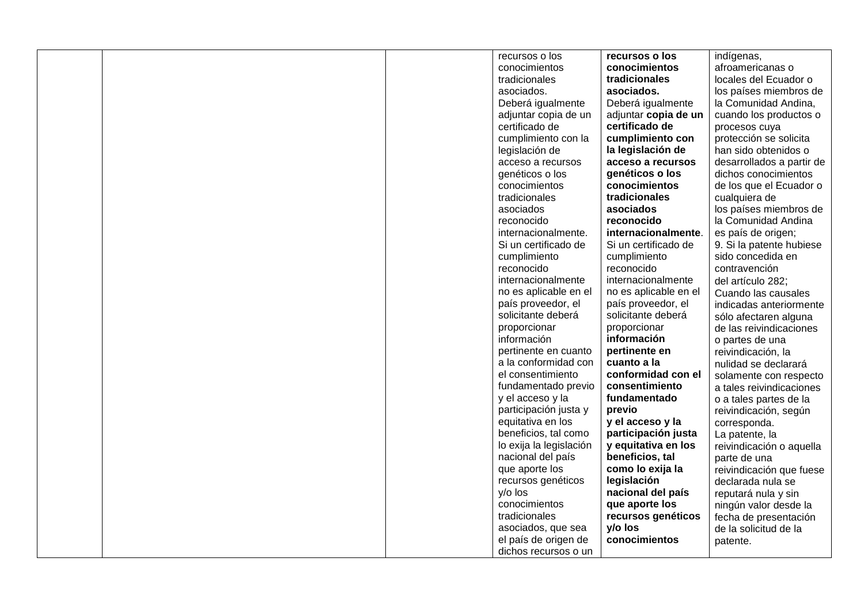|  | recursos o los          | recursos o los        | indígenas,                |
|--|-------------------------|-----------------------|---------------------------|
|  | conocimientos           | conocimientos         | afroamericanas o          |
|  | tradicionales           | tradicionales         | locales del Ecuador o     |
|  | asociados.              | asociados.            | los países miembros de    |
|  | Deberá igualmente       | Deberá igualmente     | la Comunidad Andina,      |
|  | adjuntar copia de un    | adjuntar copia de un  | cuando los productos o    |
|  | certificado de          | certificado de        | procesos cuya             |
|  | cumplimiento con la     | cumplimiento con      | protección se solicita    |
|  | legislación de          | la legislación de     | han sido obtenidos o      |
|  | acceso a recursos       | acceso a recursos     | desarrollados a partir de |
|  | genéticos o los         | genéticos o los       | dichos conocimientos      |
|  | conocimientos           | conocimientos         | de los que el Ecuador o   |
|  | tradicionales           | tradicionales         | cualquiera de             |
|  | asociados               | asociados             | los países miembros de    |
|  | reconocido              | reconocido            | la Comunidad Andina       |
|  | internacionalmente.     | internacionalmente.   | es país de origen;        |
|  | Si un certificado de    | Si un certificado de  | 9. Si la patente hubiese  |
|  | cumplimiento            | cumplimiento          | sido concedida en         |
|  | reconocido              | reconocido            | contravención             |
|  | internacionalmente      | internacionalmente    | del artículo 282;         |
|  | no es aplicable en el   | no es aplicable en el | Cuando las causales       |
|  | país proveedor, el      | país proveedor, el    | indicadas anteriormente   |
|  | solicitante deberá      | solicitante deberá    | sólo afectaren alguna     |
|  | proporcionar            | proporcionar          | de las reivindicaciones   |
|  | información             | información           | o partes de una           |
|  | pertinente en cuanto    | pertinente en         | reivindicación, la        |
|  | a la conformidad con    | cuanto a la           | nulidad se declarará      |
|  | el consentimiento       | conformidad con el    | solamente con respecto    |
|  | fundamentado previo     | consentimiento        | a tales reivindicaciones  |
|  | y el acceso y la        | fundamentado          | o a tales partes de la    |
|  | participación justa y   | previo                | reivindicación, según     |
|  | equitativa en los       | y el acceso y la      | corresponda.              |
|  | beneficios, tal como    | participación justa   | La patente, la            |
|  | lo exija la legislación | y equitativa en los   | reivindicación o aquella  |
|  | nacional del país       | beneficios, tal       | parte de una              |
|  | que aporte los          | como lo exija la      | reivindicación que fuese  |
|  | recursos genéticos      | legislación           | declarada nula se         |
|  | $y$ /o los              | nacional del país     | reputará nula y sin       |
|  | conocimientos           | que aporte los        | ningún valor desde la     |
|  | tradicionales           | recursos genéticos    | fecha de presentación     |
|  | asociados, que sea      | y/o los               | de la solicitud de la     |
|  | el país de origen de    | conocimientos         | patente.                  |
|  | dichos recursos o un    |                       |                           |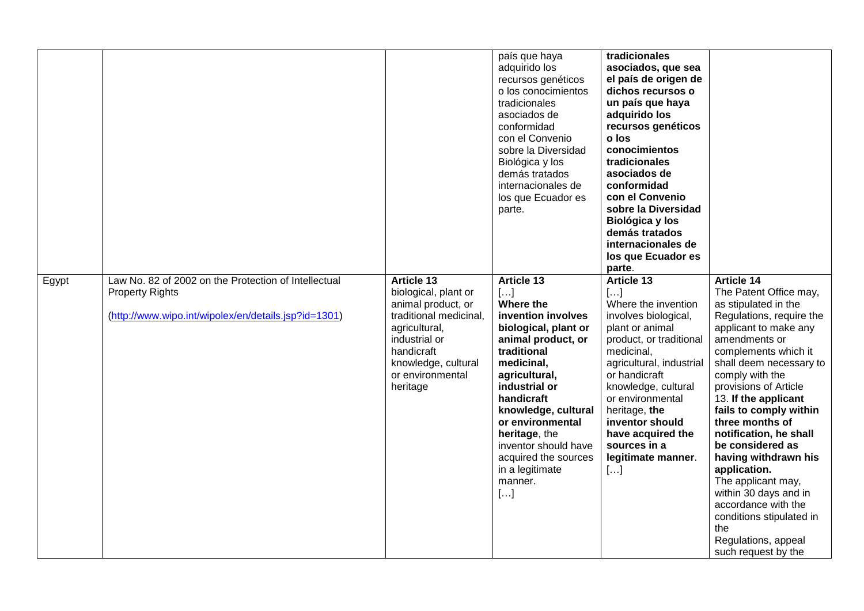|       |                                                                                                                                        |                                                                                                                                                                                                  | país que haya<br>adquirido los<br>recursos genéticos<br>o los conocimientos<br>tradicionales<br>asociados de<br>conformidad<br>con el Convenio<br>sobre la Diversidad<br>Biológica y los<br>demás tratados<br>internacionales de<br>los que Ecuador es<br>parte.                                                                        | tradicionales<br>asociados, que sea<br>el país de origen de<br>dichos recursos o<br>un país que haya<br>adquirido los<br>recursos genéticos<br>o los<br>conocimientos<br>tradicionales<br>asociados de<br>conformidad<br>con el Convenio<br>sobre la Diversidad<br>Biológica y los<br>demás tratados<br>internacionales de<br>los que Ecuador es<br>parte. |                                                                                                                                                                                                                                                                                                                                                                                                                                                                                                                                                            |
|-------|----------------------------------------------------------------------------------------------------------------------------------------|--------------------------------------------------------------------------------------------------------------------------------------------------------------------------------------------------|-----------------------------------------------------------------------------------------------------------------------------------------------------------------------------------------------------------------------------------------------------------------------------------------------------------------------------------------|------------------------------------------------------------------------------------------------------------------------------------------------------------------------------------------------------------------------------------------------------------------------------------------------------------------------------------------------------------|------------------------------------------------------------------------------------------------------------------------------------------------------------------------------------------------------------------------------------------------------------------------------------------------------------------------------------------------------------------------------------------------------------------------------------------------------------------------------------------------------------------------------------------------------------|
| Egypt | Law No. 82 of 2002 on the Protection of Intellectual<br><b>Property Rights</b><br>(http://www.wipo.int/wipolex/en/details.jsp?id=1301) | <b>Article 13</b><br>biological, plant or<br>animal product, or<br>traditional medicinal,<br>agricultural,<br>industrial or<br>handicraft<br>knowledge, cultural<br>or environmental<br>heritage | <b>Article 13</b><br>[]<br>Where the<br>invention involves<br>biological, plant or<br>animal product, or<br>traditional<br>medicinal,<br>agricultural,<br>industrial or<br>handicraft<br>knowledge, cultural<br>or environmental<br>heritage, the<br>inventor should have<br>acquired the sources<br>in a legitimate<br>manner.<br>$[]$ | Article 13<br>$\left[\ldots\right]$<br>Where the invention<br>involves biological,<br>plant or animal<br>product, or traditional<br>medicinal,<br>agricultural, industrial<br>or handicraft<br>knowledge, cultural<br>or environmental<br>heritage, the<br>inventor should<br>have acquired the<br>sources in a<br>legitimate manner.<br>[]                | <b>Article 14</b><br>The Patent Office may,<br>as stipulated in the<br>Regulations, require the<br>applicant to make any<br>amendments or<br>complements which it<br>shall deem necessary to<br>comply with the<br>provisions of Article<br>13. If the applicant<br>fails to comply within<br>three months of<br>notification, he shall<br>be considered as<br>having withdrawn his<br>application.<br>The applicant may,<br>within 30 days and in<br>accordance with the<br>conditions stipulated in<br>the<br>Regulations, appeal<br>such request by the |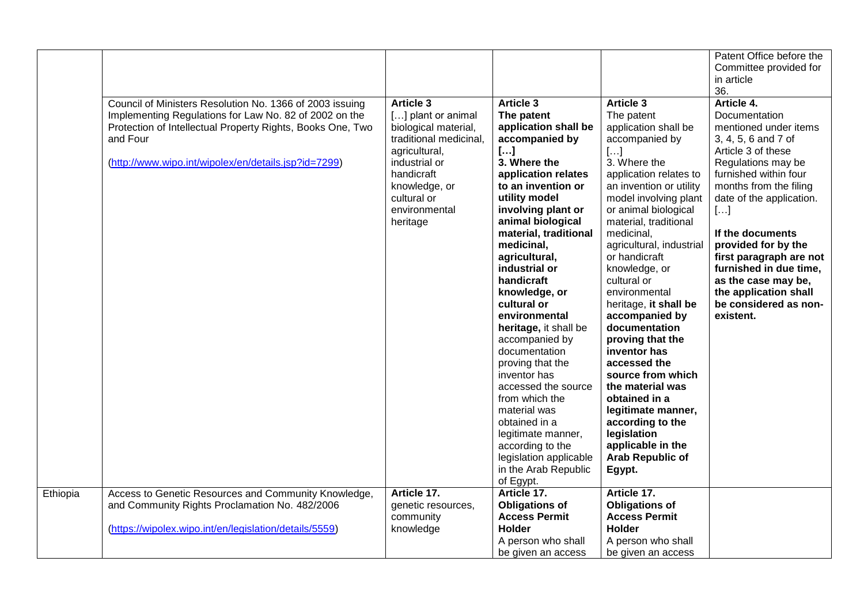|          | Council of Ministers Resolution No. 1366 of 2003 issuing<br>Implementing Regulations for Law No. 82 of 2002 on the<br>Protection of Intellectual Property Rights, Books One, Two<br>and Four<br>(http://www.wipo.int/wipolex/en/details.jsp?id=7299) | <b>Article 3</b><br>[] plant or animal<br>biological material,<br>traditional medicinal,<br>agricultural,<br>industrial or<br>handicraft<br>knowledge, or<br>cultural or<br>environmental<br>heritage | <b>Article 3</b><br>The patent<br>application shall be<br>accompanied by<br>$[]$<br>3. Where the<br>application relates<br>to an invention or<br>utility model<br>involving plant or<br>animal biological<br>material, traditional<br>medicinal,<br>agricultural,<br>industrial or<br>handicraft<br>knowledge, or<br>cultural or<br>environmental<br>heritage, it shall be<br>accompanied by<br>documentation<br>proving that the<br>inventor has<br>accessed the source<br>from which the<br>material was<br>obtained in a<br>legitimate manner, | <b>Article 3</b><br>The patent<br>application shall be<br>accompanied by<br>[]<br>3. Where the<br>application relates to<br>an invention or utility<br>model involving plant<br>or animal biological<br>material, traditional<br>medicinal,<br>agricultural, industrial<br>or handicraft<br>knowledge, or<br>cultural or<br>environmental<br>heritage, it shall be<br>accompanied by<br>documentation<br>proving that the<br>inventor has<br>accessed the<br>source from which<br>the material was<br>obtained in a<br>legitimate manner,<br>according to the<br>legislation | Patent Office before the<br>Committee provided for<br>in article<br>36.<br>Article 4.<br>Documentation<br>mentioned under items<br>3, 4, 5, 6 and 7 of<br>Article 3 of these<br>Regulations may be<br>furnished within four<br>months from the filing<br>date of the application.<br>[]<br>If the documents<br>provided for by the<br>first paragraph are not<br>furnished in due time,<br>as the case may be,<br>the application shall<br>be considered as non-<br>existent. |
|----------|------------------------------------------------------------------------------------------------------------------------------------------------------------------------------------------------------------------------------------------------------|-------------------------------------------------------------------------------------------------------------------------------------------------------------------------------------------------------|---------------------------------------------------------------------------------------------------------------------------------------------------------------------------------------------------------------------------------------------------------------------------------------------------------------------------------------------------------------------------------------------------------------------------------------------------------------------------------------------------------------------------------------------------|------------------------------------------------------------------------------------------------------------------------------------------------------------------------------------------------------------------------------------------------------------------------------------------------------------------------------------------------------------------------------------------------------------------------------------------------------------------------------------------------------------------------------------------------------------------------------|-------------------------------------------------------------------------------------------------------------------------------------------------------------------------------------------------------------------------------------------------------------------------------------------------------------------------------------------------------------------------------------------------------------------------------------------------------------------------------|
|          |                                                                                                                                                                                                                                                      |                                                                                                                                                                                                       | according to the<br>legislation applicable<br>in the Arab Republic<br>of Egypt.                                                                                                                                                                                                                                                                                                                                                                                                                                                                   | applicable in the<br><b>Arab Republic of</b><br>Egypt.                                                                                                                                                                                                                                                                                                                                                                                                                                                                                                                       |                                                                                                                                                                                                                                                                                                                                                                                                                                                                               |
| Ethiopia | Access to Genetic Resources and Community Knowledge,<br>and Community Rights Proclamation No. 482/2006<br>(https://wipolex.wipo.int/en/legislation/details/5559)                                                                                     | Article 17.<br>genetic resources,<br>community<br>knowledge                                                                                                                                           | Article 17.<br><b>Obligations of</b><br><b>Access Permit</b><br><b>Holder</b><br>A person who shall<br>be given an access                                                                                                                                                                                                                                                                                                                                                                                                                         | Article 17.<br><b>Obligations of</b><br><b>Access Permit</b><br><b>Holder</b><br>A person who shall<br>be given an access                                                                                                                                                                                                                                                                                                                                                                                                                                                    |                                                                                                                                                                                                                                                                                                                                                                                                                                                                               |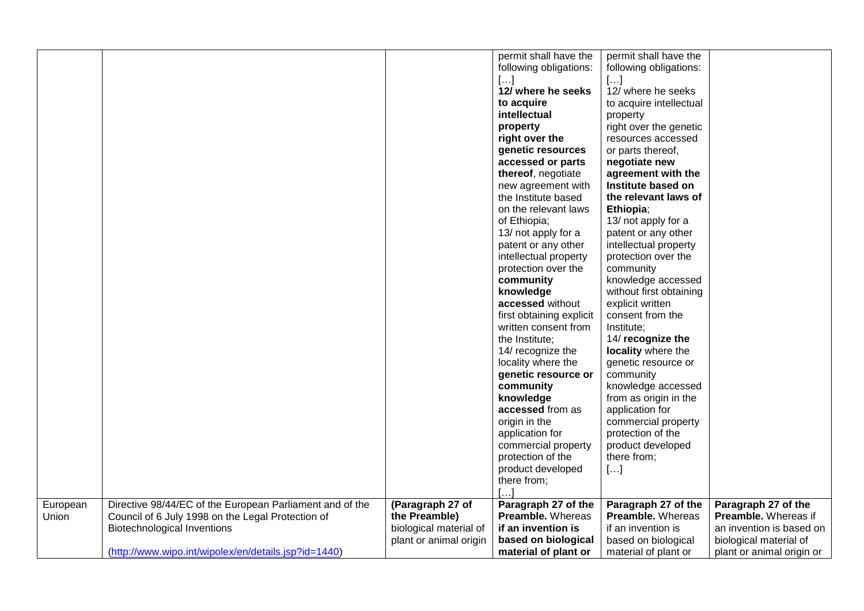| the Preamble)<br><b>Preamble.</b> Whereas<br>Union<br>Council of 6 July 1998 on the Legal Protection of<br><b>Preamble. Whereas</b><br>Preamble. Whereas if<br>biological material of<br><b>Biotechnological Inventions</b><br>if an invention is<br>if an invention is<br>an invention is based on<br>plant or animal origin<br>based on biological<br>based on biological<br>biological material of | European | Directive 98/44/EC of the European Parliament and of the | (Paragraph 27 of | permit shall have the<br>following obligations:<br>$[]$<br>12/ where he seeks<br>to acquire<br>intellectual<br>property<br>right over the<br>genetic resources<br>accessed or parts<br>thereof, negotiate<br>new agreement with<br>the Institute based<br>on the relevant laws<br>of Ethiopia;<br>13/ not apply for a<br>patent or any other<br>intellectual property<br>protection over the<br>community<br>knowledge<br>accessed without<br>first obtaining explicit<br>written consent from<br>the Institute;<br>14/ recognize the<br>locality where the<br>genetic resource or<br>community<br>knowledge<br>accessed from as<br>origin in the<br>application for<br>commercial property<br>protection of the<br>product developed<br>there from;<br>Paragraph 27 of the | permit shall have the<br>following obligations:<br>[]<br>12/ where he seeks<br>to acquire intellectual<br>property<br>right over the genetic<br>resources accessed<br>or parts thereof,<br>negotiate new<br>agreement with the<br>Institute based on<br>the relevant laws of<br>Ethiopia;<br>13/ not apply for a<br>patent or any other<br>intellectual property<br>protection over the<br>community<br>knowledge accessed<br>without first obtaining<br>explicit written<br>consent from the<br>Institute;<br>14/ recognize the<br>locality where the<br>genetic resource or<br>community<br>knowledge accessed<br>from as origin in the<br>application for<br>commercial property<br>protection of the<br>product developed<br>there from;<br>$[\ldots]$<br>Paragraph 27 of the | Paragraph 27 of the       |
|-------------------------------------------------------------------------------------------------------------------------------------------------------------------------------------------------------------------------------------------------------------------------------------------------------------------------------------------------------------------------------------------------------|----------|----------------------------------------------------------|------------------|-----------------------------------------------------------------------------------------------------------------------------------------------------------------------------------------------------------------------------------------------------------------------------------------------------------------------------------------------------------------------------------------------------------------------------------------------------------------------------------------------------------------------------------------------------------------------------------------------------------------------------------------------------------------------------------------------------------------------------------------------------------------------------|-----------------------------------------------------------------------------------------------------------------------------------------------------------------------------------------------------------------------------------------------------------------------------------------------------------------------------------------------------------------------------------------------------------------------------------------------------------------------------------------------------------------------------------------------------------------------------------------------------------------------------------------------------------------------------------------------------------------------------------------------------------------------------------|---------------------------|
|                                                                                                                                                                                                                                                                                                                                                                                                       |          |                                                          |                  |                                                                                                                                                                                                                                                                                                                                                                                                                                                                                                                                                                                                                                                                                                                                                                             |                                                                                                                                                                                                                                                                                                                                                                                                                                                                                                                                                                                                                                                                                                                                                                                   |                           |
|                                                                                                                                                                                                                                                                                                                                                                                                       |          |                                                          |                  |                                                                                                                                                                                                                                                                                                                                                                                                                                                                                                                                                                                                                                                                                                                                                                             |                                                                                                                                                                                                                                                                                                                                                                                                                                                                                                                                                                                                                                                                                                                                                                                   |                           |
|                                                                                                                                                                                                                                                                                                                                                                                                       |          |                                                          |                  |                                                                                                                                                                                                                                                                                                                                                                                                                                                                                                                                                                                                                                                                                                                                                                             |                                                                                                                                                                                                                                                                                                                                                                                                                                                                                                                                                                                                                                                                                                                                                                                   |                           |
|                                                                                                                                                                                                                                                                                                                                                                                                       |          | (http://www.wipo.int/wipolex/en/details.jsp?id=1440)     |                  | material of plant or                                                                                                                                                                                                                                                                                                                                                                                                                                                                                                                                                                                                                                                                                                                                                        | material of plant or                                                                                                                                                                                                                                                                                                                                                                                                                                                                                                                                                                                                                                                                                                                                                              | plant or animal origin or |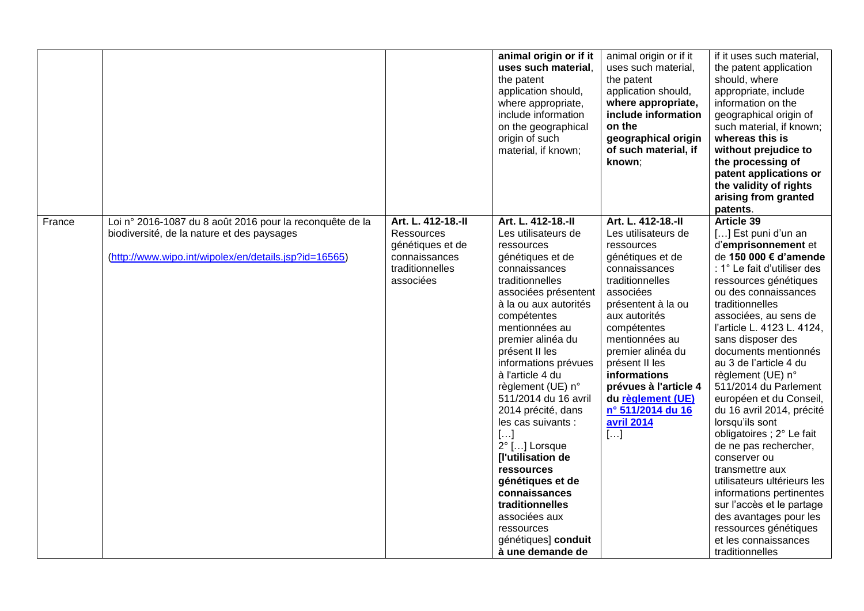|        |                                                                                                                                                                 |                                                                                                              | animal origin or if it<br>uses such material,<br>the patent<br>application should,<br>where appropriate,<br>include information<br>on the geographical<br>origin of such<br>material, if known;                                                                                                                                                                                                                                                                                                                                                                             | animal origin or if it<br>uses such material,<br>the patent<br>application should,<br>where appropriate,<br>include information<br>on the<br>geographical origin<br>of such material, if<br>known;                                                                                                                                                                 | if it uses such material,<br>the patent application<br>should, where<br>appropriate, include<br>information on the<br>geographical origin of<br>such material, if known;<br>whereas this is<br>without prejudice to<br>the processing of<br>patent applications or<br>the validity of rights<br>arising from granted<br>patents.                                                                                                                                                                                                                                                                                                                                                                                                  |
|--------|-----------------------------------------------------------------------------------------------------------------------------------------------------------------|--------------------------------------------------------------------------------------------------------------|-----------------------------------------------------------------------------------------------------------------------------------------------------------------------------------------------------------------------------------------------------------------------------------------------------------------------------------------------------------------------------------------------------------------------------------------------------------------------------------------------------------------------------------------------------------------------------|--------------------------------------------------------------------------------------------------------------------------------------------------------------------------------------------------------------------------------------------------------------------------------------------------------------------------------------------------------------------|-----------------------------------------------------------------------------------------------------------------------------------------------------------------------------------------------------------------------------------------------------------------------------------------------------------------------------------------------------------------------------------------------------------------------------------------------------------------------------------------------------------------------------------------------------------------------------------------------------------------------------------------------------------------------------------------------------------------------------------|
| France | Loi nº 2016-1087 du 8 août 2016 pour la reconquête de la<br>biodiversité, de la nature et des paysages<br>(http://www.wipo.int/wipolex/en/details.jsp?id=16565) | Art. L. 412-18.-II<br><b>Ressources</b><br>génétiques et de<br>connaissances<br>traditionnelles<br>associées | Art. L. 412-18.-II<br>Les utilisateurs de<br>ressources<br>génétiques et de<br>connaissances<br>traditionnelles<br>associées présentent<br>à la ou aux autorités<br>compétentes<br>mentionnées au<br>premier alinéa du<br>présent II les<br>informations prévues<br>à l'article 4 du<br>règlement (UE) n°<br>511/2014 du 16 avril<br>2014 précité, dans<br>les cas suivants :<br>$[]$<br>2° [] Lorsque<br>[l'utilisation de<br>ressources<br>génétiques et de<br>connaissances<br>traditionnelles<br>associées aux<br>ressources<br>génétiques] conduit<br>à une demande de | Art. L. 412-18.-II<br>Les utilisateurs de<br>ressources<br>génétiques et de<br>connaissances<br>traditionnelles<br>associées<br>présentent à la ou<br>aux autorités<br>compétentes<br>mentionnées au<br>premier alinéa du<br>présent II les<br><b>informations</b><br>prévues à l'article 4<br>du règlement (UE)<br>nº 511/2014 du 16<br><b>avril 2014</b><br>$[]$ | <b>Article 39</b><br>[] Est puni d'un an<br>d'emprisonnement et<br>de 150 000 € d'amende<br>: 1° Le fait d'utiliser des<br>ressources génétiques<br>ou des connaissances<br>traditionnelles<br>associées, au sens de<br>l'article L. 4123 L. 4124,<br>sans disposer des<br>documents mentionnés<br>au 3 de l'article 4 du<br>règlement (UE) n°<br>511/2014 du Parlement<br>européen et du Conseil,<br>du 16 avril 2014, précité<br>lorsqu'ils sont<br>obligatoires ; 2° Le fait<br>de ne pas rechercher,<br>conserver ou<br>transmettre aux<br>utilisateurs ultérieurs les<br>informations pertinentes<br>sur l'accès et le partage<br>des avantages pour les<br>ressources génétiques<br>et les connaissances<br>traditionnelles |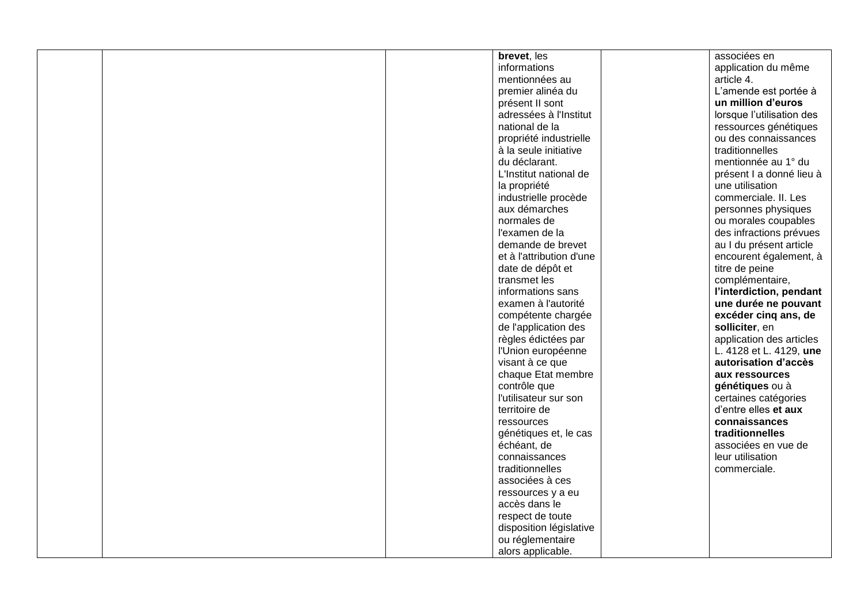|  | brevet, les              | associées en              |
|--|--------------------------|---------------------------|
|  | informations             | application du même       |
|  | mentionnées au           | article 4.                |
|  | premier alinéa du        | L'amende est portée à     |
|  | présent II sont          | un million d'euros        |
|  | adressées à l'Institut   | lorsque l'utilisation des |
|  | national de la           | ressources génétiques     |
|  | propriété industrielle   | ou des connaissances      |
|  | à la seule initiative    | traditionnelles           |
|  | du déclarant.            | mentionnée au 1° du       |
|  | L'Institut national de   | présent I a donné lieu à  |
|  | la propriété             | une utilisation           |
|  | industrielle procède     | commerciale. II. Les      |
|  | aux démarches            | personnes physiques       |
|  | normales de              | ou morales coupables      |
|  | l'examen de la           | des infractions prévues   |
|  | demande de brevet        | au I du présent article   |
|  | et à l'attribution d'une | encourent également, à    |
|  | date de dépôt et         | titre de peine            |
|  | transmet les             | complémentaire,           |
|  | informations sans        | l'interdiction, pendant   |
|  | examen à l'autorité      | une durée ne pouvant      |
|  | compétente chargée       | excéder cinq ans, de      |
|  | de l'application des     | solliciter, en            |
|  | règles édictées par      | application des articles  |
|  | l'Union européenne       | L. 4128 et L. 4129, une   |
|  | visant à ce que          | autorisation d'accès      |
|  | chaque Etat membre       | aux ressources            |
|  | contrôle que             | génétiques ou à           |
|  | l'utilisateur sur son    | certaines catégories      |
|  | territoire de            | d'entre elles et aux      |
|  | ressources               | connaissances             |
|  | génétiques et, le cas    | traditionnelles           |
|  | échéant, de              | associées en vue de       |
|  | connaissances            | leur utilisation          |
|  | traditionnelles          | commerciale.              |
|  | associées à ces          |                           |
|  | ressources y a eu        |                           |
|  | accès dans le            |                           |
|  | respect de toute         |                           |
|  | disposition législative  |                           |
|  | ou réglementaire         |                           |
|  | alors applicable.        |                           |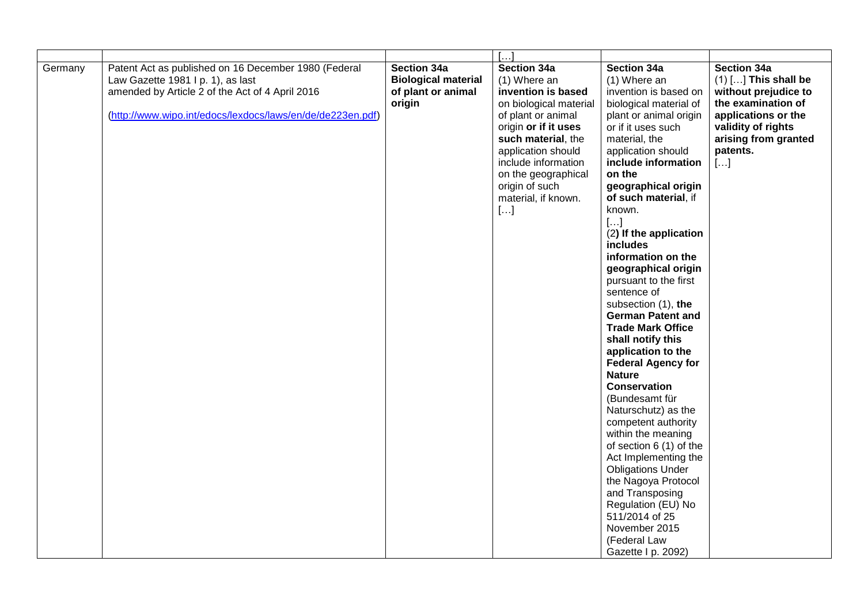|         |                                                            |                            | []                     |                                               |                        |
|---------|------------------------------------------------------------|----------------------------|------------------------|-----------------------------------------------|------------------------|
| Germany | Patent Act as published on 16 December 1980 (Federal       | Section 34a                | Section 34a            | Section 34a                                   | <b>Section 34a</b>     |
|         | Law Gazette 1981 I p. 1), as last                          | <b>Biological material</b> | (1) Where an           | (1) Where an                                  | $(1)$ [] This shall be |
|         | amended by Article 2 of the Act of 4 April 2016            | of plant or animal         | invention is based     | invention is based on                         | without prejudice to   |
|         |                                                            | origin                     | on biological material | biological material of                        | the examination of     |
|         | (http://www.wipo.int/edocs/lexdocs/laws/en/de/de223en.pdf) |                            | of plant or animal     | plant or animal origin                        | applications or the    |
|         |                                                            |                            | origin or if it uses   | or if it uses such                            | validity of rights     |
|         |                                                            |                            | such material, the     | material, the                                 | arising from granted   |
|         |                                                            |                            | application should     | application should                            | patents.               |
|         |                                                            |                            | include information    | include information                           | $[]$                   |
|         |                                                            |                            | on the geographical    | on the                                        |                        |
|         |                                                            |                            | origin of such         | geographical origin                           |                        |
|         |                                                            |                            | material, if known.    | of such material, if                          |                        |
|         |                                                            |                            | $[]$                   | known.                                        |                        |
|         |                                                            |                            |                        | $[]$                                          |                        |
|         |                                                            |                            |                        | (2) If the application                        |                        |
|         |                                                            |                            |                        | includes                                      |                        |
|         |                                                            |                            |                        | information on the                            |                        |
|         |                                                            |                            |                        | geographical origin                           |                        |
|         |                                                            |                            |                        | pursuant to the first                         |                        |
|         |                                                            |                            |                        | sentence of                                   |                        |
|         |                                                            |                            |                        | subsection (1), the                           |                        |
|         |                                                            |                            |                        | <b>German Patent and</b>                      |                        |
|         |                                                            |                            |                        | <b>Trade Mark Office</b><br>shall notify this |                        |
|         |                                                            |                            |                        | application to the                            |                        |
|         |                                                            |                            |                        | <b>Federal Agency for</b>                     |                        |
|         |                                                            |                            |                        | <b>Nature</b>                                 |                        |
|         |                                                            |                            |                        | <b>Conservation</b>                           |                        |
|         |                                                            |                            |                        | (Bundesamt für                                |                        |
|         |                                                            |                            |                        | Naturschutz) as the                           |                        |
|         |                                                            |                            |                        | competent authority                           |                        |
|         |                                                            |                            |                        | within the meaning                            |                        |
|         |                                                            |                            |                        | of section 6 (1) of the                       |                        |
|         |                                                            |                            |                        | Act Implementing the                          |                        |
|         |                                                            |                            |                        | <b>Obligations Under</b>                      |                        |
|         |                                                            |                            |                        | the Nagoya Protocol                           |                        |
|         |                                                            |                            |                        | and Transposing                               |                        |
|         |                                                            |                            |                        | Regulation (EU) No                            |                        |
|         |                                                            |                            |                        | 511/2014 of 25                                |                        |
|         |                                                            |                            |                        | November 2015                                 |                        |
|         |                                                            |                            |                        | (Federal Law                                  |                        |
|         |                                                            |                            |                        | Gazette I p. 2092)                            |                        |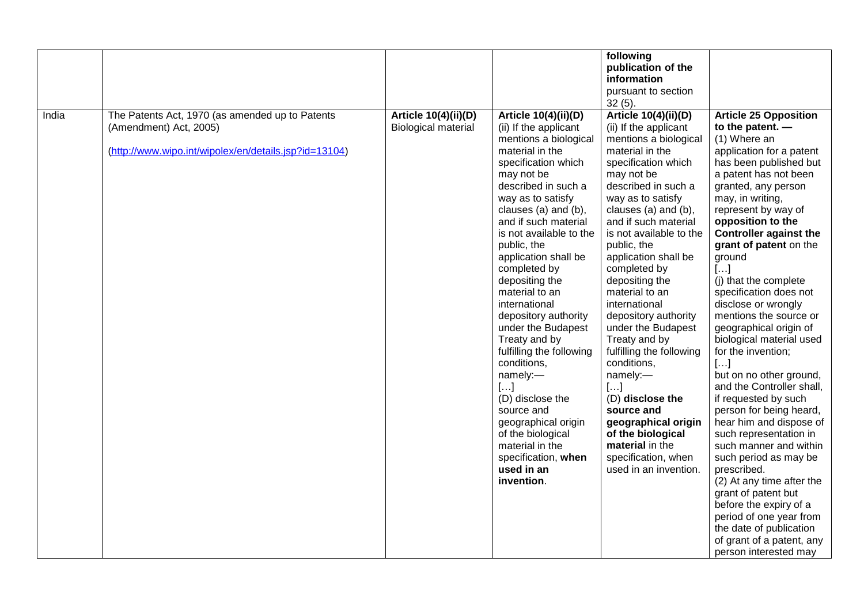|       |                                                                                                                                    |                                                           |                                                                                                                                                                                                                                                                                                                                                                                                                                                                                                                                                                                                                                                     | following<br>publication of the<br>information<br>pursuant to section<br>$32(5)$ .                                                                                                                                                                                                                                                                                                                                                                                                                                                                                                                                                                      |                                                                                                                                                                                                                                                                                                                                                                                                                                                                                                                                                                                                                                                                                                                                                                                                                                                                                                                                           |
|-------|------------------------------------------------------------------------------------------------------------------------------------|-----------------------------------------------------------|-----------------------------------------------------------------------------------------------------------------------------------------------------------------------------------------------------------------------------------------------------------------------------------------------------------------------------------------------------------------------------------------------------------------------------------------------------------------------------------------------------------------------------------------------------------------------------------------------------------------------------------------------------|---------------------------------------------------------------------------------------------------------------------------------------------------------------------------------------------------------------------------------------------------------------------------------------------------------------------------------------------------------------------------------------------------------------------------------------------------------------------------------------------------------------------------------------------------------------------------------------------------------------------------------------------------------|-------------------------------------------------------------------------------------------------------------------------------------------------------------------------------------------------------------------------------------------------------------------------------------------------------------------------------------------------------------------------------------------------------------------------------------------------------------------------------------------------------------------------------------------------------------------------------------------------------------------------------------------------------------------------------------------------------------------------------------------------------------------------------------------------------------------------------------------------------------------------------------------------------------------------------------------|
| India | The Patents Act, 1970 (as amended up to Patents<br>(Amendment) Act, 2005)<br>(http://www.wipo.int/wipolex/en/details.jsp?id=13104) | <b>Article 10(4)(ii)(D)</b><br><b>Biological material</b> | Article 10(4)(ii)(D)<br>(ii) If the applicant<br>mentions a biological<br>material in the<br>specification which<br>may not be<br>described in such a<br>way as to satisfy<br>clauses (a) and (b),<br>and if such material<br>is not available to the<br>public, the<br>application shall be<br>completed by<br>depositing the<br>material to an<br>international<br>depository authority<br>under the Budapest<br>Treaty and by<br>fulfilling the following<br>conditions,<br>namely:-<br>$[]$<br>(D) disclose the<br>source and<br>geographical origin<br>of the biological<br>material in the<br>specification, when<br>used in an<br>invention. | <b>Article 10(4)(ii)(D)</b><br>(ii) If the applicant<br>mentions a biological<br>material in the<br>specification which<br>may not be<br>described in such a<br>way as to satisfy<br>clauses (a) and (b),<br>and if such material<br>is not available to the<br>public, the<br>application shall be<br>completed by<br>depositing the<br>material to an<br>international<br>depository authority<br>under the Budapest<br>Treaty and by<br>fulfilling the following<br>conditions,<br>namely:-<br>$[]$<br>(D) disclose the<br>source and<br>geographical origin<br>of the biological<br>material in the<br>specification, when<br>used in an invention. | <b>Article 25 Opposition</b><br>to the patent. $-$<br>(1) Where an<br>application for a patent<br>has been published but<br>a patent has not been<br>granted, any person<br>may, in writing,<br>represent by way of<br>opposition to the<br><b>Controller against the</b><br>grant of patent on the<br>ground<br>$[]$<br>(i) that the complete<br>specification does not<br>disclose or wrongly<br>mentions the source or<br>geographical origin of<br>biological material used<br>for the invention;<br>$[]$<br>but on no other ground,<br>and the Controller shall,<br>if requested by such<br>person for being heard,<br>hear him and dispose of<br>such representation in<br>such manner and within<br>such period as may be<br>prescribed.<br>(2) At any time after the<br>grant of patent but<br>before the expiry of a<br>period of one year from<br>the date of publication<br>of grant of a patent, any<br>person interested may |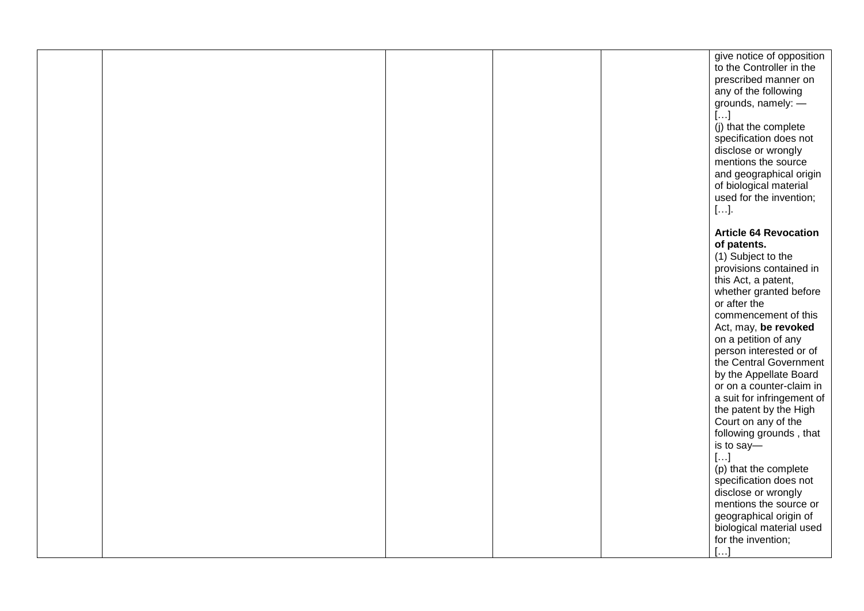|  |  | give notice of opposition    |
|--|--|------------------------------|
|  |  | to the Controller in the     |
|  |  | prescribed manner on         |
|  |  |                              |
|  |  | any of the following         |
|  |  | grounds, namely: -           |
|  |  | $[\ldots]$                   |
|  |  | (j) that the complete        |
|  |  | specification does not       |
|  |  |                              |
|  |  | disclose or wrongly          |
|  |  | mentions the source          |
|  |  | and geographical origin      |
|  |  | of biological material       |
|  |  | used for the invention;      |
|  |  |                              |
|  |  | $[\ldots]$ .                 |
|  |  |                              |
|  |  | <b>Article 64 Revocation</b> |
|  |  | of patents.                  |
|  |  | (1) Subject to the           |
|  |  | provisions contained in      |
|  |  |                              |
|  |  | this Act, a patent,          |
|  |  | whether granted before       |
|  |  | or after the                 |
|  |  | commencement of this         |
|  |  | Act, may, be revoked         |
|  |  | on a petition of any         |
|  |  | person interested or of      |
|  |  |                              |
|  |  | the Central Government       |
|  |  | by the Appellate Board       |
|  |  | or on a counter-claim in     |
|  |  | a suit for infringement of   |
|  |  | the patent by the High       |
|  |  | Court on any of the          |
|  |  |                              |
|  |  | following grounds, that      |
|  |  | is to say-                   |
|  |  | $[]$                         |
|  |  | (p) that the complete        |
|  |  | specification does not       |
|  |  | disclose or wrongly          |
|  |  |                              |
|  |  | mentions the source or       |
|  |  | geographical origin of       |
|  |  | biological material used     |
|  |  | for the invention;           |
|  |  | $[]$                         |
|  |  |                              |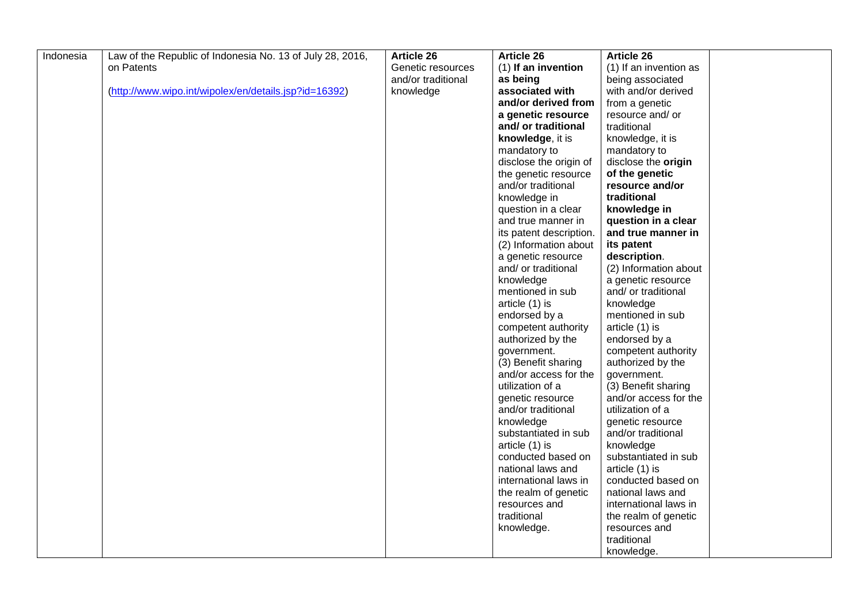| Indonesia | Law of the Republic of Indonesia No. 13 of July 28, 2016, | <b>Article 26</b>  | <b>Article 26</b>            | <b>Article 26</b>      |  |
|-----------|-----------------------------------------------------------|--------------------|------------------------------|------------------------|--|
|           | on Patents                                                | Genetic resources  | (1) If an invention          | (1) If an invention as |  |
|           |                                                           | and/or traditional | as being                     | being associated       |  |
|           | (http://www.wipo.int/wipolex/en/details.jsp?id=16392)     | knowledge          | associated with              | with and/or derived    |  |
|           |                                                           |                    | and/or derived from          | from a genetic         |  |
|           |                                                           |                    | a genetic resource           | resource and/ or       |  |
|           |                                                           |                    | and/ or traditional          | traditional            |  |
|           |                                                           |                    | knowledge, it is             | knowledge, it is       |  |
|           |                                                           |                    | mandatory to                 | mandatory to           |  |
|           |                                                           |                    | disclose the origin of       | disclose the origin    |  |
|           |                                                           |                    | the genetic resource         | of the genetic         |  |
|           |                                                           |                    | and/or traditional           | resource and/or        |  |
|           |                                                           |                    | knowledge in                 | traditional            |  |
|           |                                                           |                    | question in a clear          | knowledge in           |  |
|           |                                                           |                    | and true manner in           | question in a clear    |  |
|           |                                                           |                    | its patent description.      | and true manner in     |  |
|           |                                                           |                    | (2) Information about        | its patent             |  |
|           |                                                           |                    | a genetic resource           | description.           |  |
|           |                                                           |                    | and/ or traditional          | (2) Information about  |  |
|           |                                                           |                    | knowledge                    | a genetic resource     |  |
|           |                                                           |                    | mentioned in sub             | and/ or traditional    |  |
|           |                                                           |                    | article (1) is               | knowledge              |  |
|           |                                                           |                    | endorsed by a                | mentioned in sub       |  |
|           |                                                           |                    | competent authority          | article (1) is         |  |
|           |                                                           |                    | authorized by the            | endorsed by a          |  |
|           |                                                           |                    | government.                  | competent authority    |  |
|           |                                                           |                    | (3) Benefit sharing          | authorized by the      |  |
|           |                                                           |                    | and/or access for the        | government.            |  |
|           |                                                           |                    | utilization of a             | (3) Benefit sharing    |  |
|           |                                                           |                    | genetic resource             | and/or access for the  |  |
|           |                                                           |                    | and/or traditional           | utilization of a       |  |
|           |                                                           |                    | knowledge                    | genetic resource       |  |
|           |                                                           |                    | substantiated in sub         | and/or traditional     |  |
|           |                                                           |                    | article (1) is               | knowledge              |  |
|           |                                                           |                    | conducted based on           | substantiated in sub   |  |
|           |                                                           |                    | national laws and            | article (1) is         |  |
|           |                                                           |                    | international laws in        | conducted based on     |  |
|           |                                                           |                    | the realm of genetic         | national laws and      |  |
|           |                                                           |                    | resources and<br>traditional | international laws in  |  |
|           |                                                           |                    |                              | the realm of genetic   |  |
|           |                                                           |                    | knowledge.                   | resources and          |  |
|           |                                                           |                    |                              | traditional            |  |
|           |                                                           |                    |                              | knowledge.             |  |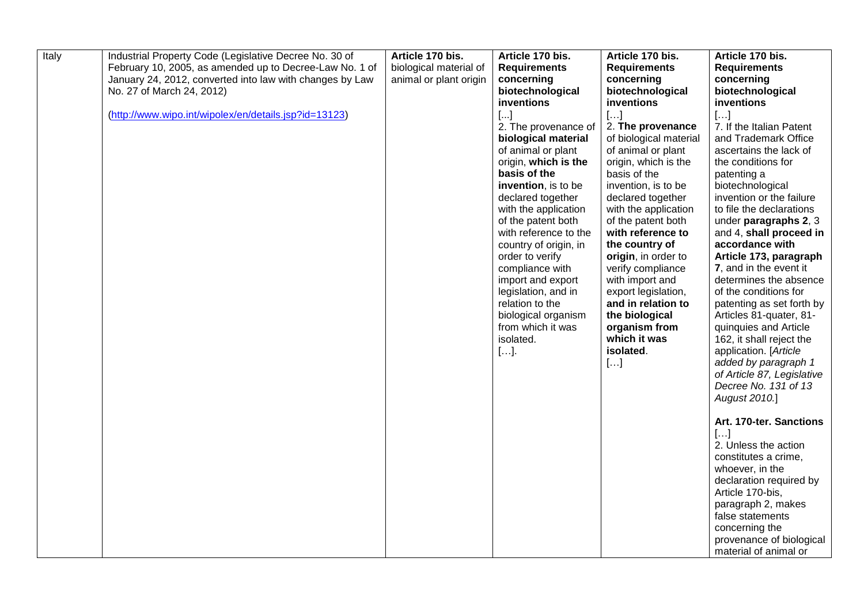| Italy | Industrial Property Code (Legislative Decree No. 30 of   | Article 170 bis.       | Article 170 bis.                   | Article 170 bis.                         | Article 170 bis.                                 |
|-------|----------------------------------------------------------|------------------------|------------------------------------|------------------------------------------|--------------------------------------------------|
|       | February 10, 2005, as amended up to Decree-Law No. 1 of  | biological material of | <b>Requirements</b>                | <b>Requirements</b>                      | <b>Requirements</b>                              |
|       | January 24, 2012, converted into law with changes by Law | animal or plant origin | concerning                         | concerning                               | concerning                                       |
|       | No. 27 of March 24, 2012)                                |                        | biotechnological                   | biotechnological                         | biotechnological                                 |
|       |                                                          |                        | inventions                         | inventions                               | inventions                                       |
|       | (http://www.wipo.int/wipolex/en/details.jsp?id=13123)    |                        | $[ \ldots ]$                       | $[]$                                     | $[ \ldots ]$                                     |
|       |                                                          |                        | 2. The provenance of               | 2. The provenance                        | 7. If the Italian Patent                         |
|       |                                                          |                        | biological material                | of biological material                   | and Trademark Office                             |
|       |                                                          |                        | of animal or plant                 | of animal or plant                       | ascertains the lack of                           |
|       |                                                          |                        | origin, which is the               | origin, which is the                     | the conditions for                               |
|       |                                                          |                        | basis of the                       | basis of the                             | patenting a                                      |
|       |                                                          |                        | invention, is to be                | invention, is to be                      | biotechnological                                 |
|       |                                                          |                        | declared together                  | declared together                        | invention or the failure                         |
|       |                                                          |                        | with the application               | with the application                     | to file the declarations                         |
|       |                                                          |                        | of the patent both                 | of the patent both                       | under paragraphs 2, 3                            |
|       |                                                          |                        | with reference to the              | with reference to                        | and 4, shall proceed in                          |
|       |                                                          |                        | country of origin, in              | the country of                           | accordance with                                  |
|       |                                                          |                        | order to verify<br>compliance with | origin, in order to<br>verify compliance | Article 173, paragraph<br>7, and in the event it |
|       |                                                          |                        | import and export                  | with import and                          | determines the absence                           |
|       |                                                          |                        | legislation, and in                | export legislation,                      | of the conditions for                            |
|       |                                                          |                        | relation to the                    | and in relation to                       | patenting as set forth by                        |
|       |                                                          |                        | biological organism                | the biological                           | Articles 81-quater, 81-                          |
|       |                                                          |                        | from which it was                  | organism from                            | quinquies and Article                            |
|       |                                                          |                        | isolated.                          | which it was                             | 162, it shall reject the                         |
|       |                                                          |                        | $[].$                              | isolated.                                | application. [Article                            |
|       |                                                          |                        |                                    | []                                       | added by paragraph 1                             |
|       |                                                          |                        |                                    |                                          | of Article 87, Legislative                       |
|       |                                                          |                        |                                    |                                          | Decree No. 131 of 13                             |
|       |                                                          |                        |                                    |                                          | August 2010.]                                    |
|       |                                                          |                        |                                    |                                          |                                                  |
|       |                                                          |                        |                                    |                                          | Art. 170-ter. Sanctions                          |
|       |                                                          |                        |                                    |                                          | []                                               |
|       |                                                          |                        |                                    |                                          | 2. Unless the action                             |
|       |                                                          |                        |                                    |                                          | constitutes a crime,                             |
|       |                                                          |                        |                                    |                                          | whoever, in the                                  |
|       |                                                          |                        |                                    |                                          | declaration required by                          |
|       |                                                          |                        |                                    |                                          | Article 170-bis,                                 |
|       |                                                          |                        |                                    |                                          | paragraph 2, makes                               |
|       |                                                          |                        |                                    |                                          | false statements                                 |
|       |                                                          |                        |                                    |                                          | concerning the                                   |
|       |                                                          |                        |                                    |                                          | provenance of biological                         |
|       |                                                          |                        |                                    |                                          | material of animal or                            |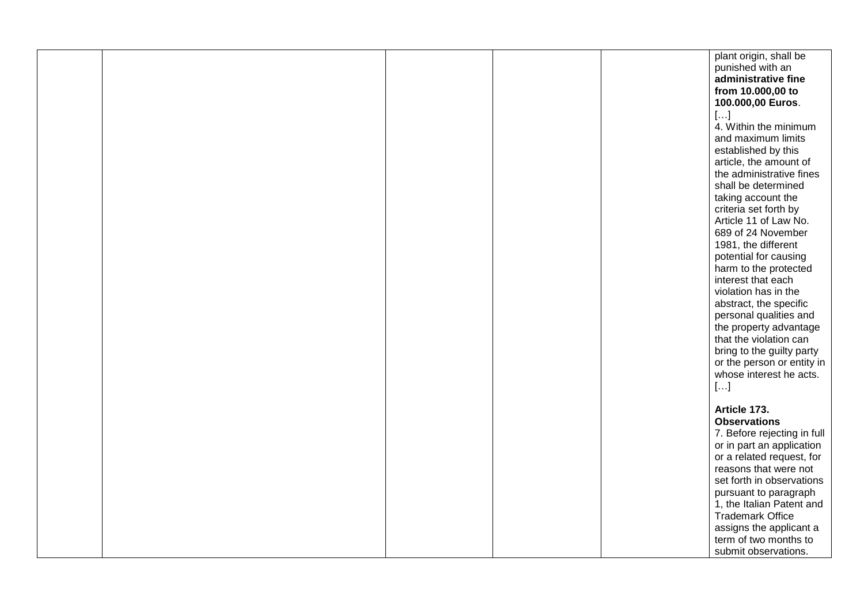|  |  | plant origin, shall be                         |
|--|--|------------------------------------------------|
|  |  | punished with an                               |
|  |  | administrative fine                            |
|  |  | from 10.000,00 to                              |
|  |  | 100.000,00 Euros.                              |
|  |  | $[\ldots]$                                     |
|  |  | 4. Within the minimum                          |
|  |  | and maximum limits                             |
|  |  | established by this                            |
|  |  | article, the amount of                         |
|  |  | the administrative fines                       |
|  |  | shall be determined                            |
|  |  | taking account the                             |
|  |  |                                                |
|  |  | criteria set forth by<br>Article 11 of Law No. |
|  |  | 689 of 24 November                             |
|  |  |                                                |
|  |  | 1981, the different                            |
|  |  | potential for causing                          |
|  |  | harm to the protected                          |
|  |  | interest that each                             |
|  |  | violation has in the                           |
|  |  | abstract, the specific                         |
|  |  | personal qualities and                         |
|  |  | the property advantage                         |
|  |  | that the violation can                         |
|  |  | bring to the guilty party                      |
|  |  | or the person or entity in                     |
|  |  | whose interest he acts.                        |
|  |  | $[\ldots]$                                     |
|  |  |                                                |
|  |  | Article 173.                                   |
|  |  | <b>Observations</b>                            |
|  |  | 7. Before rejecting in full                    |
|  |  | or in part an application                      |
|  |  | or a related request, for                      |
|  |  | reasons that were not                          |
|  |  | set forth in observations                      |
|  |  | pursuant to paragraph                          |
|  |  | 1, the Italian Patent and                      |
|  |  | <b>Trademark Office</b>                        |
|  |  | assigns the applicant a                        |
|  |  | term of two months to                          |
|  |  | submit observations.                           |
|  |  |                                                |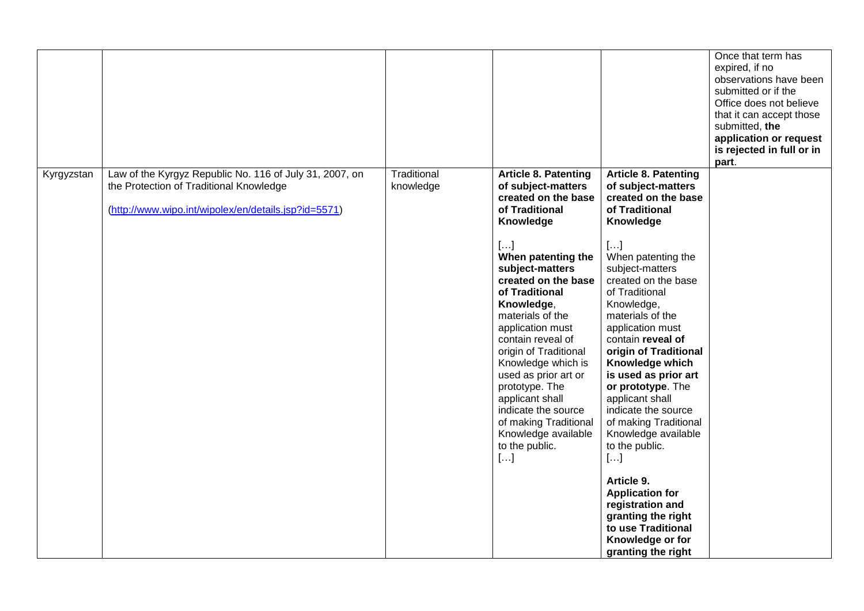|            |                                                                                                                                                            |                          |                                                                                                                                                                                                                                                                                                                                                                                                                                                                                           |                                                                                                                                                                                                                                                                                                                                                                                                                                                                                                                                                                                                                                             | Once that term has<br>expired, if no<br>observations have been<br>submitted or if the<br>Office does not believe<br>that it can accept those<br>submitted, the<br>application or request<br>is rejected in full or in<br>part. |
|------------|------------------------------------------------------------------------------------------------------------------------------------------------------------|--------------------------|-------------------------------------------------------------------------------------------------------------------------------------------------------------------------------------------------------------------------------------------------------------------------------------------------------------------------------------------------------------------------------------------------------------------------------------------------------------------------------------------|---------------------------------------------------------------------------------------------------------------------------------------------------------------------------------------------------------------------------------------------------------------------------------------------------------------------------------------------------------------------------------------------------------------------------------------------------------------------------------------------------------------------------------------------------------------------------------------------------------------------------------------------|--------------------------------------------------------------------------------------------------------------------------------------------------------------------------------------------------------------------------------|
| Kyrgyzstan | Law of the Kyrgyz Republic No. 116 of July 31, 2007, on<br>the Protection of Traditional Knowledge<br>(http://www.wipo.int/wipolex/en/details.jsp?id=5571) | Traditional<br>knowledge | <b>Article 8. Patenting</b><br>of subject-matters<br>created on the base<br>of Traditional<br>Knowledge<br>$[]$<br>When patenting the<br>subject-matters<br>created on the base<br>of Traditional<br>Knowledge,<br>materials of the<br>application must<br>contain reveal of<br>origin of Traditional<br>Knowledge which is<br>used as prior art or<br>prototype. The<br>applicant shall<br>indicate the source<br>of making Traditional<br>Knowledge available<br>to the public.<br>$[]$ | <b>Article 8. Patenting</b><br>of subject-matters<br>created on the base<br>of Traditional<br>Knowledge<br>$[]$<br>When patenting the<br>subject-matters<br>created on the base<br>of Traditional<br>Knowledge,<br>materials of the<br>application must<br>contain reveal of<br>origin of Traditional<br>Knowledge which<br>is used as prior art<br>or prototype. The<br>applicant shall<br>indicate the source<br>of making Traditional<br>Knowledge available<br>to the public.<br>$[]$<br>Article 9.<br><b>Application for</b><br>registration and<br>granting the right<br>to use Traditional<br>Knowledge or for<br>granting the right |                                                                                                                                                                                                                                |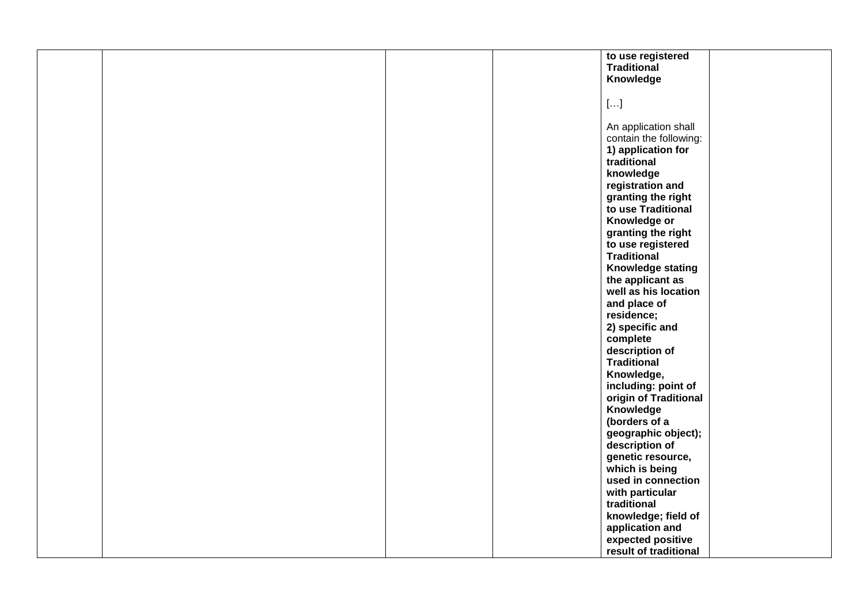| to use registered<br><b>Traditional</b><br>Knowledge<br>$[\ldots]$<br>An application shall<br>contain the following:<br>1) application for<br>traditional<br>knowledge<br>registration and<br>granting the right<br>to use Traditional<br>Knowledge or<br>granting the right<br>to use registered<br><b>Traditional</b><br>Knowledge stating<br>the applicant as<br>well as his location<br>and place of<br>residence;<br>2) specific and<br>complete<br>description of<br><b>Traditional</b><br>Knowledge,<br>including: point of<br>origin of Traditional<br>Knowledge<br>(borders of a<br>geographic object);<br>description of<br>genetic resource,<br>which is being<br>used in connection<br>with particular<br>traditional<br>knowledge; field of<br>application and<br>expected positive |  |  |                       |
|--------------------------------------------------------------------------------------------------------------------------------------------------------------------------------------------------------------------------------------------------------------------------------------------------------------------------------------------------------------------------------------------------------------------------------------------------------------------------------------------------------------------------------------------------------------------------------------------------------------------------------------------------------------------------------------------------------------------------------------------------------------------------------------------------|--|--|-----------------------|
|                                                                                                                                                                                                                                                                                                                                                                                                                                                                                                                                                                                                                                                                                                                                                                                                  |  |  |                       |
|                                                                                                                                                                                                                                                                                                                                                                                                                                                                                                                                                                                                                                                                                                                                                                                                  |  |  |                       |
|                                                                                                                                                                                                                                                                                                                                                                                                                                                                                                                                                                                                                                                                                                                                                                                                  |  |  |                       |
|                                                                                                                                                                                                                                                                                                                                                                                                                                                                                                                                                                                                                                                                                                                                                                                                  |  |  |                       |
|                                                                                                                                                                                                                                                                                                                                                                                                                                                                                                                                                                                                                                                                                                                                                                                                  |  |  |                       |
|                                                                                                                                                                                                                                                                                                                                                                                                                                                                                                                                                                                                                                                                                                                                                                                                  |  |  |                       |
|                                                                                                                                                                                                                                                                                                                                                                                                                                                                                                                                                                                                                                                                                                                                                                                                  |  |  |                       |
|                                                                                                                                                                                                                                                                                                                                                                                                                                                                                                                                                                                                                                                                                                                                                                                                  |  |  |                       |
|                                                                                                                                                                                                                                                                                                                                                                                                                                                                                                                                                                                                                                                                                                                                                                                                  |  |  |                       |
|                                                                                                                                                                                                                                                                                                                                                                                                                                                                                                                                                                                                                                                                                                                                                                                                  |  |  |                       |
|                                                                                                                                                                                                                                                                                                                                                                                                                                                                                                                                                                                                                                                                                                                                                                                                  |  |  |                       |
|                                                                                                                                                                                                                                                                                                                                                                                                                                                                                                                                                                                                                                                                                                                                                                                                  |  |  |                       |
|                                                                                                                                                                                                                                                                                                                                                                                                                                                                                                                                                                                                                                                                                                                                                                                                  |  |  |                       |
|                                                                                                                                                                                                                                                                                                                                                                                                                                                                                                                                                                                                                                                                                                                                                                                                  |  |  |                       |
|                                                                                                                                                                                                                                                                                                                                                                                                                                                                                                                                                                                                                                                                                                                                                                                                  |  |  |                       |
|                                                                                                                                                                                                                                                                                                                                                                                                                                                                                                                                                                                                                                                                                                                                                                                                  |  |  |                       |
|                                                                                                                                                                                                                                                                                                                                                                                                                                                                                                                                                                                                                                                                                                                                                                                                  |  |  |                       |
|                                                                                                                                                                                                                                                                                                                                                                                                                                                                                                                                                                                                                                                                                                                                                                                                  |  |  |                       |
|                                                                                                                                                                                                                                                                                                                                                                                                                                                                                                                                                                                                                                                                                                                                                                                                  |  |  |                       |
|                                                                                                                                                                                                                                                                                                                                                                                                                                                                                                                                                                                                                                                                                                                                                                                                  |  |  |                       |
|                                                                                                                                                                                                                                                                                                                                                                                                                                                                                                                                                                                                                                                                                                                                                                                                  |  |  |                       |
|                                                                                                                                                                                                                                                                                                                                                                                                                                                                                                                                                                                                                                                                                                                                                                                                  |  |  |                       |
|                                                                                                                                                                                                                                                                                                                                                                                                                                                                                                                                                                                                                                                                                                                                                                                                  |  |  |                       |
|                                                                                                                                                                                                                                                                                                                                                                                                                                                                                                                                                                                                                                                                                                                                                                                                  |  |  |                       |
|                                                                                                                                                                                                                                                                                                                                                                                                                                                                                                                                                                                                                                                                                                                                                                                                  |  |  |                       |
|                                                                                                                                                                                                                                                                                                                                                                                                                                                                                                                                                                                                                                                                                                                                                                                                  |  |  |                       |
|                                                                                                                                                                                                                                                                                                                                                                                                                                                                                                                                                                                                                                                                                                                                                                                                  |  |  |                       |
|                                                                                                                                                                                                                                                                                                                                                                                                                                                                                                                                                                                                                                                                                                                                                                                                  |  |  |                       |
|                                                                                                                                                                                                                                                                                                                                                                                                                                                                                                                                                                                                                                                                                                                                                                                                  |  |  |                       |
|                                                                                                                                                                                                                                                                                                                                                                                                                                                                                                                                                                                                                                                                                                                                                                                                  |  |  |                       |
|                                                                                                                                                                                                                                                                                                                                                                                                                                                                                                                                                                                                                                                                                                                                                                                                  |  |  |                       |
|                                                                                                                                                                                                                                                                                                                                                                                                                                                                                                                                                                                                                                                                                                                                                                                                  |  |  |                       |
|                                                                                                                                                                                                                                                                                                                                                                                                                                                                                                                                                                                                                                                                                                                                                                                                  |  |  |                       |
|                                                                                                                                                                                                                                                                                                                                                                                                                                                                                                                                                                                                                                                                                                                                                                                                  |  |  |                       |
|                                                                                                                                                                                                                                                                                                                                                                                                                                                                                                                                                                                                                                                                                                                                                                                                  |  |  |                       |
|                                                                                                                                                                                                                                                                                                                                                                                                                                                                                                                                                                                                                                                                                                                                                                                                  |  |  |                       |
|                                                                                                                                                                                                                                                                                                                                                                                                                                                                                                                                                                                                                                                                                                                                                                                                  |  |  |                       |
|                                                                                                                                                                                                                                                                                                                                                                                                                                                                                                                                                                                                                                                                                                                                                                                                  |  |  |                       |
|                                                                                                                                                                                                                                                                                                                                                                                                                                                                                                                                                                                                                                                                                                                                                                                                  |  |  |                       |
|                                                                                                                                                                                                                                                                                                                                                                                                                                                                                                                                                                                                                                                                                                                                                                                                  |  |  |                       |
|                                                                                                                                                                                                                                                                                                                                                                                                                                                                                                                                                                                                                                                                                                                                                                                                  |  |  |                       |
|                                                                                                                                                                                                                                                                                                                                                                                                                                                                                                                                                                                                                                                                                                                                                                                                  |  |  |                       |
|                                                                                                                                                                                                                                                                                                                                                                                                                                                                                                                                                                                                                                                                                                                                                                                                  |  |  |                       |
|                                                                                                                                                                                                                                                                                                                                                                                                                                                                                                                                                                                                                                                                                                                                                                                                  |  |  |                       |
|                                                                                                                                                                                                                                                                                                                                                                                                                                                                                                                                                                                                                                                                                                                                                                                                  |  |  |                       |
|                                                                                                                                                                                                                                                                                                                                                                                                                                                                                                                                                                                                                                                                                                                                                                                                  |  |  |                       |
|                                                                                                                                                                                                                                                                                                                                                                                                                                                                                                                                                                                                                                                                                                                                                                                                  |  |  |                       |
|                                                                                                                                                                                                                                                                                                                                                                                                                                                                                                                                                                                                                                                                                                                                                                                                  |  |  |                       |
|                                                                                                                                                                                                                                                                                                                                                                                                                                                                                                                                                                                                                                                                                                                                                                                                  |  |  | result of traditional |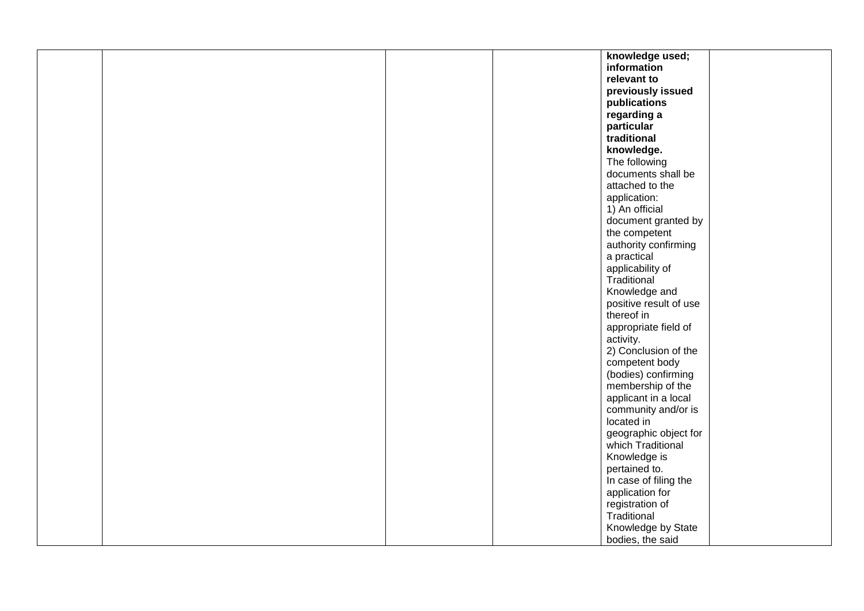|  |  | knowledge used;                            |
|--|--|--------------------------------------------|
|  |  | information                                |
|  |  | relevant to                                |
|  |  | previously issued                          |
|  |  | publications                               |
|  |  | regarding a                                |
|  |  | particular                                 |
|  |  | traditional                                |
|  |  | knowledge.                                 |
|  |  | The following                              |
|  |  | documents shall be                         |
|  |  | attached to the                            |
|  |  | application:                               |
|  |  | 1) An official                             |
|  |  | document granted by                        |
|  |  | the competent                              |
|  |  | authority confirming                       |
|  |  | a practical                                |
|  |  | applicability of                           |
|  |  | Traditional                                |
|  |  | Knowledge and                              |
|  |  | positive result of use                     |
|  |  | thereof in                                 |
|  |  | appropriate field of                       |
|  |  | activity.                                  |
|  |  | 2) Conclusion of the                       |
|  |  | competent body                             |
|  |  | (bodies) confirming                        |
|  |  | membership of the                          |
|  |  | applicant in a local                       |
|  |  | community and/or is<br>located in          |
|  |  |                                            |
|  |  | geographic object for<br>which Traditional |
|  |  |                                            |
|  |  | Knowledge is<br>pertained to.              |
|  |  | In case of filing the                      |
|  |  | application for                            |
|  |  | registration of                            |
|  |  | Traditional                                |
|  |  | Knowledge by State                         |
|  |  | bodies, the said                           |
|  |  |                                            |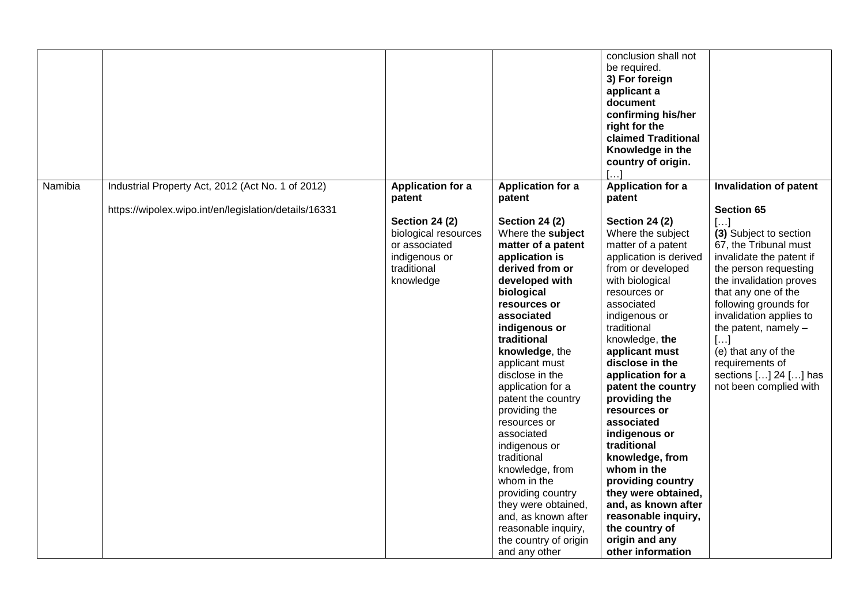|         |                                                                                                            |                                                                                                                                                   |                                                                                                                                                                                                                                                                                                                                                                                                                                                                                                                                                                                                  | conclusion shall not<br>be required.<br>3) For foreign<br>applicant a<br>document<br>confirming his/her<br>right for the<br><b>claimed Traditional</b><br>Knowledge in the<br>country of origin.<br>[]                                                                                                                                                                                                                                                                                                                                                                                                       |                                                                                                                                                                                                                                                                                                                                                                                                       |
|---------|------------------------------------------------------------------------------------------------------------|---------------------------------------------------------------------------------------------------------------------------------------------------|--------------------------------------------------------------------------------------------------------------------------------------------------------------------------------------------------------------------------------------------------------------------------------------------------------------------------------------------------------------------------------------------------------------------------------------------------------------------------------------------------------------------------------------------------------------------------------------------------|--------------------------------------------------------------------------------------------------------------------------------------------------------------------------------------------------------------------------------------------------------------------------------------------------------------------------------------------------------------------------------------------------------------------------------------------------------------------------------------------------------------------------------------------------------------------------------------------------------------|-------------------------------------------------------------------------------------------------------------------------------------------------------------------------------------------------------------------------------------------------------------------------------------------------------------------------------------------------------------------------------------------------------|
| Namibia | Industrial Property Act, 2012 (Act No. 1 of 2012)<br>https://wipolex.wipo.int/en/legislation/details/16331 | <b>Application for a</b><br>patent<br><b>Section 24 (2)</b><br>biological resources<br>or associated<br>indigenous or<br>traditional<br>knowledge | <b>Application for a</b><br>patent<br><b>Section 24 (2)</b><br>Where the subject<br>matter of a patent<br>application is<br>derived from or<br>developed with<br>biological<br>resources or<br>associated<br>indigenous or<br>traditional<br>knowledge, the<br>applicant must<br>disclose in the<br>application for a<br>patent the country<br>providing the<br>resources or<br>associated<br>indigenous or<br>traditional<br>knowledge, from<br>whom in the<br>providing country<br>they were obtained,<br>and, as known after<br>reasonable inquiry,<br>the country of origin<br>and any other | <b>Application for a</b><br>patent<br><b>Section 24 (2)</b><br>Where the subject<br>matter of a patent<br>application is derived<br>from or developed<br>with biological<br>resources or<br>associated<br>indigenous or<br>traditional<br>knowledge, the<br>applicant must<br>disclose in the<br>application for a<br>patent the country<br>providing the<br>resources or<br>associated<br>indigenous or<br>traditional<br>knowledge, from<br>whom in the<br>providing country<br>they were obtained,<br>and, as known after<br>reasonable inquiry,<br>the country of<br>origin and any<br>other information | <b>Invalidation of patent</b><br><b>Section 65</b><br>$[]$<br>(3) Subject to section<br>67, the Tribunal must<br>invalidate the patent if<br>the person requesting<br>the invalidation proves<br>that any one of the<br>following grounds for<br>invalidation applies to<br>the patent, namely $-$<br>[]<br>(e) that any of the<br>requirements of<br>sections [] 24 [] has<br>not been complied with |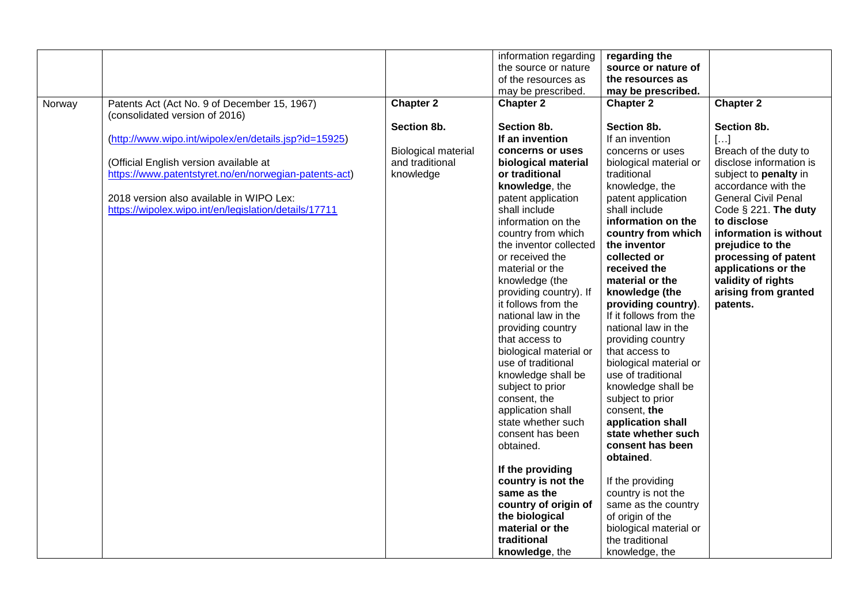|        |                                                       |                            | information regarding  | regarding the          |                            |
|--------|-------------------------------------------------------|----------------------------|------------------------|------------------------|----------------------------|
|        |                                                       |                            | the source or nature   | source or nature of    |                            |
|        |                                                       |                            | of the resources as    | the resources as       |                            |
|        |                                                       |                            | may be prescribed.     | may be prescribed.     |                            |
|        |                                                       | <b>Chapter 2</b>           |                        | <b>Chapter 2</b>       | <b>Chapter 2</b>           |
| Norway | Patents Act (Act No. 9 of December 15, 1967)          |                            | <b>Chapter 2</b>       |                        |                            |
|        | (consolidated version of 2016)                        |                            |                        |                        |                            |
|        |                                                       | Section 8b.                | Section 8b.            | Section 8b.            | Section 8b.                |
|        | (http://www.wipo.int/wipolex/en/details.jsp?id=15925) |                            | If an invention        | If an invention        | $[]$                       |
|        |                                                       | <b>Biological material</b> | concerns or uses       | concerns or uses       | Breach of the duty to      |
|        | (Official English version available at                | and traditional            | biological material    | biological material or | disclose information is    |
|        | https://www.patentstyret.no/en/norwegian-patents-act) | knowledge                  | or traditional         | traditional            | subject to penalty in      |
|        |                                                       |                            | knowledge, the         | knowledge, the         | accordance with the        |
|        | 2018 version also available in WIPO Lex:              |                            | patent application     | patent application     | <b>General Civil Penal</b> |
|        | https://wipolex.wipo.int/en/legislation/details/17711 |                            | shall include          | shall include          | Code § 221. The duty       |
|        |                                                       |                            | information on the     | information on the     | to disclose                |
|        |                                                       |                            | country from which     | country from which     | information is without     |
|        |                                                       |                            | the inventor collected | the inventor           | prejudice to the           |
|        |                                                       |                            | or received the        | collected or           | processing of patent       |
|        |                                                       |                            | material or the        | received the           | applications or the        |
|        |                                                       |                            | knowledge (the         | material or the        | validity of rights         |
|        |                                                       |                            | providing country). If | knowledge (the         | arising from granted       |
|        |                                                       |                            | it follows from the    | providing country).    | patents.                   |
|        |                                                       |                            | national law in the    | If it follows from the |                            |
|        |                                                       |                            | providing country      | national law in the    |                            |
|        |                                                       |                            | that access to         | providing country      |                            |
|        |                                                       |                            | biological material or | that access to         |                            |
|        |                                                       |                            | use of traditional     | biological material or |                            |
|        |                                                       |                            | knowledge shall be     | use of traditional     |                            |
|        |                                                       |                            |                        | knowledge shall be     |                            |
|        |                                                       |                            | subject to prior       |                        |                            |
|        |                                                       |                            | consent, the           | subject to prior       |                            |
|        |                                                       |                            | application shall      | consent, the           |                            |
|        |                                                       |                            | state whether such     | application shall      |                            |
|        |                                                       |                            | consent has been       | state whether such     |                            |
|        |                                                       |                            | obtained.              | consent has been       |                            |
|        |                                                       |                            |                        | obtained.              |                            |
|        |                                                       |                            | If the providing       |                        |                            |
|        |                                                       |                            | country is not the     | If the providing       |                            |
|        |                                                       |                            | same as the            | country is not the     |                            |
|        |                                                       |                            | country of origin of   | same as the country    |                            |
|        |                                                       |                            | the biological         | of origin of the       |                            |
|        |                                                       |                            | material or the        | biological material or |                            |
|        |                                                       |                            | traditional            | the traditional        |                            |
|        |                                                       |                            | knowledge, the         | knowledge, the         |                            |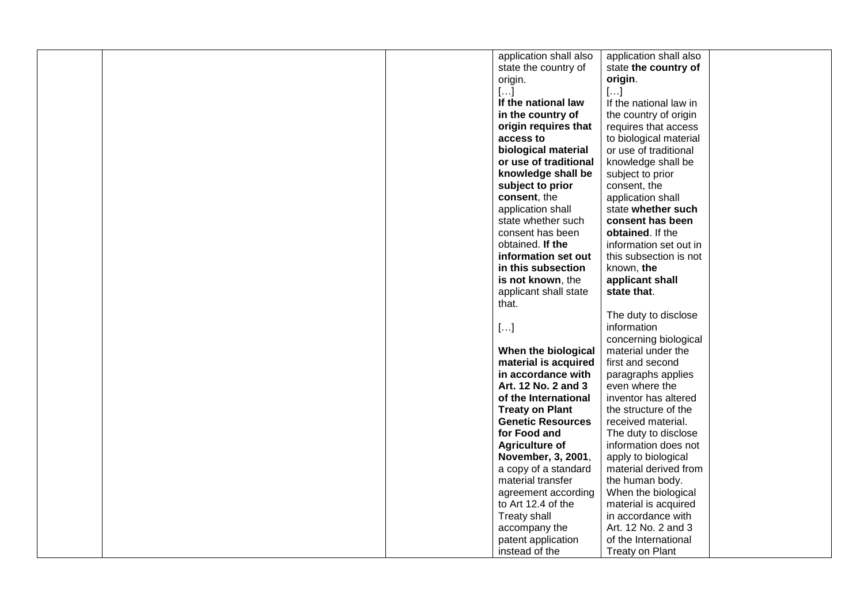|  | application shall also   | application shall also |  |
|--|--------------------------|------------------------|--|
|  | state the country of     | state the country of   |  |
|  | origin.                  | origin.                |  |
|  | $[]$                     | $[]$                   |  |
|  | If the national law      | If the national law in |  |
|  | in the country of        | the country of origin  |  |
|  | origin requires that     | requires that access   |  |
|  | access to                | to biological material |  |
|  | biological material      | or use of traditional  |  |
|  | or use of traditional    | knowledge shall be     |  |
|  | knowledge shall be       | subject to prior       |  |
|  | subject to prior         | consent, the           |  |
|  | consent, the             | application shall      |  |
|  | application shall        | state whether such     |  |
|  | state whether such       | consent has been       |  |
|  | consent has been         | obtained. If the       |  |
|  | obtained. If the         | information set out in |  |
|  | information set out      | this subsection is not |  |
|  | in this subsection       | known, the             |  |
|  | is not known, the        | applicant shall        |  |
|  | applicant shall state    | state that.            |  |
|  | that.                    |                        |  |
|  |                          | The duty to disclose   |  |
|  | $[]$                     | information            |  |
|  |                          | concerning biological  |  |
|  | When the biological      | material under the     |  |
|  | material is acquired     | first and second       |  |
|  | in accordance with       | paragraphs applies     |  |
|  | Art. 12 No. 2 and 3      | even where the         |  |
|  | of the International     | inventor has altered   |  |
|  | <b>Treaty on Plant</b>   | the structure of the   |  |
|  | <b>Genetic Resources</b> | received material.     |  |
|  | for Food and             | The duty to disclose   |  |
|  | <b>Agriculture of</b>    | information does not   |  |
|  | November, 3, 2001,       | apply to biological    |  |
|  | a copy of a standard     | material derived from  |  |
|  | material transfer        | the human body.        |  |
|  | agreement according      | When the biological    |  |
|  | to Art 12.4 of the       | material is acquired   |  |
|  | Treaty shall             | in accordance with     |  |
|  | accompany the            | Art. 12 No. 2 and 3    |  |
|  | patent application       | of the International   |  |
|  | instead of the           | Treaty on Plant        |  |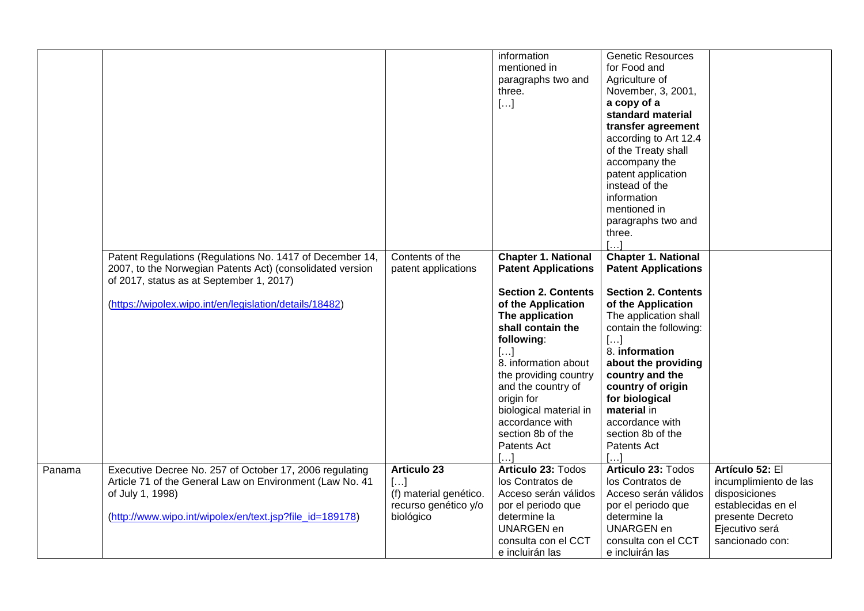|        |                                                                                                                                                                                                                              |                                                                                           | information<br>mentioned in<br>paragraphs two and<br>three.<br>$[]$                                                                                                                                                                                                                                                                            | <b>Genetic Resources</b><br>for Food and<br>Agriculture of<br>November, 3, 2001,<br>a copy of a<br>standard material<br>transfer agreement<br>according to Art 12.4<br>of the Treaty shall<br>accompany the<br>patent application<br>instead of the<br>information<br>mentioned in<br>paragraphs two and<br>three.<br>$\left[ \ldots \right]$    |                                                                                                                                          |
|--------|------------------------------------------------------------------------------------------------------------------------------------------------------------------------------------------------------------------------------|-------------------------------------------------------------------------------------------|------------------------------------------------------------------------------------------------------------------------------------------------------------------------------------------------------------------------------------------------------------------------------------------------------------------------------------------------|--------------------------------------------------------------------------------------------------------------------------------------------------------------------------------------------------------------------------------------------------------------------------------------------------------------------------------------------------|------------------------------------------------------------------------------------------------------------------------------------------|
|        | Patent Regulations (Regulations No. 1417 of December 14,<br>2007, to the Norwegian Patents Act) (consolidated version<br>of 2017, status as at September 1, 2017)<br>(https://wipolex.wipo.int/en/legislation/details/18482) | Contents of the<br>patent applications                                                    | <b>Chapter 1. National</b><br><b>Patent Applications</b><br><b>Section 2. Contents</b><br>of the Application<br>The application<br>shall contain the<br>following:<br>[]<br>8. information about<br>the providing country<br>and the country of<br>origin for<br>biological material in<br>accordance with<br>section 8b of the<br>Patents Act | <b>Chapter 1. National</b><br><b>Patent Applications</b><br><b>Section 2. Contents</b><br>of the Application<br>The application shall<br>contain the following:<br>$[]$<br>8. information<br>about the providing<br>country and the<br>country of origin<br>for biological<br>material in<br>accordance with<br>section 8b of the<br>Patents Act |                                                                                                                                          |
| Panama | Executive Decree No. 257 of October 17, 2006 regulating<br>Article 71 of the General Law on Environment (Law No. 41<br>of July 1, 1998)<br>(http://www.wipo.int/wipolex/en/text.jsp?file_id=189178)                          | <b>Articulo 23</b><br>$[]$<br>(f) material genético.<br>recurso genético y/o<br>biológico | Articulo 23: Todos<br>los Contratos de<br>Acceso serán válidos<br>por el periodo que<br>determine la<br><b>UNARGEN en</b><br>consulta con el CCT<br>e incluirán las                                                                                                                                                                            | Articulo 23: Todos<br>los Contratos de<br>Acceso serán válidos<br>por el periodo que<br>determine la<br><b>UNARGEN en</b><br>consulta con el CCT<br>e incluirán las                                                                                                                                                                              | Artículo 52: El<br>incumplimiento de las<br>disposiciones<br>establecidas en el<br>presente Decreto<br>Ejecutivo será<br>sancionado con: |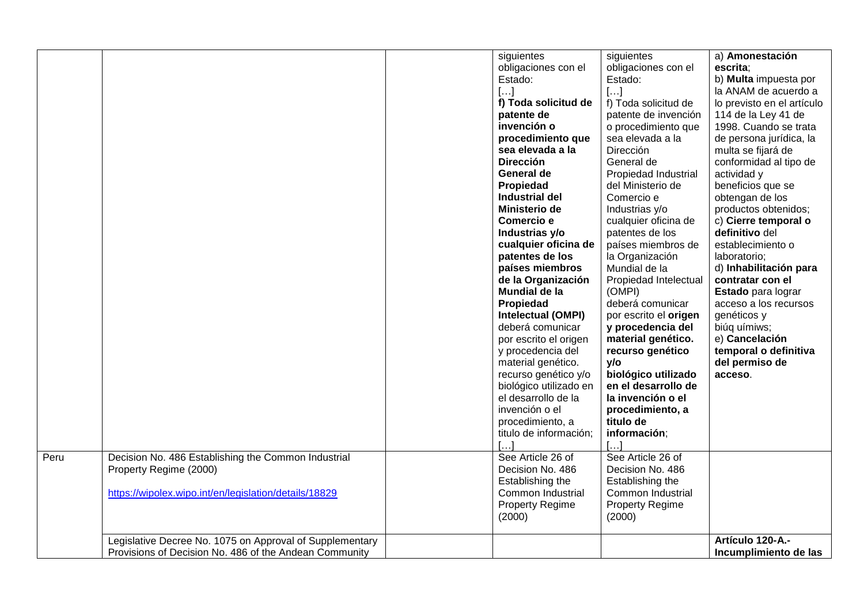|      |                                                                                                                                        | siguientes<br>obligaciones con el<br>Estado:<br>[]<br>f) Toda solicitud de<br>patente de<br>invención o<br>procedimiento que<br>sea elevada a la<br><b>Dirección</b><br>General de<br>Propiedad<br><b>Industrial del</b><br>Ministerio de<br>Comercio e<br>Industrias y/o<br>cualquier oficina de<br>patentes de los<br>países miembros<br>de la Organización<br><b>Mundial de la</b><br>Propiedad<br><b>Intelectual (OMPI)</b><br>deberá comunicar<br>por escrito el origen<br>y procedencia del<br>material genético.<br>recurso genético y/o<br>biológico utilizado en<br>el desarrollo de la<br>invención o el<br>procedimiento, a<br>titulo de información;<br>$\left[\ldots\right]$ | siguientes<br>obligaciones con el<br>Estado:<br>$[]$<br>f) Toda solicitud de<br>patente de invención<br>o procedimiento que<br>sea elevada a la<br>Dirección<br>General de<br>Propiedad Industrial<br>del Ministerio de<br>Comercio e<br>Industrias y/o<br>cualquier oficina de<br>patentes de los<br>países miembros de<br>la Organización<br>Mundial de la<br>Propiedad Intelectual<br>(OMPI)<br>deberá comunicar<br>por escrito el origen<br>y procedencia del<br>material genético.<br>recurso genético<br>y/o<br>biológico utilizado<br>en el desarrollo de<br>la invención o el<br>procedimiento, a<br>titulo de<br>información; | a) Amonestación<br>escrita;<br>b) Multa impuesta por<br>la ANAM de acuerdo a<br>lo previsto en el artículo<br>114 de la Ley 41 de<br>1998. Cuando se trata<br>de persona jurídica, la<br>multa se fijará de<br>conformidad al tipo de<br>actividad y<br>beneficios que se<br>obtengan de los<br>productos obtenidos;<br>c) Cierre temporal o<br>definitivo del<br>establecimiento o<br>laboratorio;<br>d) Inhabilitación para<br>contratar con el<br>Estado para lograr<br>acceso a los recursos<br>genéticos y<br>biúq uímiws;<br>e) Cancelación<br>temporal o definitiva<br>del permiso de<br>acceso. |
|------|----------------------------------------------------------------------------------------------------------------------------------------|-------------------------------------------------------------------------------------------------------------------------------------------------------------------------------------------------------------------------------------------------------------------------------------------------------------------------------------------------------------------------------------------------------------------------------------------------------------------------------------------------------------------------------------------------------------------------------------------------------------------------------------------------------------------------------------------|----------------------------------------------------------------------------------------------------------------------------------------------------------------------------------------------------------------------------------------------------------------------------------------------------------------------------------------------------------------------------------------------------------------------------------------------------------------------------------------------------------------------------------------------------------------------------------------------------------------------------------------|---------------------------------------------------------------------------------------------------------------------------------------------------------------------------------------------------------------------------------------------------------------------------------------------------------------------------------------------------------------------------------------------------------------------------------------------------------------------------------------------------------------------------------------------------------------------------------------------------------|
| Peru | Decision No. 486 Establishing the Common Industrial<br>Property Regime (2000)<br>https://wipolex.wipo.int/en/legislation/details/18829 | See Article 26 of<br>Decision No. 486<br>Establishing the<br>Common Industrial<br><b>Property Regime</b><br>(2000)                                                                                                                                                                                                                                                                                                                                                                                                                                                                                                                                                                        | See Article 26 of<br>Decision No. 486<br>Establishing the<br>Common Industrial<br><b>Property Regime</b><br>(2000)                                                                                                                                                                                                                                                                                                                                                                                                                                                                                                                     |                                                                                                                                                                                                                                                                                                                                                                                                                                                                                                                                                                                                         |
|      | Legislative Decree No. 1075 on Approval of Supplementary<br>Provisions of Decision No. 486 of the Andean Community                     |                                                                                                                                                                                                                                                                                                                                                                                                                                                                                                                                                                                                                                                                                           |                                                                                                                                                                                                                                                                                                                                                                                                                                                                                                                                                                                                                                        | Artículo 120-A.-<br>Incumplimiento de las                                                                                                                                                                                                                                                                                                                                                                                                                                                                                                                                                               |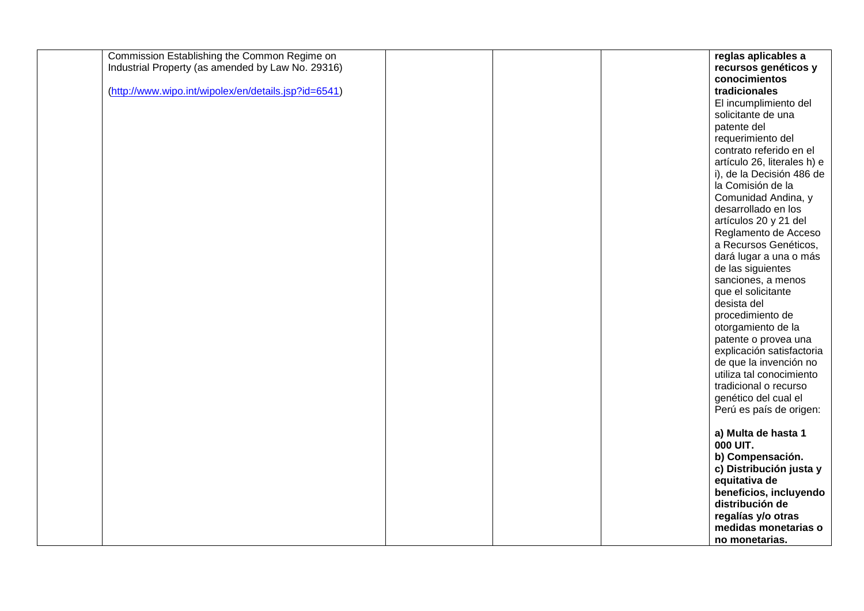| Commission Establishing the Common Regime on         |  | reglas aplicables a         |
|------------------------------------------------------|--|-----------------------------|
| Industrial Property (as amended by Law No. 29316)    |  | recursos genéticos y        |
|                                                      |  | conocimientos               |
| (http://www.wipo.int/wipolex/en/details.jsp?id=6541) |  | tradicionales               |
|                                                      |  | El incumplimiento del       |
|                                                      |  | solicitante de una          |
|                                                      |  | patente del                 |
|                                                      |  | requerimiento del           |
|                                                      |  | contrato referido en el     |
|                                                      |  | artículo 26, literales h) e |
|                                                      |  | i), de la Decisión 486 de   |
|                                                      |  | la Comisión de la           |
|                                                      |  | Comunidad Andina, y         |
|                                                      |  | desarrollado en los         |
|                                                      |  | artículos 20 y 21 del       |
|                                                      |  | Reglamento de Acceso        |
|                                                      |  | a Recursos Genéticos,       |
|                                                      |  | dará lugar a una o más      |
|                                                      |  | de las siguientes           |
|                                                      |  | sanciones, a menos          |
|                                                      |  | que el solicitante          |
|                                                      |  | desista del                 |
|                                                      |  | procedimiento de            |
|                                                      |  | otorgamiento de la          |
|                                                      |  | patente o provea una        |
|                                                      |  | explicación satisfactoria   |
|                                                      |  | de que la invención no      |
|                                                      |  | utiliza tal conocimiento    |
|                                                      |  | tradicional o recurso       |
|                                                      |  | genético del cual el        |
|                                                      |  | Perú es país de origen:     |
|                                                      |  |                             |
|                                                      |  | a) Multa de hasta 1         |
|                                                      |  | 000 UIT.                    |
|                                                      |  | b) Compensación.            |
|                                                      |  | c) Distribución justa y     |
|                                                      |  | equitativa de               |
|                                                      |  | beneficios, incluyendo      |
|                                                      |  | distribución de             |
|                                                      |  | regalías y/o otras          |
|                                                      |  | medidas monetarias o        |
|                                                      |  | no monetarias.              |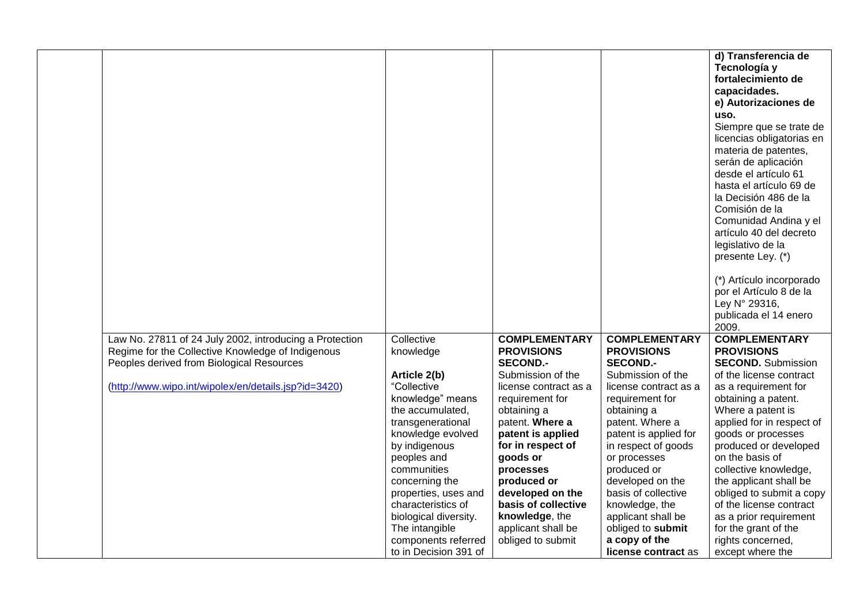| d) Transferencia de                      |
|------------------------------------------|
|                                          |
| Tecnología y                             |
| fortalecimiento de                       |
| capacidades.                             |
| e) Autorizaciones de                     |
| uso.                                     |
| Siempre que se trate de                  |
| licencias obligatorias en                |
| materia de patentes,                     |
| serán de aplicación                      |
| desde el artículo 61                     |
| hasta el artículo 69 de                  |
| la Decisión 486 de la                    |
| Comisión de la                           |
| Comunidad Andina y el                    |
| artículo 40 del decreto                  |
| legislativo de la                        |
| presente Ley. (*)                        |
|                                          |
| (*) Artículo incorporado                 |
| por el Artículo 8 de la                  |
| Ley N° 29316,                            |
| publicada el 14 enero                    |
|                                          |
| <b>COMPLEMENTARY</b>                     |
| <b>PROVISIONS</b>                        |
| <b>SECOND.</b> Submission                |
| of the license contract                  |
| as a requirement for                     |
| obtaining a patent.<br>Where a patent is |
| applied for in respect of                |
| goods or processes                       |
| produced or developed                    |
| on the basis of                          |
| collective knowledge,                    |
| the applicant shall be                   |
| obliged to submit a copy                 |
| of the license contract                  |
| as a prior requirement                   |
| for the grant of the                     |
| rights concerned,                        |
| except where the                         |
| 2009.                                    |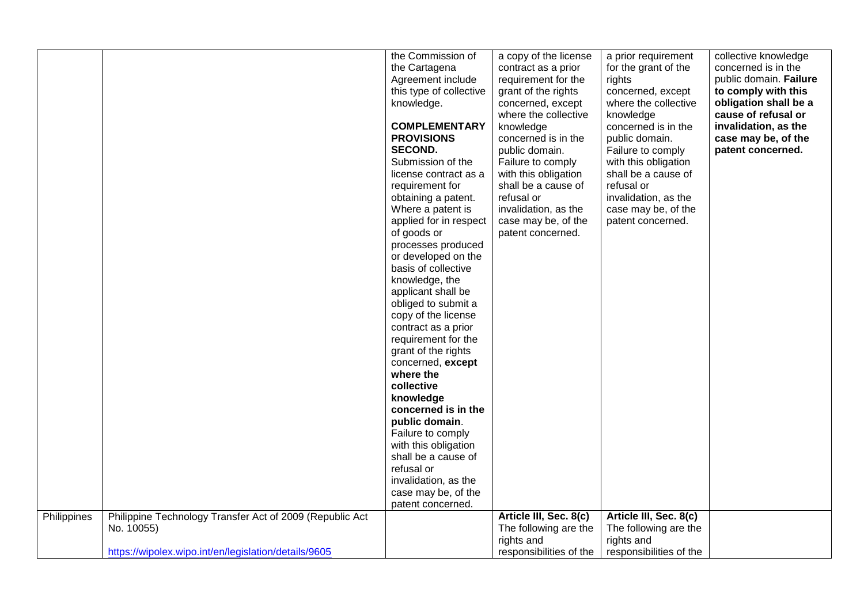|             |                                                                                                                                | the Commission of<br>the Cartagena<br>Agreement include<br>this type of collective<br>knowledge.<br><b>COMPLEMENTARY</b><br><b>PROVISIONS</b><br><b>SECOND.</b><br>Submission of the<br>license contract as a<br>requirement for<br>obtaining a patent.<br>Where a patent is<br>applied for in respect<br>of goods or<br>processes produced<br>or developed on the<br>basis of collective<br>knowledge, the<br>applicant shall be<br>obliged to submit a<br>copy of the license<br>contract as a prior<br>requirement for the<br>grant of the rights<br>concerned, except<br>where the<br>collective<br>knowledge<br>concerned is in the<br>public domain.<br>Failure to comply<br>with this obligation<br>shall be a cause of<br>refusal or<br>invalidation, as the<br>case may be, of the<br>patent concerned. | a copy of the license<br>contract as a prior<br>requirement for the<br>grant of the rights<br>concerned, except<br>where the collective<br>knowledge<br>concerned is in the<br>public domain.<br>Failure to comply<br>with this obligation<br>shall be a cause of<br>refusal or<br>invalidation, as the<br>case may be, of the<br>patent concerned. | a prior requirement<br>for the grant of the<br>rights<br>concerned, except<br>where the collective<br>knowledge<br>concerned is in the<br>public domain.<br>Failure to comply<br>with this obligation<br>shall be a cause of<br>refusal or<br>invalidation, as the<br>case may be, of the<br>patent concerned. | collective knowledge<br>concerned is in the<br>public domain. Failure<br>to comply with this<br>obligation shall be a<br>cause of refusal or<br>invalidation, as the<br>case may be, of the<br>patent concerned. |
|-------------|--------------------------------------------------------------------------------------------------------------------------------|------------------------------------------------------------------------------------------------------------------------------------------------------------------------------------------------------------------------------------------------------------------------------------------------------------------------------------------------------------------------------------------------------------------------------------------------------------------------------------------------------------------------------------------------------------------------------------------------------------------------------------------------------------------------------------------------------------------------------------------------------------------------------------------------------------------|-----------------------------------------------------------------------------------------------------------------------------------------------------------------------------------------------------------------------------------------------------------------------------------------------------------------------------------------------------|----------------------------------------------------------------------------------------------------------------------------------------------------------------------------------------------------------------------------------------------------------------------------------------------------------------|------------------------------------------------------------------------------------------------------------------------------------------------------------------------------------------------------------------|
| Philippines | Philippine Technology Transfer Act of 2009 (Republic Act<br>No. 10055)<br>https://wipolex.wipo.int/en/legislation/details/9605 |                                                                                                                                                                                                                                                                                                                                                                                                                                                                                                                                                                                                                                                                                                                                                                                                                  | Article III, Sec. 8(c)<br>The following are the<br>rights and<br>responsibilities of the                                                                                                                                                                                                                                                            | Article III, Sec. 8(c)<br>The following are the<br>rights and<br>responsibilities of the                                                                                                                                                                                                                       |                                                                                                                                                                                                                  |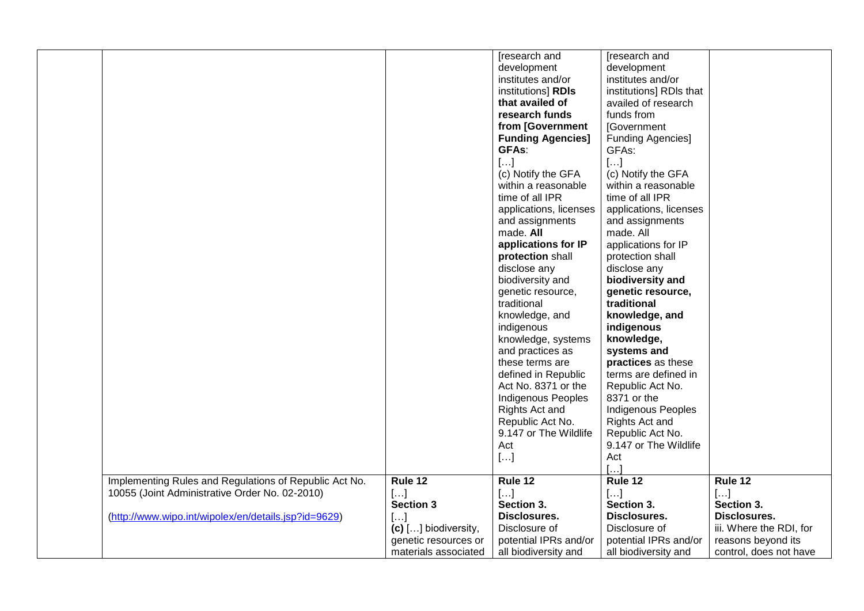|                                                        |                        | [research and             | [research and            |                         |
|--------------------------------------------------------|------------------------|---------------------------|--------------------------|-------------------------|
|                                                        |                        | development               | development              |                         |
|                                                        |                        | institutes and/or         | institutes and/or        |                         |
|                                                        |                        | institutions] RDIs        | institutions] RDIs that  |                         |
|                                                        |                        | that availed of           | availed of research      |                         |
|                                                        |                        | research funds            | funds from               |                         |
|                                                        |                        | from [Government          | [Government              |                         |
|                                                        |                        | <b>Funding Agencies]</b>  | <b>Funding Agencies]</b> |                         |
|                                                        |                        | <b>GFAs:</b>              | GFAs:                    |                         |
|                                                        |                        | $[]$                      | $[]$                     |                         |
|                                                        |                        | (c) Notify the GFA        | (c) Notify the GFA       |                         |
|                                                        |                        | within a reasonable       | within a reasonable      |                         |
|                                                        |                        | time of all IPR           | time of all IPR          |                         |
|                                                        |                        | applications, licenses    | applications, licenses   |                         |
|                                                        |                        | and assignments           | and assignments          |                         |
|                                                        |                        | made. All                 | made. All                |                         |
|                                                        |                        | applications for IP       | applications for IP      |                         |
|                                                        |                        | protection shall          | protection shall         |                         |
|                                                        |                        | disclose any              | disclose any             |                         |
|                                                        |                        | biodiversity and          | biodiversity and         |                         |
|                                                        |                        | genetic resource,         | genetic resource,        |                         |
|                                                        |                        | traditional               | traditional              |                         |
|                                                        |                        | knowledge, and            | knowledge, and           |                         |
|                                                        |                        | indigenous                | indigenous               |                         |
|                                                        |                        | knowledge, systems        | knowledge,               |                         |
|                                                        |                        | and practices as          | systems and              |                         |
|                                                        |                        | these terms are           | practices as these       |                         |
|                                                        |                        | defined in Republic       | terms are defined in     |                         |
|                                                        |                        | Act No. 8371 or the       | Republic Act No.         |                         |
|                                                        |                        | <b>Indigenous Peoples</b> | 8371 or the              |                         |
|                                                        |                        | Rights Act and            | Indigenous Peoples       |                         |
|                                                        |                        | Republic Act No.          | Rights Act and           |                         |
|                                                        |                        | 9.147 or The Wildlife     | Republic Act No.         |                         |
|                                                        |                        | Act                       | 9.147 or The Wildlife    |                         |
|                                                        |                        | []                        | Act                      |                         |
|                                                        |                        |                           | $[\dots]$                |                         |
| Implementing Rules and Regulations of Republic Act No. | Rule 12                | Rule 12                   | Rule 12                  | Rule 12                 |
| 10055 (Joint Administrative Order No. 02-2010)         | []                     | []                        | []                       | $[]$                    |
|                                                        | <b>Section 3</b>       | Section 3.                | Section 3.               | Section 3.              |
| (http://www.wipo.int/wipolex/en/details.jsp?id=9629)   | []                     | Disclosures.              | Disclosures.             | Disclosures.            |
|                                                        | $(c)$ [] biodiversity, | Disclosure of             | Disclosure of            | iii. Where the RDI, for |
|                                                        | genetic resources or   | potential IPRs and/or     | potential IPRs and/or    | reasons beyond its      |
|                                                        | materials associated   | all biodiversity and      | all biodiversity and     | control, does not have  |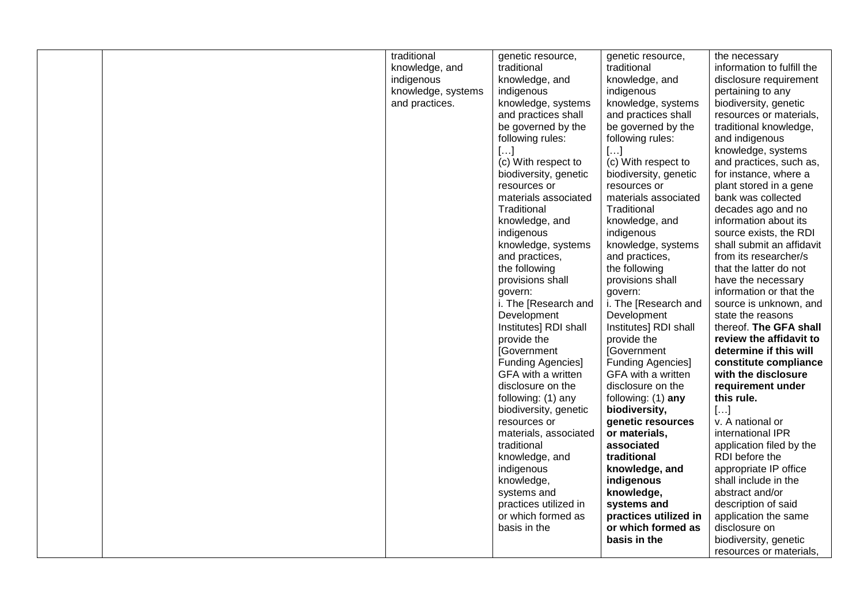|  | traditional        | genetic resource,        | genetic resource,        | the necessary              |
|--|--------------------|--------------------------|--------------------------|----------------------------|
|  | knowledge, and     | traditional              | traditional              | information to fulfill the |
|  | indigenous         | knowledge, and           | knowledge, and           | disclosure requirement     |
|  | knowledge, systems | indigenous               | indigenous               | pertaining to any          |
|  | and practices.     | knowledge, systems       | knowledge, systems       | biodiversity, genetic      |
|  |                    | and practices shall      | and practices shall      | resources or materials,    |
|  |                    | be governed by the       | be governed by the       | traditional knowledge,     |
|  |                    | following rules:         | following rules:         | and indigenous             |
|  |                    | $[]$                     | $[]$                     | knowledge, systems         |
|  |                    | (c) With respect to      | (c) With respect to      | and practices, such as,    |
|  |                    | biodiversity, genetic    | biodiversity, genetic    | for instance, where a      |
|  |                    |                          |                          |                            |
|  |                    | resources or             | resources or             | plant stored in a gene     |
|  |                    | materials associated     | materials associated     | bank was collected         |
|  |                    | Traditional              | Traditional              | decades ago and no         |
|  |                    | knowledge, and           | knowledge, and           | information about its      |
|  |                    | indigenous               | indigenous               | source exists, the RDI     |
|  |                    | knowledge, systems       | knowledge, systems       | shall submit an affidavit  |
|  |                    | and practices,           | and practices,           | from its researcher/s      |
|  |                    | the following            | the following            | that the latter do not     |
|  |                    | provisions shall         | provisions shall         | have the necessary         |
|  |                    | govern:                  | govern:                  | information or that the    |
|  |                    | i. The [Research and     | i. The [Research and     | source is unknown, and     |
|  |                    | Development              | Development              | state the reasons          |
|  |                    | Institutes] RDI shall    | Institutes] RDI shall    | thereof. The GFA shall     |
|  |                    | provide the              | provide the              | review the affidavit to    |
|  |                    | <b>[Government</b>       | <b>[Government</b>       | determine if this will     |
|  |                    | <b>Funding Agencies]</b> | <b>Funding Agencies]</b> | constitute compliance      |
|  |                    | GFA with a written       | GFA with a written       | with the disclosure        |
|  |                    | disclosure on the        | disclosure on the        | requirement under          |
|  |                    | following: (1) any       | following: $(1)$ any     | this rule.                 |
|  |                    | biodiversity, genetic    | biodiversity,            | []                         |
|  |                    | resources or             | genetic resources        | v. A national or           |
|  |                    | materials, associated    | or materials,            | international IPR          |
|  |                    | traditional              | associated               | application filed by the   |
|  |                    | knowledge, and           | traditional              | RDI before the             |
|  |                    | indigenous               | knowledge, and           | appropriate IP office      |
|  |                    |                          | indigenous               | shall include in the       |
|  |                    | knowledge,               |                          |                            |
|  |                    | systems and              | knowledge,               | abstract and/or            |
|  |                    | practices utilized in    | systems and              | description of said        |
|  |                    | or which formed as       | practices utilized in    | application the same       |
|  |                    | basis in the             | or which formed as       | disclosure on              |
|  |                    |                          | basis in the             | biodiversity, genetic      |
|  |                    |                          |                          | resources or materials.    |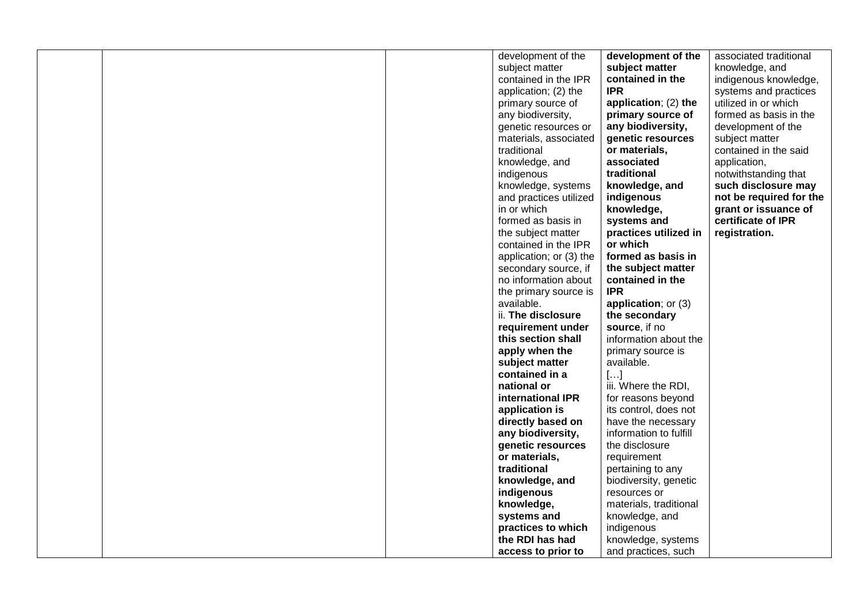|  | development of the      | development of the     | associated traditional  |
|--|-------------------------|------------------------|-------------------------|
|  | subject matter          | subject matter         | knowledge, and          |
|  | contained in the IPR    | contained in the       | indigenous knowledge,   |
|  | application; (2) the    | <b>IPR</b>             | systems and practices   |
|  | primary source of       | application; (2) the   | utilized in or which    |
|  | any biodiversity,       | primary source of      | formed as basis in the  |
|  | genetic resources or    | any biodiversity,      | development of the      |
|  | materials, associated   | genetic resources      | subject matter          |
|  | traditional             | or materials.          | contained in the said   |
|  | knowledge, and          | associated             | application,            |
|  | indigenous              | traditional            | notwithstanding that    |
|  | knowledge, systems      | knowledge, and         | such disclosure may     |
|  | and practices utilized  | indigenous             | not be required for the |
|  | in or which             | knowledge,             | grant or issuance of    |
|  | formed as basis in      | systems and            | certificate of IPR      |
|  | the subject matter      | practices utilized in  | registration.           |
|  | contained in the IPR    | or which               |                         |
|  | application; or (3) the | formed as basis in     |                         |
|  | secondary source, if    | the subject matter     |                         |
|  | no information about    | contained in the       |                         |
|  | the primary source is   | <b>IPR</b>             |                         |
|  | available.              | application; or $(3)$  |                         |
|  | ii. The disclosure      | the secondary          |                         |
|  | requirement under       | source, if no          |                         |
|  | this section shall      | information about the  |                         |
|  | apply when the          | primary source is      |                         |
|  | subject matter          | available.             |                         |
|  | contained in a          | []                     |                         |
|  | national or             | iii. Where the RDI,    |                         |
|  | international IPR       | for reasons beyond     |                         |
|  | application is          | its control, does not  |                         |
|  | directly based on       | have the necessary     |                         |
|  | any biodiversity,       | information to fulfill |                         |
|  | genetic resources       | the disclosure         |                         |
|  | or materials,           | requirement            |                         |
|  | traditional             | pertaining to any      |                         |
|  | knowledge, and          | biodiversity, genetic  |                         |
|  | indigenous              | resources or           |                         |
|  | knowledge,              | materials, traditional |                         |
|  | systems and             | knowledge, and         |                         |
|  | practices to which      | indigenous             |                         |
|  | the RDI has had         | knowledge, systems     |                         |
|  | access to prior to      | and practices, such    |                         |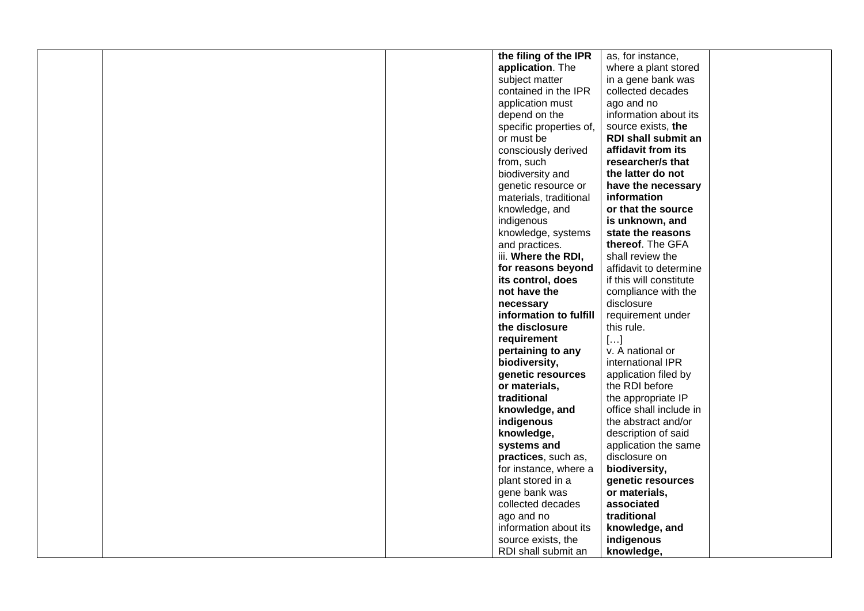|                    | the filing of the IPR   | as, for instance,          |  |
|--------------------|-------------------------|----------------------------|--|
| application. The   |                         | where a plant stored       |  |
| subject matter     |                         | in a gene bank was         |  |
|                    | contained in the IPR    | collected decades          |  |
| application must   |                         | ago and no                 |  |
| depend on the      |                         | information about its      |  |
|                    | specific properties of, | source exists, the         |  |
| or must be         |                         | <b>RDI shall submit an</b> |  |
|                    | consciously derived     | affidavit from its         |  |
| from, such         |                         | researcher/s that          |  |
| biodiversity and   |                         | the latter do not          |  |
|                    | genetic resource or     | have the necessary         |  |
|                    | materials, traditional  | information                |  |
| knowledge, and     |                         | or that the source         |  |
| indigenous         |                         | is unknown, and            |  |
|                    | knowledge, systems      | state the reasons          |  |
| and practices.     |                         | thereof. The GFA           |  |
|                    | iii. Where the RDI,     | shall review the           |  |
|                    | for reasons beyond      | affidavit to determine     |  |
| its control, does  |                         | if this will constitute    |  |
| not have the       |                         | compliance with the        |  |
| necessary          |                         | disclosure                 |  |
|                    | information to fulfill  | requirement under          |  |
| the disclosure     |                         | this rule.                 |  |
| requirement        |                         | []                         |  |
| pertaining to any  |                         | v. A national or           |  |
| biodiversity,      |                         | international IPR          |  |
|                    | genetic resources       | application filed by       |  |
| or materials,      |                         | the RDI before             |  |
| traditional        |                         | the appropriate IP         |  |
| knowledge, and     |                         | office shall include in    |  |
| indigenous         |                         | the abstract and/or        |  |
| knowledge,         |                         | description of said        |  |
| systems and        |                         | application the same       |  |
|                    | practices, such as,     | disclosure on              |  |
|                    | for instance, where a   | biodiversity,              |  |
| plant stored in a  |                         | genetic resources          |  |
| gene bank was      |                         | or materials,              |  |
| collected decades  |                         | associated                 |  |
| ago and no         |                         | traditional                |  |
|                    | information about its   | knowledge, and             |  |
| source exists, the |                         | indigenous                 |  |
|                    | RDI shall submit an     | knowledge,                 |  |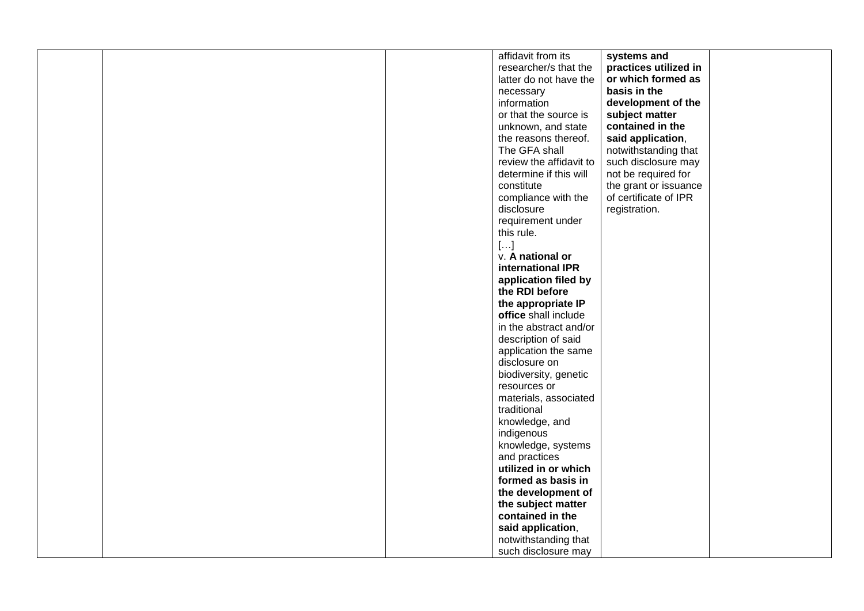|  | affidavit from its      | systems and           |  |
|--|-------------------------|-----------------------|--|
|  | researcher/s that the   | practices utilized in |  |
|  | latter do not have the  | or which formed as    |  |
|  | necessary               | basis in the          |  |
|  | information             | development of the    |  |
|  | or that the source is   | subject matter        |  |
|  | unknown, and state      | contained in the      |  |
|  | the reasons thereof.    | said application,     |  |
|  | The GFA shall           | notwithstanding that  |  |
|  | review the affidavit to | such disclosure may   |  |
|  | determine if this will  | not be required for   |  |
|  | constitute              | the grant or issuance |  |
|  | compliance with the     | of certificate of IPR |  |
|  | disclosure              | registration.         |  |
|  | requirement under       |                       |  |
|  | this rule.              |                       |  |
|  | $[]$                    |                       |  |
|  | v. A national or        |                       |  |
|  | international IPR       |                       |  |
|  | application filed by    |                       |  |
|  | the RDI before          |                       |  |
|  | the appropriate IP      |                       |  |
|  | office shall include    |                       |  |
|  | in the abstract and/or  |                       |  |
|  | description of said     |                       |  |
|  | application the same    |                       |  |
|  | disclosure on           |                       |  |
|  | biodiversity, genetic   |                       |  |
|  | resources or            |                       |  |
|  | materials, associated   |                       |  |
|  | traditional             |                       |  |
|  | knowledge, and          |                       |  |
|  | indigenous              |                       |  |
|  | knowledge, systems      |                       |  |
|  | and practices           |                       |  |
|  | utilized in or which    |                       |  |
|  | formed as basis in      |                       |  |
|  | the development of      |                       |  |
|  | the subject matter      |                       |  |
|  | contained in the        |                       |  |
|  | said application,       |                       |  |
|  | notwithstanding that    |                       |  |
|  | such disclosure may     |                       |  |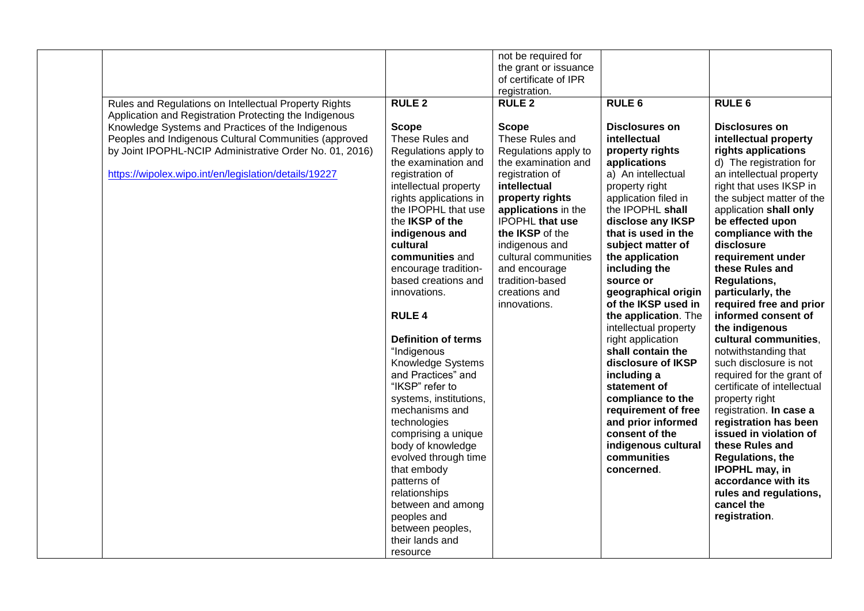| Rules and Regulations on Intellectual Property Rights<br>Application and Registration Protecting the Indigenous<br>Knowledge Systems and Practices of the Indigenous<br>Peoples and Indigenous Cultural Communities (approved<br>by Joint IPOPHL-NCIP Administrative Order No. 01, 2016)<br>https://wipolex.wipo.int/en/legislation/details/19227 | <b>RULE 2</b><br><b>Scope</b><br>These Rules and<br>Regulations apply to<br>the examination and<br>registration of<br>intellectual property<br>rights applications in<br>the IPOPHL that use<br>the IKSP of the<br>indigenous and<br>cultural<br>communities and<br>encourage tradition-<br>based creations and<br>innovations.<br><b>RULE 4</b><br><b>Definition of terms</b><br>"Indigenous<br>Knowledge Systems<br>and Practices" and<br>"IKSP" refer to | not be required for<br>the grant or issuance<br>of certificate of IPR<br>registration.<br><b>RULE 2</b><br><b>Scope</b><br>These Rules and<br>Regulations apply to<br>the examination and<br>registration of<br>intellectual<br>property rights<br>applications in the<br><b>IPOPHL</b> that use<br>the IKSP of the<br>indigenous and<br>cultural communities<br>and encourage<br>tradition-based<br>creations and<br>innovations. | <b>RULE 6</b><br><b>Disclosures on</b><br>intellectual<br>property rights<br>applications<br>a) An intellectual<br>property right<br>application filed in<br>the IPOPHL shall<br>disclose any IKSP<br>that is used in the<br>subject matter of<br>the application<br>including the<br>source or<br>geographical origin<br>of the IKSP used in<br>the application. The<br>intellectual property<br>right application<br>shall contain the<br>disclosure of IKSP<br>including a<br>statement of | <b>RULE 6</b><br><b>Disclosures on</b><br>intellectual property<br>rights applications<br>d) The registration for<br>an intellectual property<br>right that uses IKSP in<br>the subject matter of the<br>application shall only<br>be effected upon<br>compliance with the<br>disclosure<br>requirement under<br>these Rules and<br><b>Regulations,</b><br>particularly, the<br>required free and prior<br>informed consent of<br>the indigenous<br>cultural communities,<br>notwithstanding that<br>such disclosure is not<br>required for the grant of<br>certificate of intellectual |
|---------------------------------------------------------------------------------------------------------------------------------------------------------------------------------------------------------------------------------------------------------------------------------------------------------------------------------------------------|-------------------------------------------------------------------------------------------------------------------------------------------------------------------------------------------------------------------------------------------------------------------------------------------------------------------------------------------------------------------------------------------------------------------------------------------------------------|------------------------------------------------------------------------------------------------------------------------------------------------------------------------------------------------------------------------------------------------------------------------------------------------------------------------------------------------------------------------------------------------------------------------------------|-----------------------------------------------------------------------------------------------------------------------------------------------------------------------------------------------------------------------------------------------------------------------------------------------------------------------------------------------------------------------------------------------------------------------------------------------------------------------------------------------|-----------------------------------------------------------------------------------------------------------------------------------------------------------------------------------------------------------------------------------------------------------------------------------------------------------------------------------------------------------------------------------------------------------------------------------------------------------------------------------------------------------------------------------------------------------------------------------------|
|                                                                                                                                                                                                                                                                                                                                                   | systems, institutions,<br>mechanisms and<br>technologies<br>comprising a unique<br>body of knowledge<br>evolved through time<br>that embody<br>patterns of<br>relationships<br>between and among<br>peoples and<br>between peoples,<br>their lands and<br>resource                                                                                                                                                                                          |                                                                                                                                                                                                                                                                                                                                                                                                                                    | compliance to the<br>requirement of free<br>and prior informed<br>consent of the<br>indigenous cultural<br>communities<br>concerned.                                                                                                                                                                                                                                                                                                                                                          | property right<br>registration. In case a<br>registration has been<br>issued in violation of<br>these Rules and<br><b>Regulations, the</b><br>IPOPHL may, in<br>accordance with its<br>rules and regulations,<br>cancel the<br>registration.                                                                                                                                                                                                                                                                                                                                            |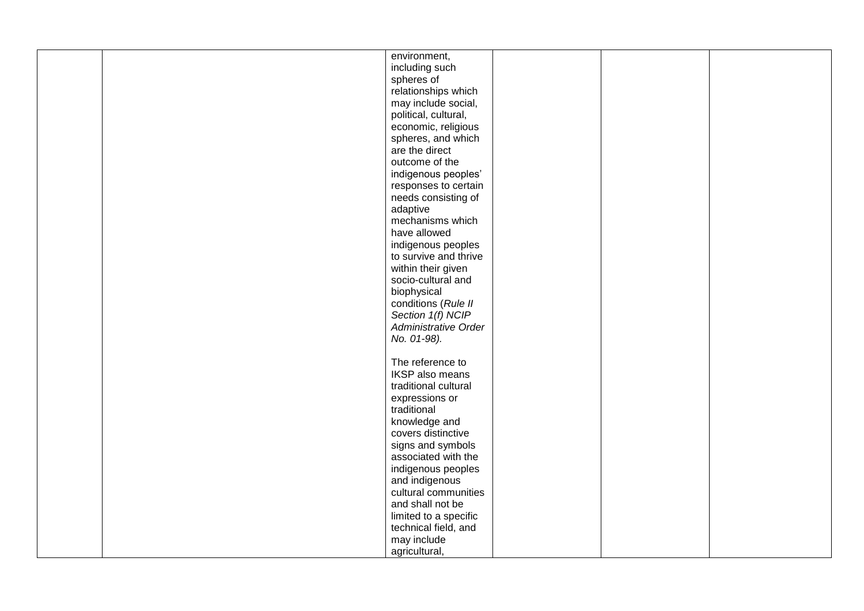|  | environment,           |  |  |
|--|------------------------|--|--|
|  | including such         |  |  |
|  | spheres of             |  |  |
|  | relationships which    |  |  |
|  |                        |  |  |
|  | may include social,    |  |  |
|  | political, cultural,   |  |  |
|  | economic, religious    |  |  |
|  | spheres, and which     |  |  |
|  | are the direct         |  |  |
|  | outcome of the         |  |  |
|  | indigenous peoples'    |  |  |
|  | responses to certain   |  |  |
|  | needs consisting of    |  |  |
|  | adaptive               |  |  |
|  | mechanisms which       |  |  |
|  | have allowed           |  |  |
|  | indigenous peoples     |  |  |
|  | to survive and thrive  |  |  |
|  | within their given     |  |  |
|  | socio-cultural and     |  |  |
|  | biophysical            |  |  |
|  | conditions (Rule II    |  |  |
|  | Section 1(f) NCIP      |  |  |
|  | Administrative Order   |  |  |
|  | No. 01-98).            |  |  |
|  |                        |  |  |
|  | The reference to       |  |  |
|  | <b>IKSP</b> also means |  |  |
|  | traditional cultural   |  |  |
|  | expressions or         |  |  |
|  | traditional            |  |  |
|  | knowledge and          |  |  |
|  | covers distinctive     |  |  |
|  | signs and symbols      |  |  |
|  | associated with the    |  |  |
|  | indigenous peoples     |  |  |
|  | and indigenous         |  |  |
|  | cultural communities   |  |  |
|  | and shall not be       |  |  |
|  | limited to a specific  |  |  |
|  | technical field, and   |  |  |
|  |                        |  |  |
|  | may include            |  |  |
|  | agricultural,          |  |  |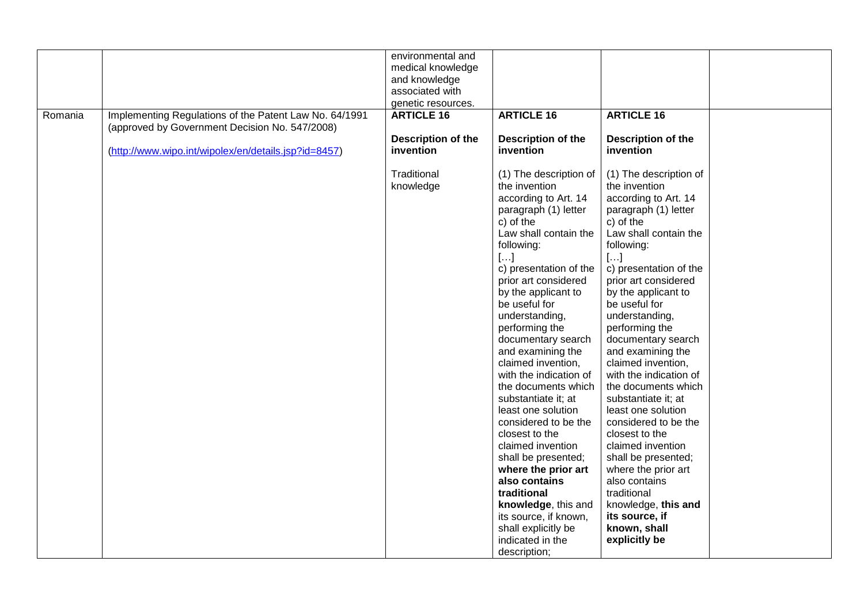|         |                                                        | environmental and         |                           |                           |  |
|---------|--------------------------------------------------------|---------------------------|---------------------------|---------------------------|--|
|         |                                                        | medical knowledge         |                           |                           |  |
|         |                                                        | and knowledge             |                           |                           |  |
|         |                                                        | associated with           |                           |                           |  |
|         |                                                        | genetic resources.        |                           |                           |  |
| Romania | Implementing Regulations of the Patent Law No. 64/1991 | <b>ARTICLE 16</b>         | <b>ARTICLE 16</b>         | <b>ARTICLE 16</b>         |  |
|         | (approved by Government Decision No. 547/2008)         |                           |                           |                           |  |
|         |                                                        | <b>Description of the</b> | <b>Description of the</b> | <b>Description of the</b> |  |
|         |                                                        | invention                 | invention                 | invention                 |  |
|         | (http://www.wipo.int/wipolex/en/details.jsp?id=8457)   |                           |                           |                           |  |
|         |                                                        |                           |                           |                           |  |
|         |                                                        | Traditional               | (1) The description of    | (1) The description of    |  |
|         |                                                        | knowledge                 | the invention             | the invention             |  |
|         |                                                        |                           | according to Art. 14      | according to Art. 14      |  |
|         |                                                        |                           | paragraph (1) letter      | paragraph (1) letter      |  |
|         |                                                        |                           | c) of the                 | c) of the                 |  |
|         |                                                        |                           | Law shall contain the     | Law shall contain the     |  |
|         |                                                        |                           | following:                | following:                |  |
|         |                                                        |                           | $[]$                      | $[]$                      |  |
|         |                                                        |                           | c) presentation of the    | c) presentation of the    |  |
|         |                                                        |                           | prior art considered      | prior art considered      |  |
|         |                                                        |                           | by the applicant to       | by the applicant to       |  |
|         |                                                        |                           | be useful for             | be useful for             |  |
|         |                                                        |                           | understanding,            | understanding,            |  |
|         |                                                        |                           | performing the            | performing the            |  |
|         |                                                        |                           | documentary search        | documentary search        |  |
|         |                                                        |                           | and examining the         | and examining the         |  |
|         |                                                        |                           | claimed invention,        | claimed invention,        |  |
|         |                                                        |                           | with the indication of    | with the indication of    |  |
|         |                                                        |                           | the documents which       | the documents which       |  |
|         |                                                        |                           | substantiate it; at       | substantiate it; at       |  |
|         |                                                        |                           | least one solution        | least one solution        |  |
|         |                                                        |                           | considered to be the      | considered to be the      |  |
|         |                                                        |                           | closest to the            | closest to the            |  |
|         |                                                        |                           | claimed invention         | claimed invention         |  |
|         |                                                        |                           | shall be presented;       | shall be presented;       |  |
|         |                                                        |                           | where the prior art       | where the prior art       |  |
|         |                                                        |                           | also contains             | also contains             |  |
|         |                                                        |                           | traditional               | traditional               |  |
|         |                                                        |                           | knowledge, this and       | knowledge, this and       |  |
|         |                                                        |                           | its source, if known,     | its source, if            |  |
|         |                                                        |                           | shall explicitly be       | known, shall              |  |
|         |                                                        |                           | indicated in the          | explicitly be             |  |
|         |                                                        |                           | description;              |                           |  |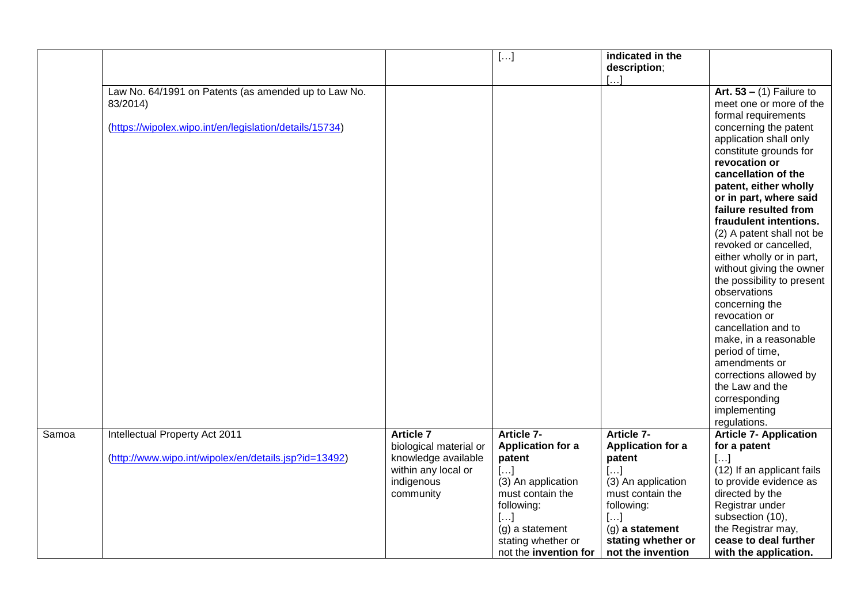|       |                                                                                                                             |                                                                                                                     | $[]$                                                                                                                                                                                     | indicated in the<br>description;                                                                                                                                                                      |                                                                                                                                                                                                                                                                                                                                                                                                                                                                                                                                                                                                                                                                                           |
|-------|-----------------------------------------------------------------------------------------------------------------------------|---------------------------------------------------------------------------------------------------------------------|------------------------------------------------------------------------------------------------------------------------------------------------------------------------------------------|-------------------------------------------------------------------------------------------------------------------------------------------------------------------------------------------------------|-------------------------------------------------------------------------------------------------------------------------------------------------------------------------------------------------------------------------------------------------------------------------------------------------------------------------------------------------------------------------------------------------------------------------------------------------------------------------------------------------------------------------------------------------------------------------------------------------------------------------------------------------------------------------------------------|
|       | Law No. 64/1991 on Patents (as amended up to Law No.<br>83/2014)<br>(https://wipolex.wipo.int/en/legislation/details/15734) |                                                                                                                     |                                                                                                                                                                                          |                                                                                                                                                                                                       | Art. $53 - (1)$ Failure to<br>meet one or more of the<br>formal requirements<br>concerning the patent<br>application shall only<br>constitute grounds for<br>revocation or<br>cancellation of the<br>patent, either wholly<br>or in part, where said<br>failure resulted from<br>fraudulent intentions.<br>(2) A patent shall not be<br>revoked or cancelled,<br>either wholly or in part,<br>without giving the owner<br>the possibility to present<br>observations<br>concerning the<br>revocation or<br>cancellation and to<br>make, in a reasonable<br>period of time,<br>amendments or<br>corrections allowed by<br>the Law and the<br>corresponding<br>implementing<br>regulations. |
| Samoa | Intellectual Property Act 2011<br>(http://www.wipo.int/wipolex/en/details.jsp?id=13492)                                     | <b>Article 7</b><br>biological material or<br>knowledge available<br>within any local or<br>indigenous<br>community | Article 7-<br><b>Application for a</b><br>patent<br>$[]$<br>(3) An application<br>must contain the<br>following:<br>[]<br>(g) a statement<br>stating whether or<br>not the invention for | <b>Article 7-</b><br><b>Application for a</b><br>patent<br>$[\ldots]$<br>(3) An application<br>must contain the<br>following:<br>$[]$<br>$(g)$ a statement<br>stating whether or<br>not the invention | <b>Article 7- Application</b><br>for a patent<br>$[]$<br>(12) If an applicant fails<br>to provide evidence as<br>directed by the<br>Registrar under<br>subsection (10),<br>the Registrar may,<br>cease to deal further<br>with the application.                                                                                                                                                                                                                                                                                                                                                                                                                                           |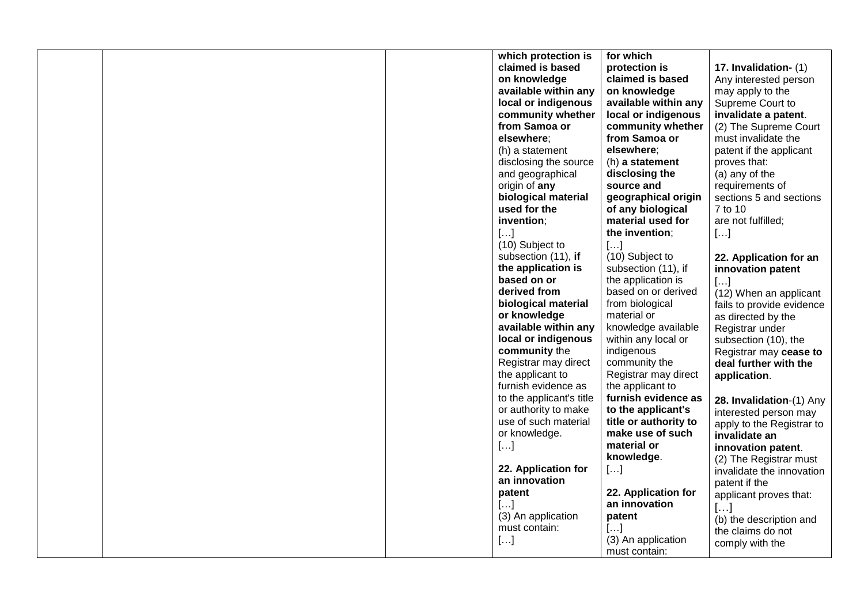|  | which protection is      | for which             |                           |
|--|--------------------------|-----------------------|---------------------------|
|  | claimed is based         | protection is         | 17. Invalidation- (1)     |
|  | on knowledge             | claimed is based      | Any interested person     |
|  | available within any     | on knowledge          | may apply to the          |
|  | local or indigenous      | available within any  | Supreme Court to          |
|  | community whether        | local or indigenous   | invalidate a patent.      |
|  | from Samoa or            | community whether     | (2) The Supreme Court     |
|  | elsewhere:               | from Samoa or         | must invalidate the       |
|  |                          |                       |                           |
|  | (h) a statement          | elsewhere:            | patent if the applicant   |
|  | disclosing the source    | (h) a statement       | proves that:              |
|  | and geographical         | disclosing the        | (a) any of the            |
|  | origin of any            | source and            | requirements of           |
|  | biological material      | geographical origin   | sections 5 and sections   |
|  | used for the             | of any biological     | 7 to 10                   |
|  | invention;               | material used for     | are not fulfilled;        |
|  | []                       | the invention;        | []                        |
|  | (10) Subject to          | $[]$                  |                           |
|  | subsection (11), if      | (10) Subject to       | 22. Application for an    |
|  | the application is       | subsection (11), if   | innovation patent         |
|  | based on or              | the application is    | $[]$                      |
|  | derived from             | based on or derived   | (12) When an applicant    |
|  | biological material      | from biological       | fails to provide evidence |
|  | or knowledge             | material or           | as directed by the        |
|  | available within any     | knowledge available   |                           |
|  | local or indigenous      | within any local or   | Registrar under           |
|  |                          |                       | subsection (10), the      |
|  | community the            | indigenous            | Registrar may cease to    |
|  | Registrar may direct     | community the         | deal further with the     |
|  | the applicant to         | Registrar may direct  | application.              |
|  | furnish evidence as      | the applicant to      |                           |
|  | to the applicant's title | furnish evidence as   | 28. Invalidation-(1) Any  |
|  | or authority to make     | to the applicant's    | interested person may     |
|  | use of such material     | title or authority to | apply to the Registrar to |
|  | or knowledge.            | make use of such      | invalidate an             |
|  | $[]$                     | material or           | innovation patent.        |
|  |                          | knowledge.            | (2) The Registrar must    |
|  | 22. Application for      | []                    | invalidate the innovation |
|  | an innovation            |                       | patent if the             |
|  | patent                   | 22. Application for   | applicant proves that:    |
|  | $[]$                     | an innovation         | $[]$                      |
|  | (3) An application       | patent                | (b) the description and   |
|  | must contain:            | $[]$                  | the claims do not         |
|  | []                       | (3) An application    |                           |
|  |                          | must contain:         | comply with the           |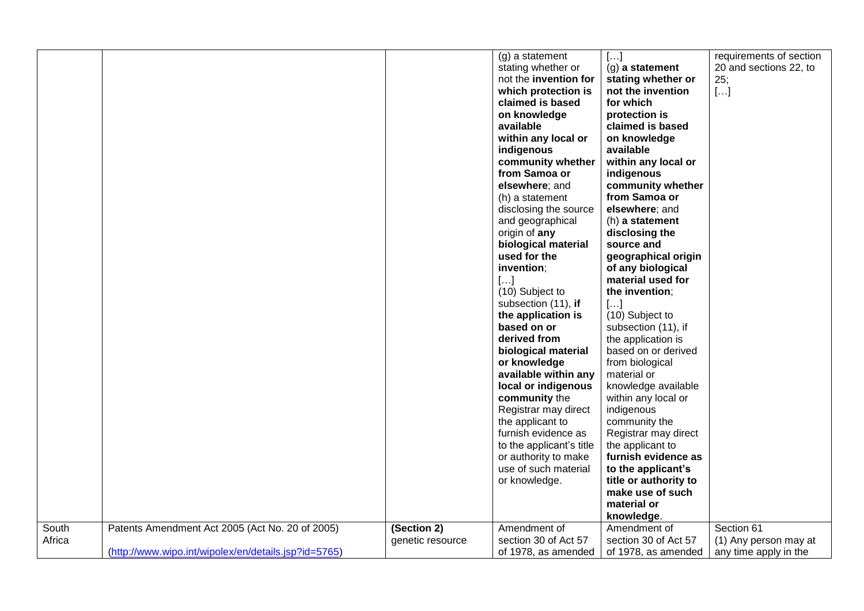|        |                                                      |                  | (g) a statement          | []                    | requirements of section |
|--------|------------------------------------------------------|------------------|--------------------------|-----------------------|-------------------------|
|        |                                                      |                  | stating whether or       | (g) a statement       | 20 and sections 22, to  |
|        |                                                      |                  | not the invention for    | stating whether or    | 25;                     |
|        |                                                      |                  | which protection is      | not the invention     | $[]$                    |
|        |                                                      |                  | claimed is based         | for which             |                         |
|        |                                                      |                  | on knowledge             | protection is         |                         |
|        |                                                      |                  | available                | claimed is based      |                         |
|        |                                                      |                  | within any local or      | on knowledge          |                         |
|        |                                                      |                  | indigenous               | available             |                         |
|        |                                                      |                  | community whether        | within any local or   |                         |
|        |                                                      |                  | from Samoa or            | indigenous            |                         |
|        |                                                      |                  | elsewhere; and           | community whether     |                         |
|        |                                                      |                  | (h) a statement          | from Samoa or         |                         |
|        |                                                      |                  | disclosing the source    | elsewhere; and        |                         |
|        |                                                      |                  | and geographical         | (h) a statement       |                         |
|        |                                                      |                  | origin of any            | disclosing the        |                         |
|        |                                                      |                  | biological material      | source and            |                         |
|        |                                                      |                  | used for the             | geographical origin   |                         |
|        |                                                      |                  | invention;               | of any biological     |                         |
|        |                                                      |                  | []                       | material used for     |                         |
|        |                                                      |                  | (10) Subject to          | the invention;        |                         |
|        |                                                      |                  | subsection (11), if      | $[]$                  |                         |
|        |                                                      |                  | the application is       | (10) Subject to       |                         |
|        |                                                      |                  | based on or              | subsection (11), if   |                         |
|        |                                                      |                  | derived from             | the application is    |                         |
|        |                                                      |                  | biological material      | based on or derived   |                         |
|        |                                                      |                  | or knowledge             | from biological       |                         |
|        |                                                      |                  | available within any     | material or           |                         |
|        |                                                      |                  | local or indigenous      | knowledge available   |                         |
|        |                                                      |                  | community the            | within any local or   |                         |
|        |                                                      |                  | Registrar may direct     | indigenous            |                         |
|        |                                                      |                  | the applicant to         | community the         |                         |
|        |                                                      |                  | furnish evidence as      | Registrar may direct  |                         |
|        |                                                      |                  | to the applicant's title | the applicant to      |                         |
|        |                                                      |                  | or authority to make     | furnish evidence as   |                         |
|        |                                                      |                  | use of such material     | to the applicant's    |                         |
|        |                                                      |                  | or knowledge.            | title or authority to |                         |
|        |                                                      |                  |                          | make use of such      |                         |
|        |                                                      |                  |                          | material or           |                         |
|        |                                                      |                  |                          |                       |                         |
|        |                                                      |                  |                          | knowledge.            |                         |
| South  | Patents Amendment Act 2005 (Act No. 20 of 2005)      | (Section 2)      | Amendment of             | Amendment of          | Section 61              |
| Africa |                                                      | genetic resource | section 30 of Act 57     | section 30 of Act 57  | (1) Any person may at   |
|        | (http://www.wipo.int/wipolex/en/details.jsp?id=5765) |                  | of 1978, as amended      | of 1978, as amended   | any time apply in the   |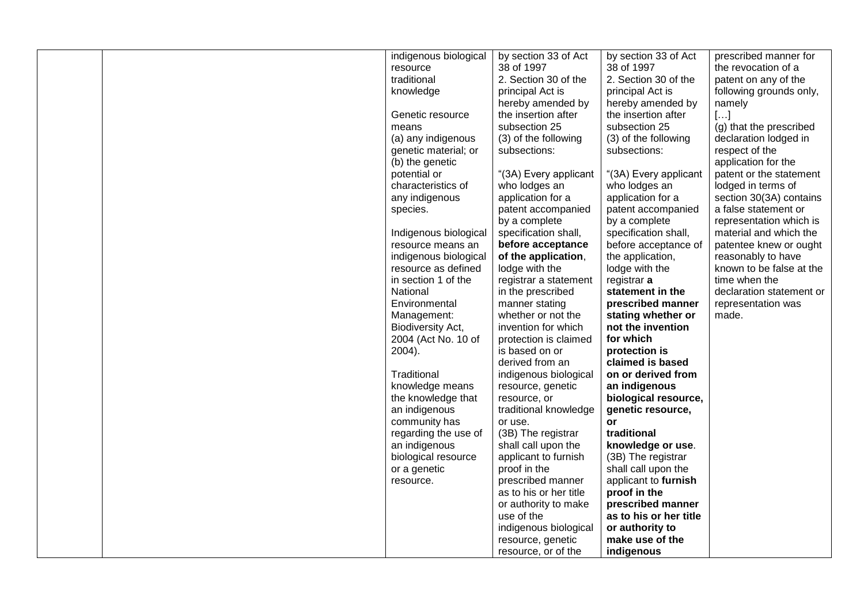| indigenous biological | by section 33 of Act   | by section 33 of Act   | prescribed manner for    |
|-----------------------|------------------------|------------------------|--------------------------|
| resource              | 38 of 1997             | 38 of 1997             | the revocation of a      |
|                       |                        |                        |                          |
| traditional           | 2. Section 30 of the   | 2. Section 30 of the   | patent on any of the     |
| knowledge             | principal Act is       | principal Act is       | following grounds only,  |
|                       | hereby amended by      | hereby amended by      | namely                   |
| Genetic resource      | the insertion after    | the insertion after    | $[]$                     |
| means                 | subsection 25          | subsection 25          | (g) that the prescribed  |
| (a) any indigenous    | (3) of the following   | (3) of the following   | declaration lodged in    |
| genetic material; or  | subsections:           | subsections:           | respect of the           |
| (b) the genetic       |                        |                        | application for the      |
| potential or          | "(3A) Every applicant  | "(3A) Every applicant  | patent or the statement  |
| characteristics of    | who lodges an          | who lodges an          | lodged in terms of       |
| any indigenous        | application for a      | application for a      | section 30(3A) contains  |
| species.              | patent accompanied     | patent accompanied     | a false statement or     |
|                       | by a complete          | by a complete          | representation which is  |
| Indigenous biological | specification shall,   | specification shall,   | material and which the   |
| resource means an     | before acceptance      | before acceptance of   | patentee knew or ought   |
| indigenous biological | of the application,    | the application,       | reasonably to have       |
| resource as defined   | lodge with the         | lodge with the         | known to be false at the |
| in section 1 of the   | registrar a statement  | registrar a            | time when the            |
| National              | in the prescribed      | statement in the       | declaration statement or |
| Environmental         | manner stating         | prescribed manner      | representation was       |
| Management:           | whether or not the     | stating whether or     | made.                    |
| Biodiversity Act,     | invention for which    | not the invention      |                          |
| 2004 (Act No. 10 of   | protection is claimed  | for which              |                          |
| 2004).                | is based on or         | protection is          |                          |
|                       | derived from an        | claimed is based       |                          |
| Traditional           | indigenous biological  | on or derived from     |                          |
| knowledge means       | resource, genetic      | an indigenous          |                          |
| the knowledge that    | resource, or           | biological resource,   |                          |
| an indigenous         | traditional knowledge  | genetic resource,      |                          |
| community has         | or use.                | or                     |                          |
| regarding the use of  | (3B) The registrar     | traditional            |                          |
| an indigenous         | shall call upon the    | knowledge or use.      |                          |
| biological resource   | applicant to furnish   | (3B) The registrar     |                          |
| or a genetic          | proof in the           | shall call upon the    |                          |
| resource.             | prescribed manner      | applicant to furnish   |                          |
|                       | as to his or her title | proof in the           |                          |
|                       | or authority to make   | prescribed manner      |                          |
|                       | use of the             | as to his or her title |                          |
|                       | indigenous biological  | or authority to        |                          |
|                       | resource, genetic      | make use of the        |                          |
|                       | resource, or of the    | indigenous             |                          |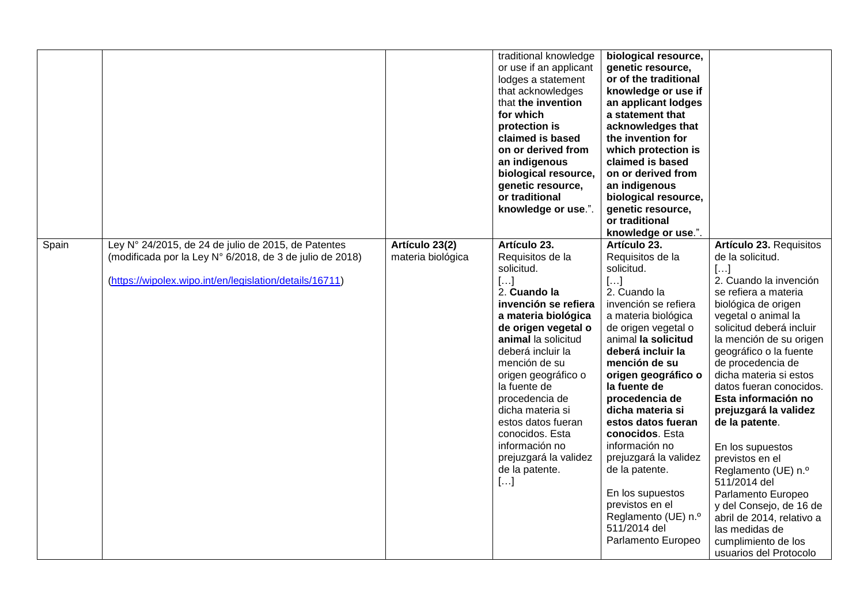|       |                                                                                                                                                                            |                                     | traditional knowledge<br>or use if an applicant<br>lodges a statement<br>that acknowledges<br>that the invention<br>for which<br>protection is<br>claimed is based<br>on or derived from<br>an indigenous<br>biological resource,<br>genetic resource,<br>or traditional<br>knowledge or use.".                                                                                                              | biological resource,<br>genetic resource,<br>or of the traditional<br>knowledge or use if<br>an applicant lodges<br>a statement that<br>acknowledges that<br>the invention for<br>which protection is<br>claimed is based<br>on or derived from<br>an indigenous<br>biological resource,<br>genetic resource,<br>or traditional<br>knowledge or use.".                                                                                                                                           |                                                                                                                                                                                                                                                                                                                                                                                                                                                                                                                                                                                                               |
|-------|----------------------------------------------------------------------------------------------------------------------------------------------------------------------------|-------------------------------------|--------------------------------------------------------------------------------------------------------------------------------------------------------------------------------------------------------------------------------------------------------------------------------------------------------------------------------------------------------------------------------------------------------------|--------------------------------------------------------------------------------------------------------------------------------------------------------------------------------------------------------------------------------------------------------------------------------------------------------------------------------------------------------------------------------------------------------------------------------------------------------------------------------------------------|---------------------------------------------------------------------------------------------------------------------------------------------------------------------------------------------------------------------------------------------------------------------------------------------------------------------------------------------------------------------------------------------------------------------------------------------------------------------------------------------------------------------------------------------------------------------------------------------------------------|
| Spain | Ley N° 24/2015, de 24 de julio de 2015, de Patentes<br>(modificada por la Ley N° 6/2018, de 3 de julio de 2018)<br>(https://wipolex.wipo.int/en/legislation/details/16711) | Artículo 23(2)<br>materia biológica | Artículo 23.<br>Requisitos de la<br>solicitud.<br>$[]$<br>2. Cuando la<br>invención se refiera<br>a materia biológica<br>de origen vegetal o<br>animal la solicitud<br>deberá incluir la<br>mención de su<br>origen geográfico o<br>la fuente de<br>procedencia de<br>dicha materia si<br>estos datos fueran<br>conocidos. Esta<br>información no<br>prejuzgará la validez<br>de la patente.<br>$[ \ldots ]$ | Artículo 23.<br>Requisitos de la<br>solicitud.<br>$[]$<br>2. Cuando la<br>invención se refiera<br>a materia biológica<br>de origen vegetal o<br>animal la solicitud<br>deberá incluir la<br>mención de su<br>origen geográfico o<br>la fuente de<br>procedencia de<br>dicha materia si<br>estos datos fueran<br>conocidos. Esta<br>información no<br>prejuzgará la validez<br>de la patente.<br>En los supuestos<br>previstos en el<br>Reglamento (UE) n.º<br>511/2014 del<br>Parlamento Europeo | Artículo 23. Requisitos<br>de la solicitud.<br>[]<br>2. Cuando la invención<br>se refiera a materia<br>biológica de origen<br>vegetal o animal la<br>solicitud deberá incluir<br>la mención de su origen<br>geográfico o la fuente<br>de procedencia de<br>dicha materia si estos<br>datos fueran conocidos.<br>Esta información no<br>prejuzgará la validez<br>de la patente.<br>En los supuestos<br>previstos en el<br>Reglamento (UE) n.º<br>511/2014 del<br>Parlamento Europeo<br>y del Consejo, de 16 de<br>abril de 2014, relativo a<br>las medidas de<br>cumplimiento de los<br>usuarios del Protocolo |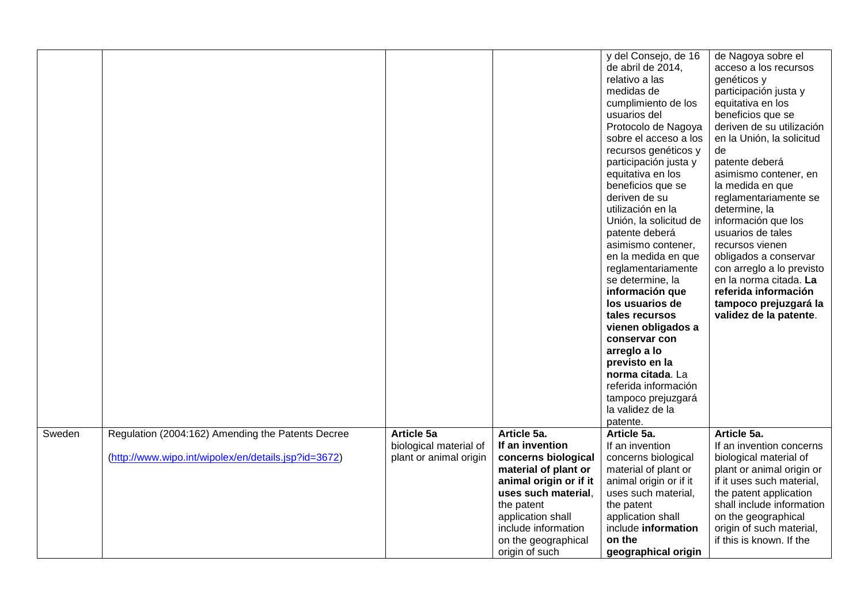|        |                                                      |                        |                        | y del Consejo, de 16   | de Nagoya sobre el        |
|--------|------------------------------------------------------|------------------------|------------------------|------------------------|---------------------------|
|        |                                                      |                        |                        | de abril de 2014,      | acceso a los recursos     |
|        |                                                      |                        |                        | relativo a las         | genéticos y               |
|        |                                                      |                        |                        | medidas de             | participación justa y     |
|        |                                                      |                        |                        | cumplimiento de los    | equitativa en los         |
|        |                                                      |                        |                        | usuarios del           | beneficios que se         |
|        |                                                      |                        |                        | Protocolo de Nagoya    | deriven de su utilización |
|        |                                                      |                        |                        | sobre el acceso a los  | en la Unión, la solicitud |
|        |                                                      |                        |                        | recursos genéticos y   | de                        |
|        |                                                      |                        |                        | participación justa y  | patente deberá            |
|        |                                                      |                        |                        | equitativa en los      | asimismo contener, en     |
|        |                                                      |                        |                        | beneficios que se      | la medida en que          |
|        |                                                      |                        |                        | deriven de su          | reglamentariamente se     |
|        |                                                      |                        |                        | utilización en la      | determine, la             |
|        |                                                      |                        |                        | Unión, la solicitud de | información que los       |
|        |                                                      |                        |                        | patente deberá         | usuarios de tales         |
|        |                                                      |                        |                        | asimismo contener,     | recursos vienen           |
|        |                                                      |                        |                        | en la medida en que    | obligados a conservar     |
|        |                                                      |                        |                        | reglamentariamente     | con arreglo a lo previsto |
|        |                                                      |                        |                        | se determine, la       | en la norma citada. La    |
|        |                                                      |                        |                        | información que        | referida información      |
|        |                                                      |                        |                        | los usuarios de        | tampoco prejuzgará la     |
|        |                                                      |                        |                        | tales recursos         | validez de la patente.    |
|        |                                                      |                        |                        | vienen obligados a     |                           |
|        |                                                      |                        |                        | conservar con          |                           |
|        |                                                      |                        |                        | arreglo a lo           |                           |
|        |                                                      |                        |                        | previsto en la         |                           |
|        |                                                      |                        |                        | norma citada. La       |                           |
|        |                                                      |                        |                        | referida información   |                           |
|        |                                                      |                        |                        | tampoco prejuzgará     |                           |
|        |                                                      |                        |                        | la validez de la       |                           |
|        |                                                      |                        |                        | patente.               |                           |
| Sweden | Regulation (2004:162) Amending the Patents Decree    | Article 5a             | Article 5a.            | Article 5a.            | Article 5a.               |
|        |                                                      | biological material of | If an invention        | If an invention        | If an invention concerns  |
|        | (http://www.wipo.int/wipolex/en/details.jsp?id=3672) | plant or animal origin | concerns biological    | concerns biological    | biological material of    |
|        |                                                      |                        | material of plant or   | material of plant or   | plant or animal origin or |
|        |                                                      |                        | animal origin or if it | animal origin or if it | if it uses such material, |
|        |                                                      |                        | uses such material.    | uses such material,    | the patent application    |
|        |                                                      |                        | the patent             | the patent             | shall include information |
|        |                                                      |                        | application shall      | application shall      | on the geographical       |
|        |                                                      |                        | include information    | include information    | origin of such material,  |
|        |                                                      |                        | on the geographical    | on the                 | if this is known. If the  |
|        |                                                      |                        | origin of such         | geographical origin    |                           |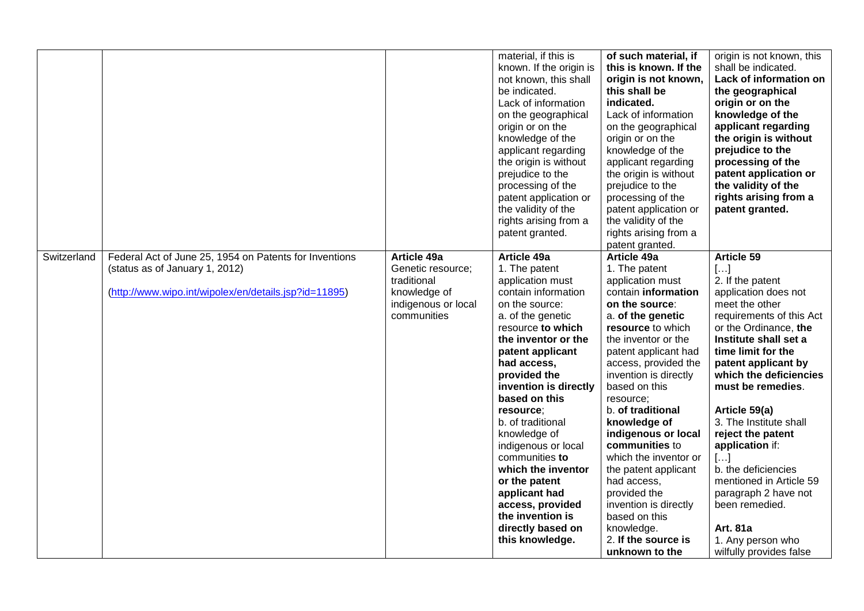| Switzerland | Federal Act of June 25, 1954 on Patents for Inventions                                  | <b>Article 49a</b>                                                                     | material, if this is<br>known. If the origin is<br>not known, this shall<br>be indicated.<br>Lack of information<br>on the geographical<br>origin or on the<br>knowledge of the<br>applicant regarding<br>the origin is without<br>prejudice to the<br>processing of the<br>patent application or<br>the validity of the<br>rights arising from a<br>patent granted.<br>Article 49a                                                                                         | of such material, if<br>this is known. If the<br>origin is not known,<br>this shall be<br>indicated.<br>Lack of information<br>on the geographical<br>origin or on the<br>knowledge of the<br>applicant regarding<br>the origin is without<br>prejudice to the<br>processing of the<br>patent application or<br>the validity of the<br>rights arising from a<br>patent granted.<br>Article 49a                                                                                                  | origin is not known, this<br>shall be indicated.<br>Lack of information on<br>the geographical<br>origin or on the<br>knowledge of the<br>applicant regarding<br>the origin is without<br>prejudice to the<br>processing of the<br>patent application or<br>the validity of the<br>rights arising from a<br>patent granted.<br><b>Article 59</b>                                                                                                                                    |
|-------------|-----------------------------------------------------------------------------------------|----------------------------------------------------------------------------------------|-----------------------------------------------------------------------------------------------------------------------------------------------------------------------------------------------------------------------------------------------------------------------------------------------------------------------------------------------------------------------------------------------------------------------------------------------------------------------------|-------------------------------------------------------------------------------------------------------------------------------------------------------------------------------------------------------------------------------------------------------------------------------------------------------------------------------------------------------------------------------------------------------------------------------------------------------------------------------------------------|-------------------------------------------------------------------------------------------------------------------------------------------------------------------------------------------------------------------------------------------------------------------------------------------------------------------------------------------------------------------------------------------------------------------------------------------------------------------------------------|
|             | (status as of January 1, 2012)<br>(http://www.wipo.int/wipolex/en/details.jsp?id=11895) | Genetic resource;<br>traditional<br>knowledge of<br>indigenous or local<br>communities | 1. The patent<br>application must<br>contain information<br>on the source:<br>a. of the genetic<br>resource to which<br>the inventor or the<br>patent applicant<br>had access,<br>provided the<br>invention is directly<br>based on this<br>resource;<br>b. of traditional<br>knowledge of<br>indigenous or local<br>communities to<br>which the inventor<br>or the patent<br>applicant had<br>access, provided<br>the invention is<br>directly based on<br>this knowledge. | 1. The patent<br>application must<br>contain information<br>on the source:<br>a. of the genetic<br>resource to which<br>the inventor or the<br>patent applicant had<br>access, provided the<br>invention is directly<br>based on this<br>resource;<br>b. of traditional<br>knowledge of<br>indigenous or local<br>communities to<br>which the inventor or<br>the patent applicant<br>had access,<br>provided the<br>invention is directly<br>based on this<br>knowledge.<br>2. If the source is | []<br>2. If the patent<br>application does not<br>meet the other<br>requirements of this Act<br>or the Ordinance, the<br>Institute shall set a<br>time limit for the<br>patent applicant by<br>which the deficiencies<br>must be remedies.<br>Article 59(a)<br>3. The Institute shall<br>reject the patent<br>application if:<br>$\left[\ldots\right]$<br>b. the deficiencies<br>mentioned in Article 59<br>paragraph 2 have not<br>been remedied.<br>Art. 81a<br>1. Any person who |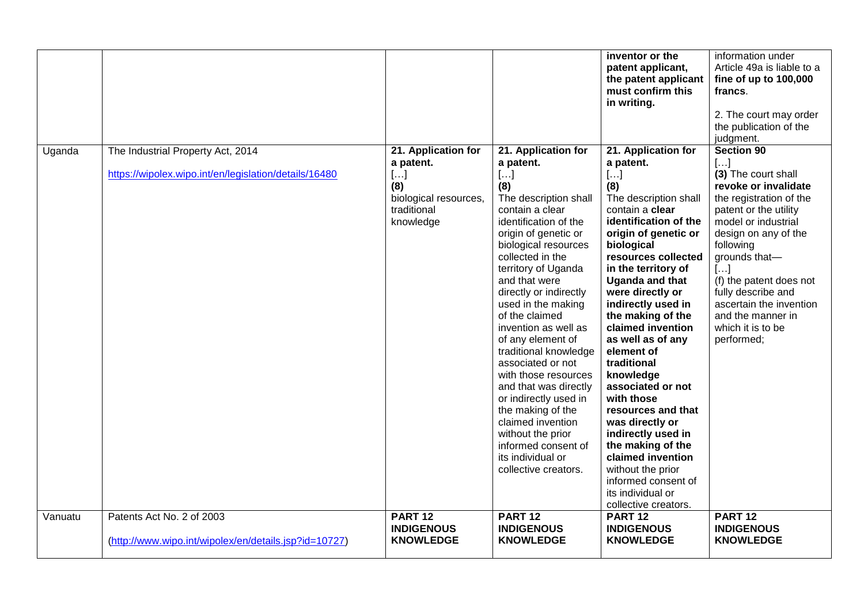|         |                                                                                            |                                                                                                            |                                                                                                                                                                                                                                                                                                                                                                                                                                                                                                                                                                                                          | inventor or the<br>patent applicant,<br>the patent applicant<br>must confirm this<br>in writing.                                                                                                                                                                                                                                                                                                                                                                                                                                                                                                                                 | information under<br>Article 49a is liable to a<br>fine of up to 100,000<br>francs.<br>2. The court may order<br>the publication of the<br>judgment.                                                                                                                                                                                         |
|---------|--------------------------------------------------------------------------------------------|------------------------------------------------------------------------------------------------------------|----------------------------------------------------------------------------------------------------------------------------------------------------------------------------------------------------------------------------------------------------------------------------------------------------------------------------------------------------------------------------------------------------------------------------------------------------------------------------------------------------------------------------------------------------------------------------------------------------------|----------------------------------------------------------------------------------------------------------------------------------------------------------------------------------------------------------------------------------------------------------------------------------------------------------------------------------------------------------------------------------------------------------------------------------------------------------------------------------------------------------------------------------------------------------------------------------------------------------------------------------|----------------------------------------------------------------------------------------------------------------------------------------------------------------------------------------------------------------------------------------------------------------------------------------------------------------------------------------------|
| Uganda  | The Industrial Property Act, 2014<br>https://wipolex.wipo.int/en/legislation/details/16480 | 21. Application for<br>a patent.<br>$[\ldots]$<br>(8)<br>biological resources,<br>traditional<br>knowledge | 21. Application for<br>a patent.<br>[]<br>(8)<br>The description shall<br>contain a clear<br>identification of the<br>origin of genetic or<br>biological resources<br>collected in the<br>territory of Uganda<br>and that were<br>directly or indirectly<br>used in the making<br>of the claimed<br>invention as well as<br>of any element of<br>traditional knowledge<br>associated or not<br>with those resources<br>and that was directly<br>or indirectly used in<br>the making of the<br>claimed invention<br>without the prior<br>informed consent of<br>its individual or<br>collective creators. | 21. Application for<br>a patent.<br>$[\ldots]$<br>(8)<br>The description shall<br>contain a clear<br>identification of the<br>origin of genetic or<br>biological<br>resources collected<br>in the territory of<br><b>Uganda and that</b><br>were directly or<br>indirectly used in<br>the making of the<br>claimed invention<br>as well as of any<br>element of<br>traditional<br>knowledge<br>associated or not<br>with those<br>resources and that<br>was directly or<br>indirectly used in<br>the making of the<br>claimed invention<br>without the prior<br>informed consent of<br>its individual or<br>collective creators. | Section 90<br>$[]$<br>(3) The court shall<br>revoke or invalidate<br>the registration of the<br>patent or the utility<br>model or industrial<br>design on any of the<br>following<br>grounds that-<br>[]<br>(f) the patent does not<br>fully describe and<br>ascertain the invention<br>and the manner in<br>which it is to be<br>performed; |
| Vanuatu | Patents Act No. 2 of 2003<br>(http://www.wipo.int/wipolex/en/details.jsp?id=10727)         | PART <sub>12</sub><br><b>INDIGENOUS</b><br><b>KNOWLEDGE</b>                                                | PART <sub>12</sub><br><b>INDIGENOUS</b><br><b>KNOWLEDGE</b>                                                                                                                                                                                                                                                                                                                                                                                                                                                                                                                                              | PART <sub>12</sub><br><b>INDIGENOUS</b><br><b>KNOWLEDGE</b>                                                                                                                                                                                                                                                                                                                                                                                                                                                                                                                                                                      | PART <sub>12</sub><br><b>INDIGENOUS</b><br><b>KNOWLEDGE</b>                                                                                                                                                                                                                                                                                  |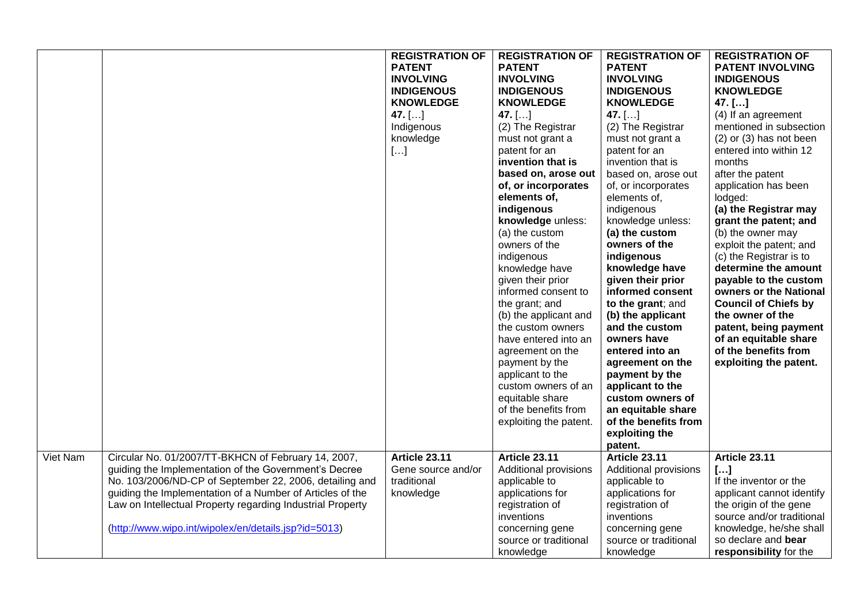|          |                                                                                                                                                                                                                                                                                                                                                            | <b>REGISTRATION OF</b><br><b>PATENT</b><br><b>INVOLVING</b><br><b>INDIGENOUS</b><br><b>KNOWLEDGE</b><br>47. $[]$<br>Indigenous<br>knowledge<br>$[]$ | <b>REGISTRATION OF</b><br><b>PATENT</b><br><b>INVOLVING</b><br><b>INDIGENOUS</b><br><b>KNOWLEDGE</b><br>47. $[]$<br>(2) The Registrar<br>must not grant a<br>patent for an<br>invention that is<br>based on, arose out<br>of, or incorporates<br>elements of,<br>indigenous<br>knowledge unless:<br>(a) the custom<br>owners of the<br>indigenous<br>knowledge have<br>given their prior<br>informed consent to<br>the grant; and<br>(b) the applicant and<br>the custom owners<br>have entered into an<br>agreement on the<br>payment by the<br>applicant to the<br>custom owners of an<br>equitable share<br>of the benefits from<br>exploiting the patent. | <b>REGISTRATION OF</b><br><b>PATENT</b><br><b>INVOLVING</b><br><b>INDIGENOUS</b><br><b>KNOWLEDGE</b><br>47. $[]$<br>(2) The Registrar<br>must not grant a<br>patent for an<br>invention that is<br>based on, arose out<br>of, or incorporates<br>elements of,<br>indigenous<br>knowledge unless:<br>(a) the custom<br>owners of the<br>indigenous<br>knowledge have<br>given their prior<br>informed consent<br>to the grant; and<br>(b) the applicant<br>and the custom<br>owners have<br>entered into an<br>agreement on the<br>payment by the<br>applicant to the<br>custom owners of<br>an equitable share<br>of the benefits from | <b>REGISTRATION OF</b><br><b>PATENT INVOLVING</b><br><b>INDIGENOUS</b><br><b>KNOWLEDGE</b><br>$47.$ []<br>(4) If an agreement<br>mentioned in subsection<br>$(2)$ or $(3)$ has not been<br>entered into within 12<br>months<br>after the patent<br>application has been<br>lodged:<br>(a) the Registrar may<br>grant the patent; and<br>(b) the owner may<br>exploit the patent; and<br>(c) the Registrar is to<br>determine the amount<br>payable to the custom<br>owners or the National<br><b>Council of Chiefs by</b><br>the owner of the<br>patent, being payment<br>of an equitable share<br>of the benefits from<br>exploiting the patent. |
|----------|------------------------------------------------------------------------------------------------------------------------------------------------------------------------------------------------------------------------------------------------------------------------------------------------------------------------------------------------------------|-----------------------------------------------------------------------------------------------------------------------------------------------------|---------------------------------------------------------------------------------------------------------------------------------------------------------------------------------------------------------------------------------------------------------------------------------------------------------------------------------------------------------------------------------------------------------------------------------------------------------------------------------------------------------------------------------------------------------------------------------------------------------------------------------------------------------------|----------------------------------------------------------------------------------------------------------------------------------------------------------------------------------------------------------------------------------------------------------------------------------------------------------------------------------------------------------------------------------------------------------------------------------------------------------------------------------------------------------------------------------------------------------------------------------------------------------------------------------------|---------------------------------------------------------------------------------------------------------------------------------------------------------------------------------------------------------------------------------------------------------------------------------------------------------------------------------------------------------------------------------------------------------------------------------------------------------------------------------------------------------------------------------------------------------------------------------------------------------------------------------------------------|
|          |                                                                                                                                                                                                                                                                                                                                                            |                                                                                                                                                     |                                                                                                                                                                                                                                                                                                                                                                                                                                                                                                                                                                                                                                                               | exploiting the<br>patent.                                                                                                                                                                                                                                                                                                                                                                                                                                                                                                                                                                                                              |                                                                                                                                                                                                                                                                                                                                                                                                                                                                                                                                                                                                                                                   |
| Viet Nam | Circular No. 01/2007/TT-BKHCN of February 14, 2007,<br>guiding the Implementation of the Government's Decree<br>No. 103/2006/ND-CP of September 22, 2006, detailing and<br>guiding the Implementation of a Number of Articles of the<br>Law on Intellectual Property regarding Industrial Property<br>(http://www.wipo.int/wipolex/en/details.jsp?id=5013) | Article 23.11<br>Gene source and/or<br>traditional<br>knowledge                                                                                     | Article 23.11<br>Additional provisions<br>applicable to<br>applications for<br>registration of<br>inventions<br>concerning gene<br>source or traditional<br>knowledge                                                                                                                                                                                                                                                                                                                                                                                                                                                                                         | Article 23.11<br>Additional provisions<br>applicable to<br>applications for<br>registration of<br>inventions<br>concerning gene<br>source or traditional<br>knowledge                                                                                                                                                                                                                                                                                                                                                                                                                                                                  | Article 23.11<br>$[]$<br>If the inventor or the<br>applicant cannot identify<br>the origin of the gene<br>source and/or traditional<br>knowledge, he/she shall<br>so declare and bear<br>responsibility for the                                                                                                                                                                                                                                                                                                                                                                                                                                   |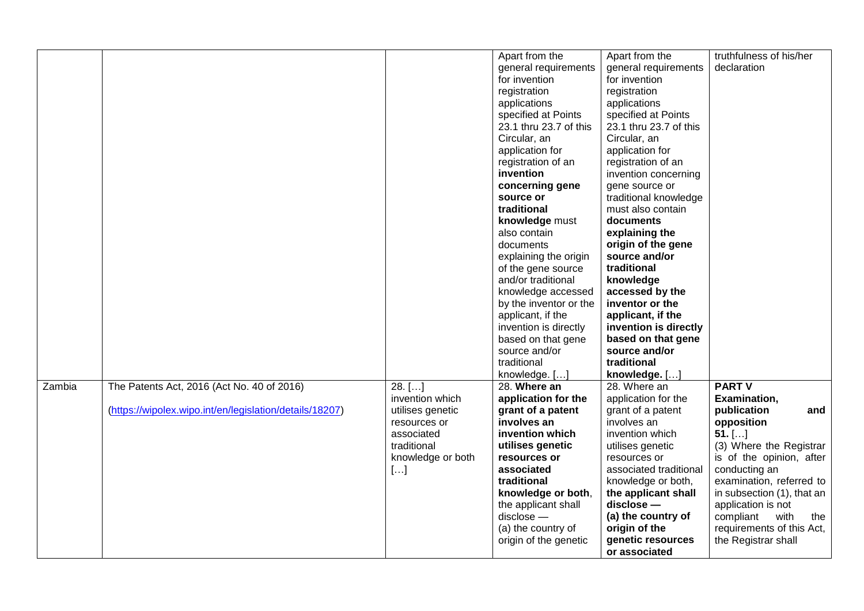|        |                                                         |                   | Apart from the         | Apart from the         | truthfulness of his/her                   |
|--------|---------------------------------------------------------|-------------------|------------------------|------------------------|-------------------------------------------|
|        |                                                         |                   | general requirements   | general requirements   | declaration                               |
|        |                                                         |                   |                        |                        |                                           |
|        |                                                         |                   | for invention          | for invention          |                                           |
|        |                                                         |                   | registration           | registration           |                                           |
|        |                                                         |                   | applications           | applications           |                                           |
|        |                                                         |                   | specified at Points    | specified at Points    |                                           |
|        |                                                         |                   | 23.1 thru 23.7 of this | 23.1 thru 23.7 of this |                                           |
|        |                                                         |                   | Circular, an           | Circular, an           |                                           |
|        |                                                         |                   | application for        | application for        |                                           |
|        |                                                         |                   | registration of an     | registration of an     |                                           |
|        |                                                         |                   | invention              | invention concerning   |                                           |
|        |                                                         |                   | concerning gene        | gene source or         |                                           |
|        |                                                         |                   | source or              | traditional knowledge  |                                           |
|        |                                                         |                   | traditional            | must also contain      |                                           |
|        |                                                         |                   | knowledge must         | documents              |                                           |
|        |                                                         |                   | also contain           | explaining the         |                                           |
|        |                                                         |                   | documents              | origin of the gene     |                                           |
|        |                                                         |                   | explaining the origin  | source and/or          |                                           |
|        |                                                         |                   | of the gene source     | traditional            |                                           |
|        |                                                         |                   | and/or traditional     | knowledge              |                                           |
|        |                                                         |                   | knowledge accessed     | accessed by the        |                                           |
|        |                                                         |                   | by the inventor or the | inventor or the        |                                           |
|        |                                                         |                   | applicant, if the      | applicant, if the      |                                           |
|        |                                                         |                   | invention is directly  | invention is directly  |                                           |
|        |                                                         |                   | based on that gene     | based on that gene     |                                           |
|        |                                                         |                   | source and/or          | source and/or          |                                           |
|        |                                                         |                   | traditional            | traditional            |                                           |
|        |                                                         |                   | knowledge. []          | knowledge. []          |                                           |
| Zambia | The Patents Act, 2016 (Act No. 40 of 2016)              | $28.$ []          | 28. Where an           | 28. Where an           | <b>PART V</b>                             |
|        |                                                         | invention which   | application for the    | application for the    | Examination,                              |
|        | (https://wipolex.wipo.int/en/legislation/details/18207) | utilises genetic  | grant of a patent      | grant of a patent      | publication<br>and                        |
|        |                                                         | resources or      | involves an            | involves an            | opposition                                |
|        |                                                         | associated        | invention which        | invention which        | $51.$ []                                  |
|        |                                                         | traditional       | utilises genetic       | utilises genetic       | (3) Where the Registrar                   |
|        |                                                         |                   | resources or           | resources or           | is of the opinion, after                  |
|        |                                                         | knowledge or both | associated             | associated traditional |                                           |
|        |                                                         | $[\ldots]$        | traditional            |                        | conducting an<br>examination, referred to |
|        |                                                         |                   |                        | knowledge or both,     |                                           |
|        |                                                         |                   | knowledge or both,     | the applicant shall    | in subsection (1), that an                |
|        |                                                         |                   | the applicant shall    | disclose -             | application is not                        |
|        |                                                         |                   | $disclose -$           | (a) the country of     | with<br>compliant<br>the                  |
|        |                                                         |                   | (a) the country of     | origin of the          | requirements of this Act,                 |
|        |                                                         |                   | origin of the genetic  | genetic resources      | the Registrar shall                       |
|        |                                                         |                   |                        | or associated          |                                           |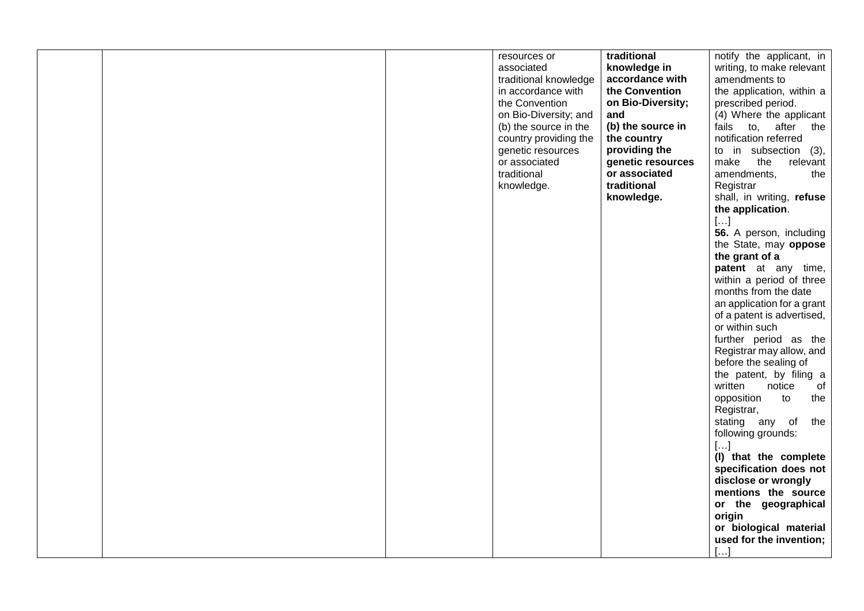|  | resources or<br>associated<br>traditional knowledge<br>in accordance with<br>the Convention<br>on Bio-Diversity; and<br>(b) the source in the<br>country providing the<br>genetic resources<br>or associated<br>traditional<br>knowledge. | traditional<br>knowledge in<br>accordance with<br>the Convention<br>on Bio-Diversity;<br>and<br>(b) the source in<br>the country<br>providing the<br>genetic resources<br>or associated<br>traditional<br>knowledge. | notify the applicant, in<br>writing, to make relevant<br>amendments to<br>the application, within a<br>prescribed period.<br>(4) Where the applicant<br>fails to, after<br>the<br>notification referred<br>to in subsection (3),<br>the<br>make<br>relevant<br>amendments,<br>the<br>Registrar<br>shall, in writing, refuse<br>the application.<br>$[]$<br>56. A person, including<br>the State, may oppose<br>the grant of a<br>patent at any time,<br>within a period of three<br>months from the date<br>an application for a grant<br>of a patent is advertised,<br>or within such<br>further period as the<br>Registrar may allow, and<br>before the sealing of<br>the patent, by filing a<br>written<br>notice<br>of<br>opposition<br>to<br>the<br>Registrar,<br>stating any of<br>the<br>following grounds:<br>$[]$<br>(I) that the complete<br>specification does not<br>disclose or wrongly<br>mentions the source<br>or the geographical<br>origin |
|--|-------------------------------------------------------------------------------------------------------------------------------------------------------------------------------------------------------------------------------------------|----------------------------------------------------------------------------------------------------------------------------------------------------------------------------------------------------------------------|--------------------------------------------------------------------------------------------------------------------------------------------------------------------------------------------------------------------------------------------------------------------------------------------------------------------------------------------------------------------------------------------------------------------------------------------------------------------------------------------------------------------------------------------------------------------------------------------------------------------------------------------------------------------------------------------------------------------------------------------------------------------------------------------------------------------------------------------------------------------------------------------------------------------------------------------------------------|
|  |                                                                                                                                                                                                                                           |                                                                                                                                                                                                                      | or biological material<br>used for the invention;<br>$\left[\ldots\right]$                                                                                                                                                                                                                                                                                                                                                                                                                                                                                                                                                                                                                                                                                                                                                                                                                                                                                   |
|  |                                                                                                                                                                                                                                           |                                                                                                                                                                                                                      |                                                                                                                                                                                                                                                                                                                                                                                                                                                                                                                                                                                                                                                                                                                                                                                                                                                                                                                                                              |